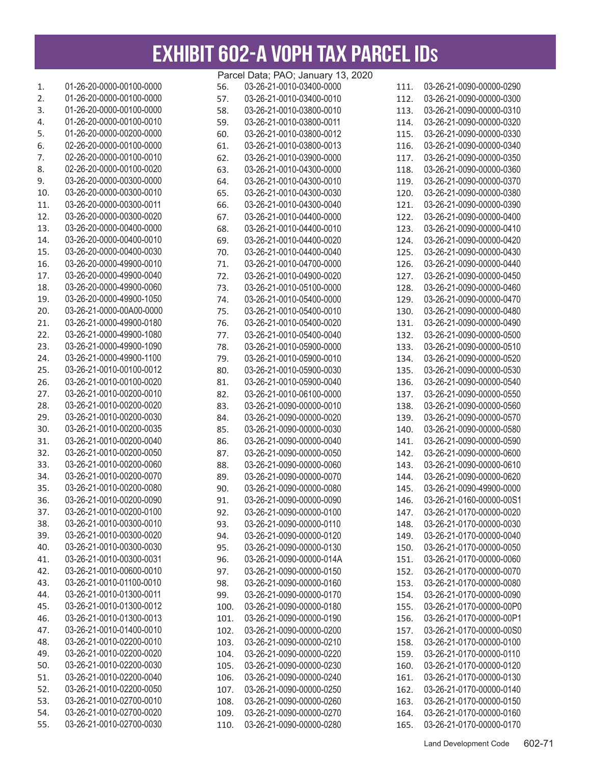|     |                          |      | Parcel Data; PAO; January 13, 2020 |      |                          |
|-----|--------------------------|------|------------------------------------|------|--------------------------|
| 1.  | 01-26-20-0000-00100-0000 | 56.  | 03-26-21-0010-03400-0000           | 111. | 03-26-21-0090-00000-0290 |
| 2.  | 01-26-20-0000-00100-0000 | 57.  | 03-26-21-0010-03400-0010           | 112. | 03-26-21-0090-00000-0300 |
| 3.  | 01-26-20-0000-00100-0000 | 58.  | 03-26-21-0010-03800-0010           | 113. | 03-26-21-0090-00000-0310 |
| 4.  | 01-26-20-0000-00100-0010 | 59.  | 03-26-21-0010-03800-0011           | 114. | 03-26-21-0090-00000-0320 |
| 5.  | 01-26-20-0000-00200-0000 | 60.  | 03-26-21-0010-03800-0012           | 115. | 03-26-21-0090-00000-0330 |
| 6.  | 02-26-20-0000-00100-0000 | 61.  | 03-26-21-0010-03800-0013           | 116. | 03-26-21-0090-00000-0340 |
| 7.  | 02-26-20-0000-00100-0010 | 62.  | 03-26-21-0010-03900-0000           | 117. | 03-26-21-0090-00000-0350 |
| 8.  | 02-26-20-0000-00100-0020 | 63.  | 03-26-21-0010-04300-0000           | 118. | 03-26-21-0090-00000-0360 |
| 9.  | 03-26-20-0000-00300-0000 | 64.  | 03-26-21-0010-04300-0010           | 119. | 03-26-21-0090-00000-0370 |
| 10. | 03-26-20-0000-00300-0010 | 65.  | 03-26-21-0010-04300-0030           | 120. | 03-26-21-0090-00000-0380 |
|     | 03-26-20-0000-00300-0011 |      |                                    |      |                          |
| 11. |                          | 66.  | 03-26-21-0010-04300-0040           | 121. | 03-26-21-0090-00000-0390 |
| 12. | 03-26-20-0000-00300-0020 | 67.  | 03-26-21-0010-04400-0000           | 122. | 03-26-21-0090-00000-0400 |
| 13. | 03-26-20-0000-00400-0000 | 68.  | 03-26-21-0010-04400-0010           | 123. | 03-26-21-0090-00000-0410 |
| 14. | 03-26-20-0000-00400-0010 | 69.  | 03-26-21-0010-04400-0020           | 124. | 03-26-21-0090-00000-0420 |
| 15. | 03-26-20-0000-00400-0030 | 70.  | 03-26-21-0010-04400-0040           | 125. | 03-26-21-0090-00000-0430 |
| 16. | 03-26-20-0000-49900-0010 | 71.  | 03-26-21-0010-04700-0000           | 126. | 03-26-21-0090-00000-0440 |
| 17. | 03-26-20-0000-49900-0040 | 72.  | 03-26-21-0010-04900-0020           | 127. | 03-26-21-0090-00000-0450 |
| 18. | 03-26-20-0000-49900-0060 | 73.  | 03-26-21-0010-05100-0000           | 128. | 03-26-21-0090-00000-0460 |
| 19. | 03-26-20-0000-49900-1050 | 74.  | 03-26-21-0010-05400-0000           | 129. | 03-26-21-0090-00000-0470 |
| 20. | 03-26-21-0000-00A00-0000 | 75.  | 03-26-21-0010-05400-0010           | 130. | 03-26-21-0090-00000-0480 |
| 21. | 03-26-21-0000-49900-0180 | 76.  | 03-26-21-0010-05400-0020           | 131. | 03-26-21-0090-00000-0490 |
| 22. | 03-26-21-0000-49900-1080 | 77.  | 03-26-21-0010-05400-0040           | 132. | 03-26-21-0090-00000-0500 |
| 23. | 03-26-21-0000-49900-1090 | 78.  | 03-26-21-0010-05900-0000           | 133. | 03-26-21-0090-00000-0510 |
| 24. | 03-26-21-0000-49900-1100 | 79.  | 03-26-21-0010-05900-0010           | 134. | 03-26-21-0090-00000-0520 |
| 25. | 03-26-21-0010-00100-0012 | 80.  | 03-26-21-0010-05900-0030           | 135. | 03-26-21-0090-00000-0530 |
| 26. | 03-26-21-0010-00100-0020 | 81.  | 03-26-21-0010-05900-0040           | 136. | 03-26-21-0090-00000-0540 |
| 27. | 03-26-21-0010-00200-0010 | 82.  | 03-26-21-0010-06100-0000           |      | 03-26-21-0090-00000-0550 |
|     | 03-26-21-0010-00200-0020 |      |                                    | 137. |                          |
| 28. |                          | 83.  | 03-26-21-0090-00000-0010           | 138. | 03-26-21-0090-00000-0560 |
| 29. | 03-26-21-0010-00200-0030 | 84.  | 03-26-21-0090-00000-0020           | 139. | 03-26-21-0090-00000-0570 |
| 30. | 03-26-21-0010-00200-0035 | 85.  | 03-26-21-0090-00000-0030           | 140. | 03-26-21-0090-00000-0580 |
| 31. | 03-26-21-0010-00200-0040 | 86.  | 03-26-21-0090-00000-0040           | 141. | 03-26-21-0090-00000-0590 |
| 32. | 03-26-21-0010-00200-0050 | 87.  | 03-26-21-0090-00000-0050           | 142. | 03-26-21-0090-00000-0600 |
| 33. | 03-26-21-0010-00200-0060 | 88.  | 03-26-21-0090-00000-0060           | 143. | 03-26-21-0090-00000-0610 |
| 34. | 03-26-21-0010-00200-0070 | 89.  | 03-26-21-0090-00000-0070           | 144. | 03-26-21-0090-00000-0620 |
| 35. | 03-26-21-0010-00200-0080 | 90.  | 03-26-21-0090-00000-0080           | 145. | 03-26-21-0090-49900-0000 |
| 36. | 03-26-21-0010-00200-0090 | 91.  | 03-26-21-0090-00000-0090           | 146. | 03-26-21-0160-00000-00S1 |
| 37. | 03-26-21-0010-00200-0100 | 92.  | 03-26-21-0090-00000-0100           | 147. | 03-26-21-0170-00000-0020 |
| 38. | 03-26-21-0010-00300-0010 | 93.  | 03-26-21-0090-00000-0110           | 148. | 03-26-21-0170-00000-0030 |
| 39. | 03-26-21-0010-00300-0020 | 94.  | 03-26-21-0090-00000-0120           | 149. | 03-26-21-0170-00000-0040 |
| 40. | 03-26-21-0010-00300-0030 | 95.  | 03-26-21-0090-00000-0130           | 150. | 03-26-21-0170-00000-0050 |
| 41. | 03-26-21-0010-00300-0031 | 96.  | 03-26-21-0090-00000-014A           | 151. | 03-26-21-0170-00000-0060 |
| 42. | 03-26-21-0010-00600-0010 | 97.  | 03-26-21-0090-00000-0150           | 152. | 03-26-21-0170-00000-0070 |
| 43. | 03-26-21-0010-01100-0010 | 98.  | 03-26-21-0090-00000-0160           | 153. | 03-26-21-0170-00000-0080 |
| 44. | 03-26-21-0010-01300-0011 | 99.  | 03-26-21-0090-00000-0170           | 154. | 03-26-21-0170-00000-0090 |
| 45. | 03-26-21-0010-01300-0012 | 100. | 03-26-21-0090-00000-0180           | 155. | 03-26-21-0170-00000-00P0 |
|     | 03-26-21-0010-01300-0013 |      |                                    |      |                          |
| 46. |                          | 101. | 03-26-21-0090-00000-0190           | 156. | 03-26-21-0170-00000-00P1 |
| 47. | 03-26-21-0010-01400-0010 | 102. | 03-26-21-0090-00000-0200           | 157. | 03-26-21-0170-00000-00S0 |
| 48. | 03-26-21-0010-02200-0010 | 103. | 03-26-21-0090-00000-0210           | 158. | 03-26-21-0170-00000-0100 |
| 49. | 03-26-21-0010-02200-0020 | 104. | 03-26-21-0090-00000-0220           | 159. | 03-26-21-0170-00000-0110 |
| 50. | 03-26-21-0010-02200-0030 | 105. | 03-26-21-0090-00000-0230           | 160. | 03-26-21-0170-00000-0120 |
| 51. | 03-26-21-0010-02200-0040 | 106. | 03-26-21-0090-00000-0240           | 161. | 03-26-21-0170-00000-0130 |
| 52. | 03-26-21-0010-02200-0050 | 107. | 03-26-21-0090-00000-0250           | 162. | 03-26-21-0170-00000-0140 |
| 53. | 03-26-21-0010-02700-0010 | 108. | 03-26-21-0090-00000-0260           | 163. | 03-26-21-0170-00000-0150 |
| 54. | 03-26-21-0010-02700-0020 | 109. | 03-26-21-0090-00000-0270           | 164. | 03-26-21-0170-00000-0160 |
| 55. | 03-26-21-0010-02700-0030 | 110. | 03-26-21-0090-00000-0280           | 165. | 03-26-21-0170-00000-0170 |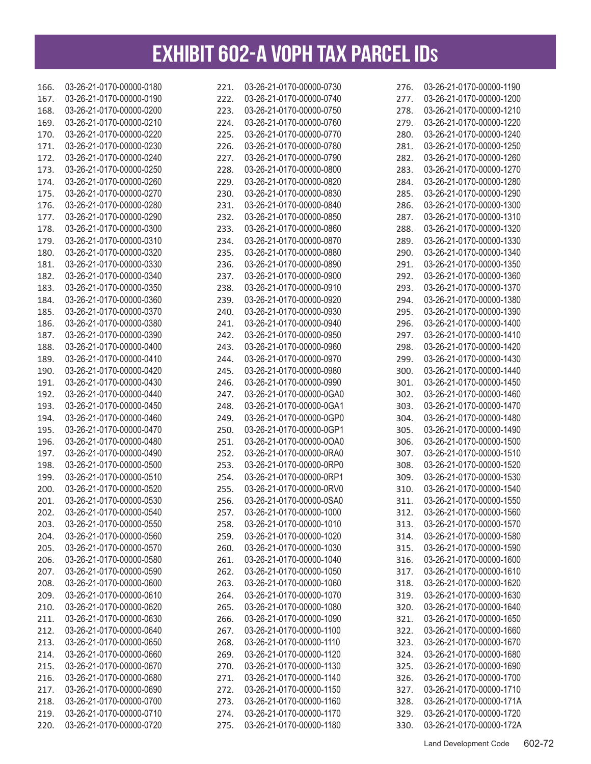| 166.         | 03-26-21-0170-00000-0180 | 221. | 03-26-21-0170-00000-0730 | 276.         | 03-26-21-0170-00000-1190 |
|--------------|--------------------------|------|--------------------------|--------------|--------------------------|
| 167.         | 03-26-21-0170-00000-0190 | 222. | 03-26-21-0170-00000-0740 | 277.         | 03-26-21-0170-00000-1200 |
| 168.         | 03-26-21-0170-00000-0200 | 223. | 03-26-21-0170-00000-0750 | 278.         | 03-26-21-0170-00000-1210 |
| 169.         | 03-26-21-0170-00000-0210 | 224. | 03-26-21-0170-00000-0760 | 279.         | 03-26-21-0170-00000-1220 |
| 170.         | 03-26-21-0170-00000-0220 | 225. | 03-26-21-0170-00000-0770 | 280.         | 03-26-21-0170-00000-1240 |
| 171.         | 03-26-21-0170-00000-0230 | 226. | 03-26-21-0170-00000-0780 | 281.         | 03-26-21-0170-00000-1250 |
| 172.         | 03-26-21-0170-00000-0240 | 227. | 03-26-21-0170-00000-0790 | 282.         | 03-26-21-0170-00000-1260 |
| 173.         | 03-26-21-0170-00000-0250 | 228. | 03-26-21-0170-00000-0800 | 283.         | 03-26-21-0170-00000-1270 |
| 174.         | 03-26-21-0170-00000-0260 | 229. | 03-26-21-0170-00000-0820 | 284.         | 03-26-21-0170-00000-1280 |
| 175.         | 03-26-21-0170-00000-0270 | 230. | 03-26-21-0170-00000-0830 | 285.         | 03-26-21-0170-00000-1290 |
| 176.         | 03-26-21-0170-00000-0280 | 231. | 03-26-21-0170-00000-0840 | 286.         | 03-26-21-0170-00000-1300 |
| 177.         | 03-26-21-0170-00000-0290 | 232. | 03-26-21-0170-00000-0850 | 287.         | 03-26-21-0170-00000-1310 |
| 178.         | 03-26-21-0170-00000-0300 | 233. | 03-26-21-0170-00000-0860 | 288.         | 03-26-21-0170-00000-1320 |
| 179.         | 03-26-21-0170-00000-0310 | 234. | 03-26-21-0170-00000-0870 | 289.         | 03-26-21-0170-00000-1330 |
| 180.         | 03-26-21-0170-00000-0320 | 235. | 03-26-21-0170-00000-0880 | 290.         | 03-26-21-0170-00000-1340 |
| 181.         | 03-26-21-0170-00000-0330 | 236. | 03-26-21-0170-00000-0890 | 291.         | 03-26-21-0170-00000-1350 |
| 182.         | 03-26-21-0170-00000-0340 | 237. | 03-26-21-0170-00000-0900 | 292.         | 03-26-21-0170-00000-1360 |
| 183.         | 03-26-21-0170-00000-0350 | 238. | 03-26-21-0170-00000-0910 | 293.         | 03-26-21-0170-00000-1370 |
| 184.         | 03-26-21-0170-00000-0360 | 239. | 03-26-21-0170-00000-0920 | 294.         | 03-26-21-0170-00000-1380 |
| 185.         | 03-26-21-0170-00000-0370 | 240. | 03-26-21-0170-00000-0930 | 295.         | 03-26-21-0170-00000-1390 |
| 186.         | 03-26-21-0170-00000-0380 | 241. | 03-26-21-0170-00000-0940 | 296.         | 03-26-21-0170-00000-1400 |
| 187.         | 03-26-21-0170-00000-0390 | 242. | 03-26-21-0170-00000-0950 | 297.         | 03-26-21-0170-00000-1410 |
| 188.         | 03-26-21-0170-00000-0400 | 243. | 03-26-21-0170-00000-0960 | 298.         | 03-26-21-0170-00000-1420 |
| 189.         | 03-26-21-0170-00000-0410 | 244. | 03-26-21-0170-00000-0970 | 299.         | 03-26-21-0170-00000-1430 |
| 190.         | 03-26-21-0170-00000-0420 | 245. | 03-26-21-0170-00000-0980 | 300.         | 03-26-21-0170-00000-1440 |
| 191.         | 03-26-21-0170-00000-0430 | 246. | 03-26-21-0170-00000-0990 | 301.         | 03-26-21-0170-00000-1450 |
| 192.         | 03-26-21-0170-00000-0440 | 247. | 03-26-21-0170-00000-0GA0 | 302.         | 03-26-21-0170-00000-1460 |
| 193.         | 03-26-21-0170-00000-0450 | 248. | 03-26-21-0170-00000-0GA1 | 303.         | 03-26-21-0170-00000-1470 |
| 194.         | 03-26-21-0170-00000-0460 | 249. | 03-26-21-0170-00000-0GP0 | 304.         | 03-26-21-0170-00000-1480 |
| 195.         | 03-26-21-0170-00000-0470 | 250. | 03-26-21-0170-00000-0GP1 | 305.         | 03-26-21-0170-00000-1490 |
|              | 03-26-21-0170-00000-0480 | 251. | 03-26-21-0170-00000-0OA0 |              | 03-26-21-0170-00000-1500 |
| 196.<br>197. | 03-26-21-0170-00000-0490 | 252. | 03-26-21-0170-00000-0RA0 | 306.<br>307. | 03-26-21-0170-00000-1510 |
|              | 03-26-21-0170-00000-0500 | 253. | 03-26-21-0170-00000-0RP0 |              | 03-26-21-0170-00000-1520 |
| 198.         | 03-26-21-0170-00000-0510 |      | 03-26-21-0170-00000-0RP1 | 308.         | 03-26-21-0170-00000-1530 |
| 199.         |                          | 254. |                          | 309.         | 03-26-21-0170-00000-1540 |
| 200.         | 03-26-21-0170-00000-0520 | 255. | 03-26-21-0170-00000-0RV0 | 310.         |                          |
| 201.         | 03-26-21-0170-00000-0530 | 256. | 03-26-21-0170-00000-0SA0 | 311.         | 03-26-21-0170-00000-1550 |
| 202          | 03-26-21-0170-00000-0540 | 257. | 03-26-21-0170-00000-1000 | 312.         | 03-26-21-0170-00000-1560 |
| 203.         | 03-26-21-0170-00000-0550 | 258. | 03-26-21-0170-00000-1010 | 313.         | 03-26-21-0170-00000-1570 |
| 204.         | 03-26-21-0170-00000-0560 | 259. | 03-26-21-0170-00000-1020 | 314.         | 03-26-21-0170-00000-1580 |
| 205.         | 03-26-21-0170-00000-0570 | 260. | 03-26-21-0170-00000-1030 | 315.         | 03-26-21-0170-00000-1590 |
| 206.         | 03-26-21-0170-00000-0580 | 261. | 03-26-21-0170-00000-1040 | 316.         | 03-26-21-0170-00000-1600 |
| 207.         | 03-26-21-0170-00000-0590 | 262. | 03-26-21-0170-00000-1050 | 317.         | 03-26-21-0170-00000-1610 |
| 208.         | 03-26-21-0170-00000-0600 | 263. | 03-26-21-0170-00000-1060 | 318.         | 03-26-21-0170-00000-1620 |
| 209.         | 03-26-21-0170-00000-0610 | 264. | 03-26-21-0170-00000-1070 | 319.         | 03-26-21-0170-00000-1630 |
| 210.         | 03-26-21-0170-00000-0620 | 265. | 03-26-21-0170-00000-1080 | 320.         | 03-26-21-0170-00000-1640 |
| 211.         | 03-26-21-0170-00000-0630 | 266. | 03-26-21-0170-00000-1090 | 321.         | 03-26-21-0170-00000-1650 |
| 212.         | 03-26-21-0170-00000-0640 | 267. | 03-26-21-0170-00000-1100 | 322.         | 03-26-21-0170-00000-1660 |
| 213.         | 03-26-21-0170-00000-0650 | 268. | 03-26-21-0170-00000-1110 | 323.         | 03-26-21-0170-00000-1670 |
| 214.         | 03-26-21-0170-00000-0660 | 269. | 03-26-21-0170-00000-1120 | 324.         | 03-26-21-0170-00000-1680 |
| 215.         | 03-26-21-0170-00000-0670 | 270. | 03-26-21-0170-00000-1130 | 325.         | 03-26-21-0170-00000-1690 |
| 216.         | 03-26-21-0170-00000-0680 | 271. | 03-26-21-0170-00000-1140 | 326.         | 03-26-21-0170-00000-1700 |
| 217.         | 03-26-21-0170-00000-0690 | 272. | 03-26-21-0170-00000-1150 | 327.         | 03-26-21-0170-00000-1710 |
| 218.         | 03-26-21-0170-00000-0700 | 273. | 03-26-21-0170-00000-1160 | 328.         | 03-26-21-0170-00000-171A |
| 219.         | 03-26-21-0170-00000-0710 | 274. | 03-26-21-0170-00000-1170 | 329.         | 03-26-21-0170-00000-1720 |
| 220.         | 03-26-21-0170-00000-0720 | 275. | 03-26-21-0170-00000-1180 | 330.         | 03-26-21-0170-00000-172A |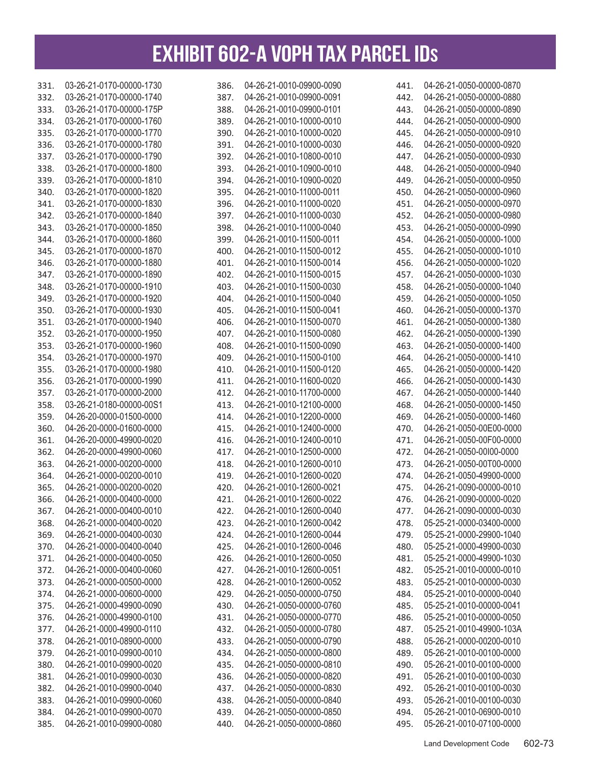| 331.         | 03-26-21-0170-00000-1730                             | 386.         | 04-26-21-0010-09900-0090                             | 441. | 04-26-21-0050-00000-0870                             |
|--------------|------------------------------------------------------|--------------|------------------------------------------------------|------|------------------------------------------------------|
| 332.         | 03-26-21-0170-00000-1740                             | 387.         | 04-26-21-0010-09900-0091                             | 442. | 04-26-21-0050-00000-0880                             |
| 333.         | 03-26-21-0170-00000-175P                             | 388.         | 04-26-21-0010-09900-0101                             | 443. | 04-26-21-0050-00000-0890                             |
| 334.         | 03-26-21-0170-00000-1760                             | 389.         | 04-26-21-0010-10000-0010                             | 444. | 04-26-21-0050-00000-0900                             |
| 335.         | 03-26-21-0170-00000-1770                             | 390.         | 04-26-21-0010-10000-0020                             | 445. | 04-26-21-0050-00000-0910                             |
| 336.         | 03-26-21-0170-00000-1780                             | 391.         | 04-26-21-0010-10000-0030                             | 446. | 04-26-21-0050-00000-0920                             |
| 337.         | 03-26-21-0170-00000-1790                             | 392.         | 04-26-21-0010-10800-0010                             | 447. | 04-26-21-0050-00000-0930                             |
| 338.         | 03-26-21-0170-00000-1800                             | 393.         | 04-26-21-0010-10900-0010                             | 448. | 04-26-21-0050-00000-0940                             |
| 339.         | 03-26-21-0170-00000-1810                             | 394.         | 04-26-21-0010-10900-0020                             | 449. | 04-26-21-0050-00000-0950                             |
| 340.         | 03-26-21-0170-00000-1820                             | 395.         | 04-26-21-0010-11000-0011                             | 450. | 04-26-21-0050-00000-0960                             |
| 341.         | 03-26-21-0170-00000-1830                             | 396.         | 04-26-21-0010-11000-0020                             | 451. | 04-26-21-0050-00000-0970                             |
| 342.         | 03-26-21-0170-00000-1840                             | 397.         | 04-26-21-0010-11000-0030                             | 452. | 04-26-21-0050-00000-0980                             |
| 343.         | 03-26-21-0170-00000-1850                             | 398.         | 04-26-21-0010-11000-0040                             | 453. | 04-26-21-0050-00000-0990                             |
| 344.         | 03-26-21-0170-00000-1860                             | 399.         | 04-26-21-0010-11500-0011                             | 454. | 04-26-21-0050-00000-1000                             |
| 345.         | 03-26-21-0170-00000-1870                             | 400.         | 04-26-21-0010-11500-0012                             | 455. | 04-26-21-0050-00000-1010                             |
| 346.         | 03-26-21-0170-00000-1880                             | 401.         | 04-26-21-0010-11500-0014                             | 456. | 04-26-21-0050-00000-1020                             |
| 347.         | 03-26-21-0170-00000-1890                             | 402.         | 04-26-21-0010-11500-0015                             | 457. | 04-26-21-0050-00000-1030                             |
| 348.         | 03-26-21-0170-00000-1910                             | 403.         | 04-26-21-0010-11500-0030                             | 458. | 04-26-21-0050-00000-1040                             |
| 349.         | 03-26-21-0170-00000-1920                             | 404.         | 04-26-21-0010-11500-0040                             | 459. | 04-26-21-0050-00000-1050                             |
| 350.         | 03-26-21-0170-00000-1930                             | 405.         | 04-26-21-0010-11500-0041                             | 460. | 04-26-21-0050-00000-1370                             |
| 351.         | 03-26-21-0170-00000-1940                             | 406.         | 04-26-21-0010-11500-0070                             | 461. | 04-26-21-0050-00000-1380                             |
| 352.         | 03-26-21-0170-00000-1950                             | 407.         | 04-26-21-0010-11500-0080                             | 462. | 04-26-21-0050-00000-1390                             |
| 353.         | 03-26-21-0170-00000-1960                             | 408.         | 04-26-21-0010-11500-0090                             | 463. | 04-26-21-0050-00000-1400                             |
| 354.         | 03-26-21-0170-00000-1970                             | 409.         | 04-26-21-0010-11500-0100                             | 464. | 04-26-21-0050-00000-1410                             |
| 355.         | 03-26-21-0170-00000-1980                             | 410.         | 04-26-21-0010-11500-0120                             | 465. | 04-26-21-0050-00000-1420                             |
| 356.         | 03-26-21-0170-00000-1990                             | 411.         | 04-26-21-0010-11600-0020                             | 466. | 04-26-21-0050-00000-1430                             |
| 357.         | 03-26-21-0170-00000-2000                             | 412.         | 04-26-21-0010-11700-0000                             | 467. | 04-26-21-0050-00000-1440                             |
| 358.         | 03-26-21-0180-00000-00S1                             | 413.         | 04-26-21-0010-12100-0000                             | 468. | 04-26-21-0050-00000-1450                             |
| 359.         | 04-26-20-0000-01500-0000                             | 414.         | 04-26-21-0010-12200-0000                             | 469. | 04-26-21-0050-00000-1460                             |
| 360.         | 04-26-20-0000-01600-0000                             | 415.         | 04-26-21-0010-12400-0000                             | 470. | 04-26-21-0050-00E00-0000                             |
| 361.         | 04-26-20-0000-49900-0020                             | 416.         | 04-26-21-0010-12400-0010                             | 471. | 04-26-21-0050-00F00-0000                             |
| 362.         | 04-26-20-0000-49900-0060                             | 417.         | 04-26-21-0010-12500-0000                             | 472. | 04-26-21-0050-00100-0000                             |
| 363.         | 04-26-21-0000-00200-0000                             | 418.         | 04-26-21-0010-12600-0010                             | 473. | 04-26-21-0050-00T00-0000                             |
|              | 04-26-21-0000-00200-0010                             |              | 04-26-21-0010-12600-0020                             |      | 04-26-21-0050-49900-0000                             |
| 364.         | 04-26-21-0000-00200-0020                             | 419.         |                                                      | 474. |                                                      |
| 365.<br>366. | 04-26-21-0000-00400-0000                             | 420.<br>421. | 04-26-21-0010-12600-0021<br>04-26-21-0010-12600-0022 | 475. | 04-26-21-0090-00000-0010<br>04-26-21-0090-00000-0020 |
|              | 04-26-21-0000-00400-0010                             |              |                                                      | 476. | 04-26-21-0090-00000-0030                             |
| 367.         |                                                      | 422.         | 04-26-21-0010-12600-0040                             | 477. |                                                      |
| 368.         | 04-26-21-0000-00400-0020                             | 423.         | 04-26-21-0010-12600-0042                             | 478. | 05-25-21-0000-03400-0000                             |
| 369.         | 04-26-21-0000-00400-0030                             | 424.         | 04-26-21-0010-12600-0044                             | 479. | 05-25-21-0000-29900-1040                             |
| 370.         | 04-26-21-0000-00400-0040<br>04-26-21-0000-00400-0050 | 425.         | 04-26-21-0010-12600-0046<br>04-26-21-0010-12600-0050 | 480. | 05-25-21-0000-49900-0030                             |
| 371.         |                                                      | 426.         |                                                      | 481. | 05-25-21-0000-49900-1030                             |
| 372.         | 04-26-21-0000-00400-0060                             | 427.         | 04-26-21-0010-12600-0051                             | 482. | 05-25-21-0010-00000-0010                             |
| 373.         | 04-26-21-0000-00500-0000                             | 428.         | 04-26-21-0010-12600-0052                             | 483. | 05-25-21-0010-00000-0030                             |
| 374.         | 04-26-21-0000-00600-0000                             | 429.         | 04-26-21-0050-00000-0750                             | 484. | 05-25-21-0010-00000-0040                             |
| 375.         | 04-26-21-0000-49900-0090                             | 430.         | 04-26-21-0050-00000-0760                             | 485. | 05-25-21-0010-00000-0041                             |
| 376.         | 04-26-21-0000-49900-0100                             | 431.         | 04-26-21-0050-00000-0770                             | 486. | 05-25-21-0010-00000-0050                             |
| 377.         | 04-26-21-0000-49900-0110                             | 432.         | 04-26-21-0050-00000-0780                             | 487. | 05-25-21-0010-49900-103A                             |
| 378.         | 04-26-21-0010-08900-0000                             | 433.         | 04-26-21-0050-00000-0790                             | 488. | 05-26-21-0000-00200-0010                             |
| 379.         | 04-26-21-0010-09900-0010                             | 434.         | 04-26-21-0050-00000-0800                             | 489. | 05-26-21-0010-00100-0000                             |
| 380.         | 04-26-21-0010-09900-0020                             | 435.         | 04-26-21-0050-00000-0810                             | 490. | 05-26-21-0010-00100-0000                             |
| 381.         | 04-26-21-0010-09900-0030                             | 436.         | 04-26-21-0050-00000-0820                             | 491. | 05-26-21-0010-00100-0030                             |
| 382.         | 04-26-21-0010-09900-0040                             | 437.         | 04-26-21-0050-00000-0830                             | 492. | 05-26-21-0010-00100-0030                             |
| 383.         | 04-26-21-0010-09900-0060                             | 438.         | 04-26-21-0050-00000-0840                             | 493. | 05-26-21-0010-00100-0030                             |
| 384.         | 04-26-21-0010-09900-0070                             | 439.         | 04-26-21-0050-00000-0850                             | 494. | 05-26-21-0010-06900-0010                             |
| 385.         | 04-26-21-0010-09900-0080                             | 440.         | 04-26-21-0050-00000-0860                             | 495. | 05-26-21-0010-07100-0000                             |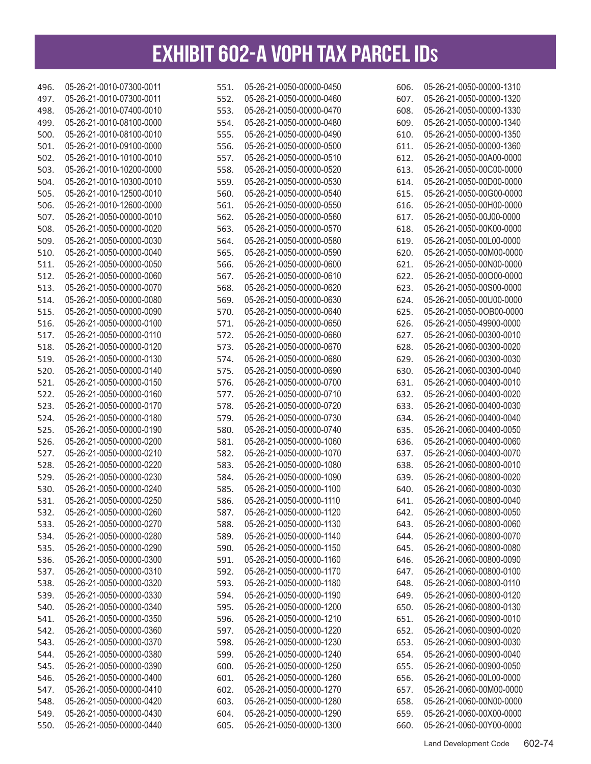| 496. | 05-26-21-0010-07300-0011 | 551. | 05-26-21-0050-00000-0450 | 606. | 05-26-21-0050-00000-1310 |
|------|--------------------------|------|--------------------------|------|--------------------------|
| 497. | 05-26-21-0010-07300-0011 | 552. | 05-26-21-0050-00000-0460 | 607. | 05-26-21-0050-00000-1320 |
| 498. | 05-26-21-0010-07400-0010 | 553. | 05-26-21-0050-00000-0470 | 608. | 05-26-21-0050-00000-1330 |
| 499. | 05-26-21-0010-08100-0000 | 554. | 05-26-21-0050-00000-0480 | 609. | 05-26-21-0050-00000-1340 |
| 500. | 05-26-21-0010-08100-0010 | 555. | 05-26-21-0050-00000-0490 | 610. | 05-26-21-0050-00000-1350 |
| 501. | 05-26-21-0010-09100-0000 | 556. | 05-26-21-0050-00000-0500 | 611. | 05-26-21-0050-00000-1360 |
| 502. | 05-26-21-0010-10100-0010 | 557. | 05-26-21-0050-00000-0510 | 612. | 05-26-21-0050-00A00-0000 |
| 503. | 05-26-21-0010-10200-0000 | 558. | 05-26-21-0050-00000-0520 | 613. | 05-26-21-0050-00C00-0000 |
| 504. | 05-26-21-0010-10300-0010 | 559. | 05-26-21-0050-00000-0530 | 614. | 05-26-21-0050-00D00-0000 |
| 505. | 05-26-21-0010-12500-0010 | 560. | 05-26-21-0050-00000-0540 | 615. | 05-26-21-0050-00G00-0000 |
| 506. | 05-26-21-0010-12600-0000 | 561. | 05-26-21-0050-00000-0550 | 616. | 05-26-21-0050-00H00-0000 |
| 507. | 05-26-21-0050-00000-0010 | 562. | 05-26-21-0050-00000-0560 | 617. | 05-26-21-0050-00J00-0000 |
| 508. | 05-26-21-0050-00000-0020 | 563. | 05-26-21-0050-00000-0570 | 618. | 05-26-21-0050-00K00-0000 |
| 509. | 05-26-21-0050-00000-0030 | 564. | 05-26-21-0050-00000-0580 | 619. | 05-26-21-0050-00L00-0000 |
| 510. | 05-26-21-0050-00000-0040 | 565. | 05-26-21-0050-00000-0590 | 620. | 05-26-21-0050-00M00-0000 |
| 511. | 05-26-21-0050-00000-0050 | 566. | 05-26-21-0050-00000-0600 | 621. | 05-26-21-0050-00N00-0000 |
| 512. | 05-26-21-0050-00000-0060 | 567. | 05-26-21-0050-00000-0610 | 622. | 05-26-21-0050-00O00-0000 |
| 513. | 05-26-21-0050-00000-0070 | 568. | 05-26-21-0050-00000-0620 | 623. | 05-26-21-0050-00S00-0000 |
| 514. | 05-26-21-0050-00000-0080 | 569. | 05-26-21-0050-00000-0630 | 624. | 05-26-21-0050-00U00-0000 |
| 515. | 05-26-21-0050-00000-0090 | 570. | 05-26-21-0050-00000-0640 | 625. | 05-26-21-0050-0OB00-0000 |
| 516. | 05-26-21-0050-00000-0100 | 571. | 05-26-21-0050-00000-0650 | 626. | 05-26-21-0050-49900-0000 |
| 517. | 05-26-21-0050-00000-0110 | 572. | 05-26-21-0050-00000-0660 | 627. | 05-26-21-0060-00300-0010 |
| 518. | 05-26-21-0050-00000-0120 | 573. | 05-26-21-0050-00000-0670 | 628. | 05-26-21-0060-00300-0020 |
| 519. | 05-26-21-0050-00000-0130 | 574. | 05-26-21-0050-00000-0680 | 629. | 05-26-21-0060-00300-0030 |
| 520. | 05-26-21-0050-00000-0140 | 575. | 05-26-21-0050-00000-0690 | 630. | 05-26-21-0060-00300-0040 |
| 521. | 05-26-21-0050-00000-0150 | 576. | 05-26-21-0050-00000-0700 | 631. | 05-26-21-0060-00400-0010 |
|      | 05-26-21-0050-00000-0160 |      | 05-26-21-0050-00000-0710 |      | 05-26-21-0060-00400-0020 |
| 522. | 05-26-21-0050-00000-0170 | 577. | 05-26-21-0050-00000-0720 | 632. | 05-26-21-0060-00400-0030 |
| 523. | 05-26-21-0050-00000-0180 | 578. | 05-26-21-0050-00000-0730 | 633. | 05-26-21-0060-00400-0040 |
| 524. |                          | 579. |                          | 634. |                          |
| 525. | 05-26-21-0050-00000-0190 | 580. | 05-26-21-0050-00000-0740 | 635. | 05-26-21-0060-00400-0050 |
| 526. | 05-26-21-0050-00000-0200 | 581. | 05-26-21-0050-00000-1060 | 636. | 05-26-21-0060-00400-0060 |
| 527. | 05-26-21-0050-00000-0210 | 582. | 05-26-21-0050-00000-1070 | 637. | 05-26-21-0060-00400-0070 |
| 528. | 05-26-21-0050-00000-0220 | 583. | 05-26-21-0050-00000-1080 | 638. | 05-26-21-0060-00800-0010 |
| 529. | 05-26-21-0050-00000-0230 | 584. | 05-26-21-0050-00000-1090 | 639. | 05-26-21-0060-00800-0020 |
| 530. | 05-26-21-0050-00000-0240 | 585. | 05-26-21-0050-00000-1100 | 640. | 05-26-21-0060-00800-0030 |
| 531. | 05-26-21-0050-00000-0250 | 586. | 05-26-21-0050-00000-1110 | 641. | 05-26-21-0060-00800-0040 |
| 532  | 05-26-21-0050-00000-0260 | 587. | 05-26-21-0050-00000-1120 | 642. | 05-26-21-0060-00800-0050 |
| 533. | 05-26-21-0050-00000-0270 | 588. | 05-26-21-0050-00000-1130 | 643. | 05-26-21-0060-00800-0060 |
| 534. | 05-26-21-0050-00000-0280 | 589. | 05-26-21-0050-00000-1140 | 644. | 05-26-21-0060-00800-0070 |
| 535. | 05-26-21-0050-00000-0290 | 590. | 05-26-21-0050-00000-1150 | 645. | 05-26-21-0060-00800-0080 |
| 536. | 05-26-21-0050-00000-0300 | 591. | 05-26-21-0050-00000-1160 | 646. | 05-26-21-0060-00800-0090 |
| 537. | 05-26-21-0050-00000-0310 | 592. | 05-26-21-0050-00000-1170 | 647. | 05-26-21-0060-00800-0100 |
| 538. | 05-26-21-0050-00000-0320 | 593. | 05-26-21-0050-00000-1180 | 648. | 05-26-21-0060-00800-0110 |
| 539. | 05-26-21-0050-00000-0330 | 594. | 05-26-21-0050-00000-1190 | 649. | 05-26-21-0060-00800-0120 |
| 540. | 05-26-21-0050-00000-0340 | 595. | 05-26-21-0050-00000-1200 | 650. | 05-26-21-0060-00800-0130 |
| 541. | 05-26-21-0050-00000-0350 | 596. | 05-26-21-0050-00000-1210 | 651. | 05-26-21-0060-00900-0010 |
| 542. | 05-26-21-0050-00000-0360 | 597. | 05-26-21-0050-00000-1220 | 652. | 05-26-21-0060-00900-0020 |
| 543. | 05-26-21-0050-00000-0370 | 598. | 05-26-21-0050-00000-1230 | 653. | 05-26-21-0060-00900-0030 |
| 544. | 05-26-21-0050-00000-0380 | 599. | 05-26-21-0050-00000-1240 | 654. | 05-26-21-0060-00900-0040 |
| 545. | 05-26-21-0050-00000-0390 | 600. | 05-26-21-0050-00000-1250 | 655. | 05-26-21-0060-00900-0050 |
| 546. | 05-26-21-0050-00000-0400 | 601. | 05-26-21-0050-00000-1260 | 656. | 05-26-21-0060-00L00-0000 |
| 547. | 05-26-21-0050-00000-0410 | 602. | 05-26-21-0050-00000-1270 | 657. | 05-26-21-0060-00M00-0000 |
| 548. | 05-26-21-0050-00000-0420 | 603. | 05-26-21-0050-00000-1280 | 658. | 05-26-21-0060-00N00-0000 |
| 549. | 05-26-21-0050-00000-0430 | 604. | 05-26-21-0050-00000-1290 | 659. | 05-26-21-0060-00X00-0000 |
| 550. | 05-26-21-0050-00000-0440 | 605. | 05-26-21-0050-00000-1300 | 660. | 05-26-21-0060-00Y00-0000 |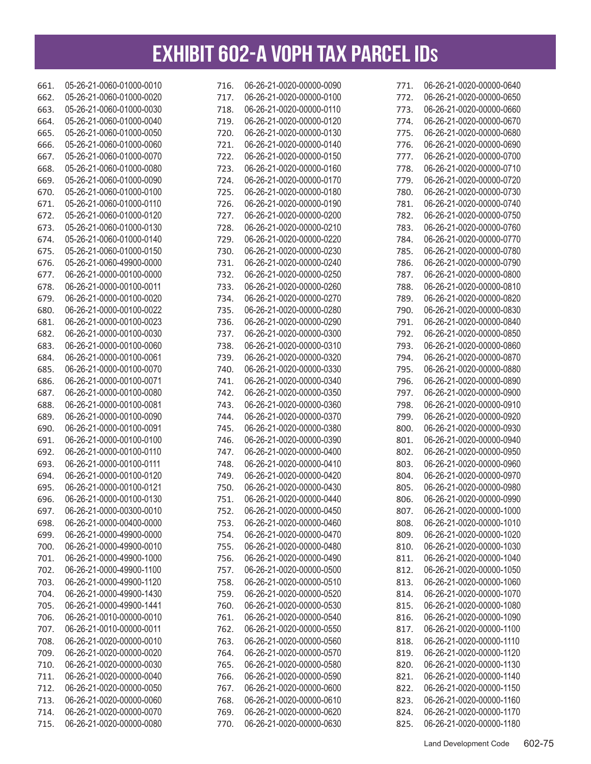| 661. | 05-26-21-0060-01000-0010 | 716. | 06-26-21-0020-00000-0090 | 771. | 06-26-21-0020-00000-0640 |
|------|--------------------------|------|--------------------------|------|--------------------------|
| 662. | 05-26-21-0060-01000-0020 | 717. | 06-26-21-0020-00000-0100 | 772. | 06-26-21-0020-00000-0650 |
| 663. | 05-26-21-0060-01000-0030 | 718. | 06-26-21-0020-00000-0110 | 773. | 06-26-21-0020-00000-0660 |
| 664. | 05-26-21-0060-01000-0040 | 719. | 06-26-21-0020-00000-0120 | 774. | 06-26-21-0020-00000-0670 |
| 665. | 05-26-21-0060-01000-0050 | 720. | 06-26-21-0020-00000-0130 | 775. | 06-26-21-0020-00000-0680 |
| 666. | 05-26-21-0060-01000-0060 | 721. | 06-26-21-0020-00000-0140 | 776. | 06-26-21-0020-00000-0690 |
| 667. | 05-26-21-0060-01000-0070 | 722. | 06-26-21-0020-00000-0150 | 777. | 06-26-21-0020-00000-0700 |
| 668. | 05-26-21-0060-01000-0080 | 723. | 06-26-21-0020-00000-0160 | 778. | 06-26-21-0020-00000-0710 |
| 669. | 05-26-21-0060-01000-0090 | 724. | 06-26-21-0020-00000-0170 | 779. | 06-26-21-0020-00000-0720 |
| 670. | 05-26-21-0060-01000-0100 | 725. | 06-26-21-0020-00000-0180 | 780. | 06-26-21-0020-00000-0730 |
| 671. | 05-26-21-0060-01000-0110 | 726. | 06-26-21-0020-00000-0190 | 781. | 06-26-21-0020-00000-0740 |
| 672. | 05-26-21-0060-01000-0120 | 727. | 06-26-21-0020-00000-0200 | 782. | 06-26-21-0020-00000-0750 |
| 673. | 05-26-21-0060-01000-0130 | 728. | 06-26-21-0020-00000-0210 | 783. | 06-26-21-0020-00000-0760 |
| 674. | 05-26-21-0060-01000-0140 | 729. | 06-26-21-0020-00000-0220 | 784. | 06-26-21-0020-00000-0770 |
| 675. | 05-26-21-0060-01000-0150 | 730. | 06-26-21-0020-00000-0230 | 785. | 06-26-21-0020-00000-0780 |
| 676. | 05-26-21-0060-49900-0000 | 731. | 06-26-21-0020-00000-0240 | 786. | 06-26-21-0020-00000-0790 |
| 677. | 06-26-21-0000-00100-0000 | 732. | 06-26-21-0020-00000-0250 | 787. | 06-26-21-0020-00000-0800 |
| 678. | 06-26-21-0000-00100-0011 | 733. | 06-26-21-0020-00000-0260 | 788. | 06-26-21-0020-00000-0810 |
| 679. | 06-26-21-0000-00100-0020 | 734. | 06-26-21-0020-00000-0270 | 789. | 06-26-21-0020-00000-0820 |
| 680. | 06-26-21-0000-00100-0022 | 735. | 06-26-21-0020-00000-0280 | 790. | 06-26-21-0020-00000-0830 |
| 681. | 06-26-21-0000-00100-0023 | 736. | 06-26-21-0020-00000-0290 | 791. | 06-26-21-0020-00000-0840 |
| 682. | 06-26-21-0000-00100-0030 | 737. | 06-26-21-0020-00000-0300 | 792. | 06-26-21-0020-00000-0850 |
| 683. | 06-26-21-0000-00100-0060 | 738. | 06-26-21-0020-00000-0310 | 793. | 06-26-21-0020-00000-0860 |
| 684. | 06-26-21-0000-00100-0061 | 739. | 06-26-21-0020-00000-0320 | 794. | 06-26-21-0020-00000-0870 |
| 685. | 06-26-21-0000-00100-0070 | 740. | 06-26-21-0020-00000-0330 | 795. | 06-26-21-0020-00000-0880 |
| 686. | 06-26-21-0000-00100-0071 | 741. | 06-26-21-0020-00000-0340 | 796. | 06-26-21-0020-00000-0890 |
|      | 06-26-21-0000-00100-0080 | 742. | 06-26-21-0020-00000-0350 |      | 06-26-21-0020-00000-0900 |
| 687. | 06-26-21-0000-00100-0081 |      | 06-26-21-0020-00000-0360 | 797. | 06-26-21-0020-00000-0910 |
| 688. |                          | 743. |                          | 798. |                          |
| 689. | 06-26-21-0000-00100-0090 | 744. | 06-26-21-0020-00000-0370 | 799. | 06-26-21-0020-00000-0920 |
| 690. | 06-26-21-0000-00100-0091 | 745. | 06-26-21-0020-00000-0380 | 800. | 06-26-21-0020-00000-0930 |
| 691. | 06-26-21-0000-00100-0100 | 746. | 06-26-21-0020-00000-0390 | 801. | 06-26-21-0020-00000-0940 |
| 692. | 06-26-21-0000-00100-0110 | 747. | 06-26-21-0020-00000-0400 | 802. | 06-26-21-0020-00000-0950 |
| 693. | 06-26-21-0000-00100-0111 | 748. | 06-26-21-0020-00000-0410 | 803. | 06-26-21-0020-00000-0960 |
| 694. | 06-26-21-0000-00100-0120 | 749. | 06-26-21-0020-00000-0420 | 804. | 06-26-21-0020-00000-0970 |
| 695. | 06-26-21-0000-00100-0121 | 750. | 06-26-21-0020-00000-0430 | 805. | 06-26-21-0020-00000-0980 |
| 696. | 06-26-21-0000-00100-0130 | 751. | 06-26-21-0020-00000-0440 | 806. | 06-26-21-0020-00000-0990 |
| 697. | 06-26-21-0000-00300-0010 | 752. | 06-26-21-0020-00000-0450 | 807. | 06-26-21-0020-00000-1000 |
| 698. | 06-26-21-0000-00400-0000 | 753. | 06-26-21-0020-00000-0460 | 808. | 06-26-21-0020-00000-1010 |
| 699. | 06-26-21-0000-49900-0000 | 754. | 06-26-21-0020-00000-0470 | 809. | 06-26-21-0020-00000-1020 |
| 700. | 06-26-21-0000-49900-0010 | 755. | 06-26-21-0020-00000-0480 | 810. | 06-26-21-0020-00000-1030 |
| 701. | 06-26-21-0000-49900-1000 | 756. | 06-26-21-0020-00000-0490 | 811. | 06-26-21-0020-00000-1040 |
| 702. | 06-26-21-0000-49900-1100 | 757. | 06-26-21-0020-00000-0500 | 812. | 06-26-21-0020-00000-1050 |
| 703. | 06-26-21-0000-49900-1120 | 758. | 06-26-21-0020-00000-0510 | 813. | 06-26-21-0020-00000-1060 |
| 704. | 06-26-21-0000-49900-1430 | 759. | 06-26-21-0020-00000-0520 | 814. | 06-26-21-0020-00000-1070 |
| 705. | 06-26-21-0000-49900-1441 | 760. | 06-26-21-0020-00000-0530 | 815. | 06-26-21-0020-00000-1080 |
| 706. | 06-26-21-0010-00000-0010 | 761. | 06-26-21-0020-00000-0540 | 816. | 06-26-21-0020-00000-1090 |
| 707. | 06-26-21-0010-00000-0011 | 762. | 06-26-21-0020-00000-0550 | 817. | 06-26-21-0020-00000-1100 |
| 708. | 06-26-21-0020-00000-0010 | 763. | 06-26-21-0020-00000-0560 | 818. | 06-26-21-0020-00000-1110 |
| 709. | 06-26-21-0020-00000-0020 | 764. | 06-26-21-0020-00000-0570 | 819. | 06-26-21-0020-00000-1120 |
| 710. | 06-26-21-0020-00000-0030 | 765. | 06-26-21-0020-00000-0580 | 820. | 06-26-21-0020-00000-1130 |
| 711. | 06-26-21-0020-00000-0040 | 766. | 06-26-21-0020-00000-0590 | 821. | 06-26-21-0020-00000-1140 |
| 712. | 06-26-21-0020-00000-0050 | 767. | 06-26-21-0020-00000-0600 | 822. | 06-26-21-0020-00000-1150 |
| 713. | 06-26-21-0020-00000-0060 | 768. | 06-26-21-0020-00000-0610 | 823. | 06-26-21-0020-00000-1160 |
| 714. | 06-26-21-0020-00000-0070 | 769. | 06-26-21-0020-00000-0620 | 824. | 06-26-21-0020-00000-1170 |
| 715. | 06-26-21-0020-00000-0080 | 770. | 06-26-21-0020-00000-0630 | 825. | 06-26-21-0020-00000-1180 |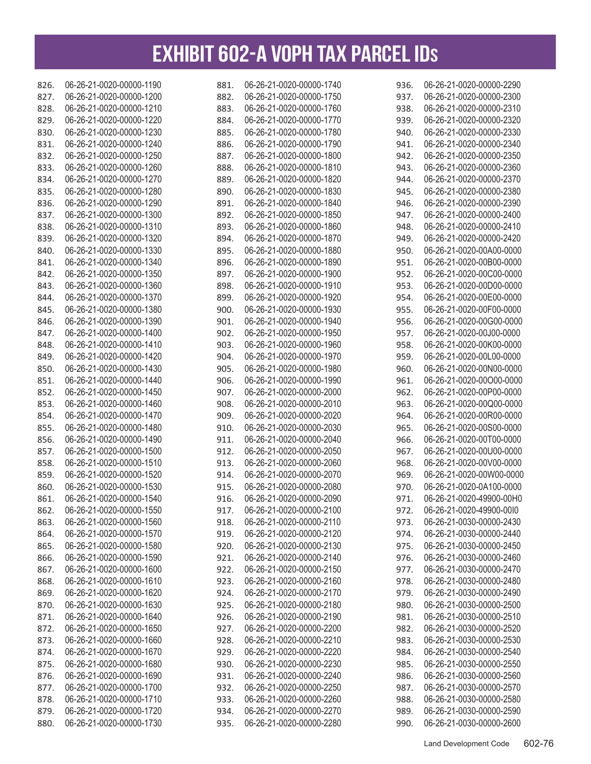| 826. | 06-26-21-0020-00000-1190 | 881. | 06-26-21-0020-00000-1740 | 936. | 06-26-21-0020-00000-2290 |
|------|--------------------------|------|--------------------------|------|--------------------------|
| 827. | 06-26-21-0020-00000-1200 | 882. | 06-26-21-0020-00000-1750 | 937. | 06-26-21-0020-00000-2300 |
| 828. | 06-26-21-0020-00000-1210 | 883. | 06-26-21-0020-00000-1760 | 938. | 06-26-21-0020-00000-2310 |
| 829. | 06-26-21-0020-00000-1220 | 884. | 06-26-21-0020-00000-1770 | 939. | 06-26-21-0020-00000-2320 |
| 830. | 06-26-21-0020-00000-1230 | 885. | 06-26-21-0020-00000-1780 | 940. | 06-26-21-0020-00000-2330 |
| 831. | 06-26-21-0020-00000-1240 | 886. | 06-26-21-0020-00000-1790 | 941. | 06-26-21-0020-00000-2340 |
| 832. | 06-26-21-0020-00000-1250 | 887. | 06-26-21-0020-00000-1800 | 942. | 06-26-21-0020-00000-2350 |
| 833. | 06-26-21-0020-00000-1260 | 888. | 06-26-21-0020-00000-1810 | 943. | 06-26-21-0020-00000-2360 |
| 834. | 06-26-21-0020-00000-1270 | 889. | 06-26-21-0020-00000-1820 | 944. | 06-26-21-0020-00000-2370 |
| 835. | 06-26-21-0020-00000-1280 | 890. | 06-26-21-0020-00000-1830 | 945. | 06-26-21-0020-00000-2380 |
| 836. | 06-26-21-0020-00000-1290 | 891. | 06-26-21-0020-00000-1840 | 946. | 06-26-21-0020-00000-2390 |
| 837. | 06-26-21-0020-00000-1300 | 892. | 06-26-21-0020-00000-1850 | 947. | 06-26-21-0020-00000-2400 |
| 838. | 06-26-21-0020-00000-1310 | 893. | 06-26-21-0020-00000-1860 | 948. | 06-26-21-0020-00000-2410 |
| 839. | 06-26-21-0020-00000-1320 | 894. | 06-26-21-0020-00000-1870 | 949. | 06-26-21-0020-00000-2420 |
| 840. | 06-26-21-0020-00000-1330 | 895. | 06-26-21-0020-00000-1880 | 950. | 06-26-21-0020-00A00-0000 |
| 841. | 06-26-21-0020-00000-1340 | 896. | 06-26-21-0020-00000-1890 | 951. | 06-26-21-0020-00B00-0000 |
| 842. | 06-26-21-0020-00000-1350 | 897. | 06-26-21-0020-00000-1900 | 952. | 06-26-21-0020-00C00-0000 |
| 843. | 06-26-21-0020-00000-1360 | 898. | 06-26-21-0020-00000-1910 | 953. | 06-26-21-0020-00D00-0000 |
| 844. | 06-26-21-0020-00000-1370 | 899. | 06-26-21-0020-00000-1920 | 954. | 06-26-21-0020-00E00-0000 |
| 845. | 06-26-21-0020-00000-1380 | 900. | 06-26-21-0020-00000-1930 | 955. | 06-26-21-0020-00F00-0000 |
| 846. | 06-26-21-0020-00000-1390 | 901. | 06-26-21-0020-00000-1940 | 956. | 06-26-21-0020-00G00-0000 |
| 847. | 06-26-21-0020-00000-1400 | 902. | 06-26-21-0020-00000-1950 | 957. | 06-26-21-0020-00J00-0000 |
| 848. | 06-26-21-0020-00000-1410 | 903. | 06-26-21-0020-00000-1960 | 958. | 06-26-21-0020-00K00-0000 |
| 849. | 06-26-21-0020-00000-1420 | 904. | 06-26-21-0020-00000-1970 | 959. | 06-26-21-0020-00L00-0000 |
| 850. | 06-26-21-0020-00000-1430 | 905. | 06-26-21-0020-00000-1980 | 960. | 06-26-21-0020-00N00-0000 |
| 851. | 06-26-21-0020-00000-1440 | 906. | 06-26-21-0020-00000-1990 | 961. | 06-26-21-0020-00000-0000 |
| 852. | 06-26-21-0020-00000-1450 | 907. | 06-26-21-0020-00000-2000 | 962. | 06-26-21-0020-00P00-0000 |
|      | 06-26-21-0020-00000-1460 |      | 06-26-21-0020-00000-2010 |      | 06-26-21-0020-00Q00-0000 |
| 853. |                          | 908. |                          | 963. |                          |
| 854. | 06-26-21-0020-00000-1470 | 909. | 06-26-21-0020-00000-2020 | 964. | 06-26-21-0020-00R00-0000 |
| 855. | 06-26-21-0020-00000-1480 | 910. | 06-26-21-0020-00000-2030 | 965. | 06-26-21-0020-00S00-0000 |
| 856. | 06-26-21-0020-00000-1490 | 911. | 06-26-21-0020-00000-2040 | 966. | 06-26-21-0020-00T00-0000 |
| 857. | 06-26-21-0020-00000-1500 | 912. | 06-26-21-0020-00000-2050 | 967. | 06-26-21-0020-00U00-0000 |
| 858. | 06-26-21-0020-00000-1510 | 913. | 06-26-21-0020-00000-2060 | 968. | 06-26-21-0020-00V00-0000 |
| 859. | 06-26-21-0020-00000-1520 | 914. | 06-26-21-0020-00000-2070 | 969. | 06-26-21-0020-00W00-0000 |
| 860. | 06-26-21-0020-00000-1530 | 915. | 06-26-21-0020-00000-2080 | 970. | 06-26-21-0020-0A100-0000 |
| 861. | 06-26-21-0020-00000-1540 | 916. | 06-26-21-0020-00000-2090 | 971. | 06-26-21-0020-49900-00H0 |
| 862  | 06-26-21-0020-00000-1550 | 917. | 06-26-21-0020-00000-2100 | 972. | 06-26-21-0020-49900-0010 |
| 863. | 06-26-21-0020-00000-1560 | 918. | 06-26-21-0020-00000-2110 | 973. | 06-26-21-0030-00000-2430 |
| 864. | 06-26-21-0020-00000-1570 | 919. | 06-26-21-0020-00000-2120 | 974. | 06-26-21-0030-00000-2440 |
| 865. | 06-26-21-0020-00000-1580 | 920. | 06-26-21-0020-00000-2130 | 975. | 06-26-21-0030-00000-2450 |
| 866. | 06-26-21-0020-00000-1590 | 921. | 06-26-21-0020-00000-2140 | 976. | 06-26-21-0030-00000-2460 |
| 867. | 06-26-21-0020-00000-1600 | 922. | 06-26-21-0020-00000-2150 | 977. | 06-26-21-0030-00000-2470 |
| 868. | 06-26-21-0020-00000-1610 | 923. | 06-26-21-0020-00000-2160 | 978. | 06-26-21-0030-00000-2480 |
| 869. | 06-26-21-0020-00000-1620 | 924. | 06-26-21-0020-00000-2170 | 979. | 06-26-21-0030-00000-2490 |
| 870. | 06-26-21-0020-00000-1630 | 925. | 06-26-21-0020-00000-2180 | 980. | 06-26-21-0030-00000-2500 |
| 871. | 06-26-21-0020-00000-1640 | 926. | 06-26-21-0020-00000-2190 | 981. | 06-26-21-0030-00000-2510 |
| 872. | 06-26-21-0020-00000-1650 | 927. | 06-26-21-0020-00000-2200 | 982. | 06-26-21-0030-00000-2520 |
| 873. | 06-26-21-0020-00000-1660 | 928. | 06-26-21-0020-00000-2210 | 983. | 06-26-21-0030-00000-2530 |
| 874. | 06-26-21-0020-00000-1670 | 929. | 06-26-21-0020-00000-2220 | 984. | 06-26-21-0030-00000-2540 |
| 875. | 06-26-21-0020-00000-1680 | 930. | 06-26-21-0020-00000-2230 | 985. | 06-26-21-0030-00000-2550 |
| 876. | 06-26-21-0020-00000-1690 | 931. | 06-26-21-0020-00000-2240 | 986. | 06-26-21-0030-00000-2560 |
| 877. | 06-26-21-0020-00000-1700 | 932. | 06-26-21-0020-00000-2250 | 987. | 06-26-21-0030-00000-2570 |
| 878. | 06-26-21-0020-00000-1710 | 933. | 06-26-21-0020-00000-2260 | 988. | 06-26-21-0030-00000-2580 |
| 879. | 06-26-21-0020-00000-1720 | 934. | 06-26-21-0020-00000-2270 | 989. | 06-26-21-0030-00000-2590 |
| 880. | 06-26-21-0020-00000-1730 | 935. | 06-26-21-0020-00000-2280 | 990. | 06-26-21-0030-00000-2600 |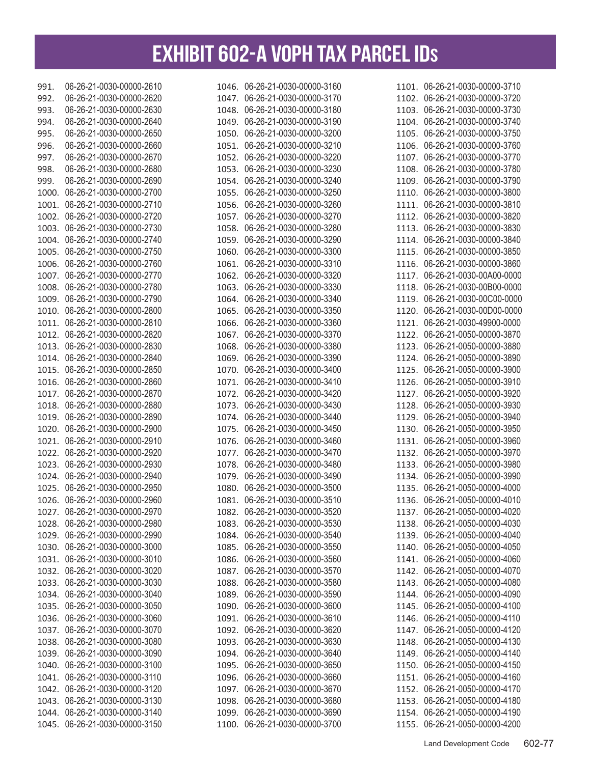| 991.  | 06-26-21-0030-00000-2610       | 1046. 06-26-21-0030-00000-3160 | 1101. 06-26-21-0030-00000-3710 |
|-------|--------------------------------|--------------------------------|--------------------------------|
| 992.  | 06-26-21-0030-00000-2620       | 1047. 06-26-21-0030-00000-3170 | 1102. 06-26-21-0030-00000-3720 |
| 993.  | 06-26-21-0030-00000-2630       | 1048. 06-26-21-0030-00000-3180 | 1103. 06-26-21-0030-00000-3730 |
| 994.  | 06-26-21-0030-00000-2640       | 1049. 06-26-21-0030-00000-3190 | 1104. 06-26-21-0030-00000-3740 |
| 995.  | 06-26-21-0030-00000-2650       | 1050. 06-26-21-0030-00000-3200 | 1105. 06-26-21-0030-00000-3750 |
| 996.  | 06-26-21-0030-00000-2660       | 1051. 06-26-21-0030-00000-3210 | 1106. 06-26-21-0030-00000-3760 |
| 997.  | 06-26-21-0030-00000-2670       | 1052. 06-26-21-0030-00000-3220 | 1107. 06-26-21-0030-00000-3770 |
| 998.  | 06-26-21-0030-00000-2680       | 1053. 06-26-21-0030-00000-3230 | 1108. 06-26-21-0030-00000-3780 |
| 999.  | 06-26-21-0030-00000-2690       | 1054. 06-26-21-0030-00000-3240 | 1109. 06-26-21-0030-00000-3790 |
| 1000. | 06-26-21-0030-00000-2700       | 1055. 06-26-21-0030-00000-3250 | 1110. 06-26-21-0030-00000-3800 |
| 1001. | 06-26-21-0030-00000-2710       | 1056. 06-26-21-0030-00000-3260 | 1111. 06-26-21-0030-00000-3810 |
| 1002. | 06-26-21-0030-00000-2720       | 1057. 06-26-21-0030-00000-3270 | 1112. 06-26-21-0030-00000-3820 |
|       | 1003. 06-26-21-0030-00000-2730 | 1058. 06-26-21-0030-00000-3280 | 1113. 06-26-21-0030-00000-3830 |
|       | 1004. 06-26-21-0030-00000-2740 | 1059. 06-26-21-0030-00000-3290 | 1114. 06-26-21-0030-00000-3840 |
|       | 1005. 06-26-21-0030-00000-2750 | 1060. 06-26-21-0030-00000-3300 | 1115. 06-26-21-0030-00000-3850 |
|       | 1006. 06-26-21-0030-00000-2760 | 1061. 06-26-21-0030-00000-3310 | 1116. 06-26-21-0030-00000-3860 |
|       | 1007. 06-26-21-0030-00000-2770 | 1062. 06-26-21-0030-00000-3320 | 1117. 06-26-21-0030-00A00-0000 |
|       | 1008. 06-26-21-0030-00000-2780 | 1063. 06-26-21-0030-00000-3330 | 1118. 06-26-21-0030-00B00-0000 |
|       | 1009. 06-26-21-0030-00000-2790 | 1064. 06-26-21-0030-00000-3340 | 1119. 06-26-21-0030-00C00-0000 |
|       | 1010. 06-26-21-0030-00000-2800 | 1065. 06-26-21-0030-00000-3350 | 1120. 06-26-21-0030-00D00-0000 |
|       | 1011. 06-26-21-0030-00000-2810 | 1066. 06-26-21-0030-00000-3360 | 1121. 06-26-21-0030-49900-0000 |
|       | 1012. 06-26-21-0030-00000-2820 | 1067. 06-26-21-0030-00000-3370 | 1122. 06-26-21-0050-00000-3870 |
|       | 1013. 06-26-21-0030-00000-2830 | 1068. 06-26-21-0030-00000-3380 | 1123. 06-26-21-0050-00000-3880 |
|       | 1014. 06-26-21-0030-00000-2840 | 1069. 06-26-21-0030-00000-3390 | 1124. 06-26-21-0050-00000-3890 |
|       | 1015. 06-26-21-0030-00000-2850 | 1070. 06-26-21-0030-00000-3400 | 1125. 06-26-21-0050-00000-3900 |
|       | 1016. 06-26-21-0030-00000-2860 | 1071. 06-26-21-0030-00000-3410 | 1126. 06-26-21-0050-00000-3910 |
|       | 1017. 06-26-21-0030-00000-2870 | 1072. 06-26-21-0030-00000-3420 | 1127. 06-26-21-0050-00000-3920 |
|       | 1018. 06-26-21-0030-00000-2880 | 1073. 06-26-21-0030-00000-3430 | 1128. 06-26-21-0050-00000-3930 |
|       |                                |                                |                                |
|       | 1019. 06-26-21-0030-00000-2890 | 1074. 06-26-21-0030-00000-3440 | 1129. 06-26-21-0050-00000-3940 |
|       | 1020. 06-26-21-0030-00000-2900 | 1075. 06-26-21-0030-00000-3450 | 1130. 06-26-21-0050-00000-3950 |
| 1021. | 06-26-21-0030-00000-2910       | 1076. 06-26-21-0030-00000-3460 | 1131. 06-26-21-0050-00000-3960 |
| 1022. | 06-26-21-0030-00000-2920       | 1077. 06-26-21-0030-00000-3470 | 1132. 06-26-21-0050-00000-3970 |
| 1023. | 06-26-21-0030-00000-2930       | 1078. 06-26-21-0030-00000-3480 | 1133. 06-26-21-0050-00000-3980 |
| 1024. | 06-26-21-0030-00000-2940       | 1079. 06-26-21-0030-00000-3490 | 1134. 06-26-21-0050-00000-3990 |
| 1025. | 06-26-21-0030-00000-2950       | 1080. 06-26-21-0030-00000-3500 | 1135. 06-26-21-0050-00000-4000 |
|       | 1026. 06-26-21-0030-00000-2960 | 1081. 06-26-21-0030-00000-3510 | 1136. 06-26-21-0050-00000-4010 |
|       | 1027. 06-26-21-0030-00000-2970 | 1082. 06-26-21-0030-00000-3520 | 1137. 06-26-21-0050-00000-4020 |
|       | 1028. 06-26-21-0030-00000-2980 | 1083. 06-26-21-0030-00000-3530 | 1138. 06-26-21-0050-00000-4030 |
|       | 1029. 06-26-21-0030-00000-2990 | 1084. 06-26-21-0030-00000-3540 | 1139. 06-26-21-0050-00000-4040 |
|       | 1030. 06-26-21-0030-00000-3000 | 1085. 06-26-21-0030-00000-3550 | 1140. 06-26-21-0050-00000-4050 |
|       | 1031. 06-26-21-0030-00000-3010 | 1086. 06-26-21-0030-00000-3560 | 1141. 06-26-21-0050-00000-4060 |
|       | 1032. 06-26-21-0030-00000-3020 | 1087. 06-26-21-0030-00000-3570 | 1142. 06-26-21-0050-00000-4070 |
|       | 1033. 06-26-21-0030-00000-3030 | 1088. 06-26-21-0030-00000-3580 | 1143. 06-26-21-0050-00000-4080 |
|       | 1034. 06-26-21-0030-00000-3040 | 1089. 06-26-21-0030-00000-3590 | 1144. 06-26-21-0050-00000-4090 |
|       | 1035. 06-26-21-0030-00000-3050 | 1090. 06-26-21-0030-00000-3600 | 1145. 06-26-21-0050-00000-4100 |
|       | 1036. 06-26-21-0030-00000-3060 | 1091. 06-26-21-0030-00000-3610 | 1146. 06-26-21-0050-00000-4110 |
|       | 1037. 06-26-21-0030-00000-3070 | 1092. 06-26-21-0030-00000-3620 | 1147. 06-26-21-0050-00000-4120 |
|       | 1038. 06-26-21-0030-00000-3080 | 1093. 06-26-21-0030-00000-3630 | 1148. 06-26-21-0050-00000-4130 |
|       | 1039. 06-26-21-0030-00000-3090 | 1094. 06-26-21-0030-00000-3640 | 1149. 06-26-21-0050-00000-4140 |
|       | 1040. 06-26-21-0030-00000-3100 | 1095. 06-26-21-0030-00000-3650 | 1150. 06-26-21-0050-00000-4150 |
|       | 1041. 06-26-21-0030-00000-3110 | 1096. 06-26-21-0030-00000-3660 | 1151. 06-26-21-0050-00000-4160 |
|       | 1042. 06-26-21-0030-00000-3120 | 1097. 06-26-21-0030-00000-3670 | 1152. 06-26-21-0050-00000-4170 |
|       | 1043. 06-26-21-0030-00000-3130 | 1098. 06-26-21-0030-00000-3680 | 1153. 06-26-21-0050-00000-4180 |
|       | 1044. 06-26-21-0030-00000-3140 | 1099. 06-26-21-0030-00000-3690 | 1154. 06-26-21-0050-00000-4190 |
|       | 1045. 06-26-21-0030-00000-3150 | 1100. 06-26-21-0030-00000-3700 | 1155. 06-26-21-0050-00000-4200 |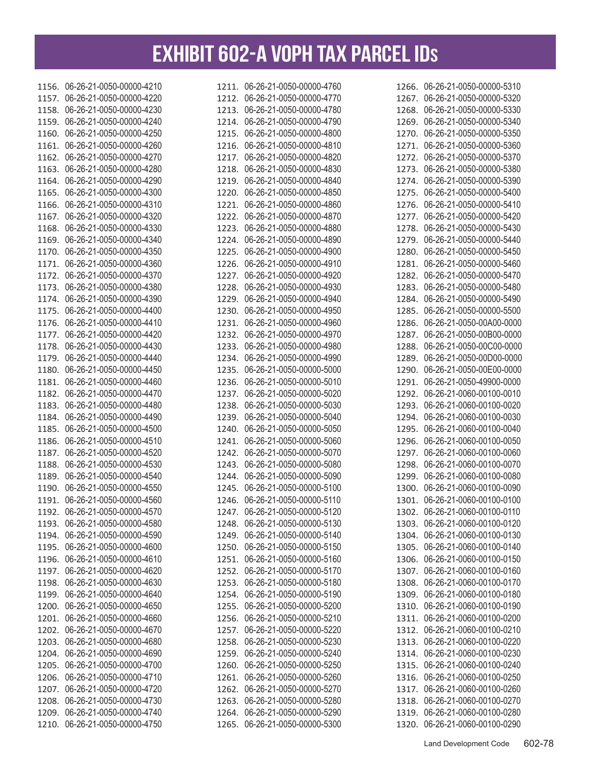| 1156. | 06-26-21-0050-00000-4210 |
|-------|--------------------------|
| 1157. | 06-26-21-0050-00000-4220 |
| 1158. | 06-26-21-0050-00000-4230 |
| 1159. | 06-26-21-0050-00000-4240 |
| 1160. | 06-26-21-0050-00000-4250 |
| 1161. | 06-26-21-0050-00000-4260 |
| 1162. | 06-26-21-0050-00000-4270 |
| 1163. | 06-26-21-0050-00000-4280 |
| 1164. | 06-26-21-0050-00000-4290 |
| 1165. | 06-26-21-0050-00000-4300 |
| 1166. | 06-26-21-0050-00000-4310 |
| 1167. | 06-26-21-0050-00000-4320 |
| 1168. | 06-26-21-0050-00000-4330 |
| 1169. | 06-26-21-0050-00000-4340 |
| 1170. | 06-26-21-0050-00000-4350 |
| 1171. | 06-26-21-0050-00000-4360 |
| 1172. | 06-26-21-0050-00000-4370 |
| 1173. | 06-26-21-0050-00000-4380 |
|       | 06-26-21-0050-00000-4390 |
| 1174. |                          |
| 1175. | 06-26-21-0050-00000-4400 |
| 1176. | 06-26-21-0050-00000-4410 |
| 1177. | 06-26-21-0050-00000-4420 |
| 1178. | 06-26-21-0050-00000-4430 |
| 1179. | 06-26-21-0050-00000-4440 |
| 1180. | 06-26-21-0050-00000-4450 |
| 1181. | 06-26-21-0050-00000-4460 |
| 1182. | 06-26-21-0050-00000-4470 |
| 1183. | 06-26-21-0050-00000-4480 |
| 1184. | 06-26-21-0050-00000-4490 |
| 1185. | 06-26-21-0050-00000-4500 |
| 1186. | 06-26-21-0050-00000-4510 |
| 1187. | 06-26-21-0050-00000-4520 |
| 1188. | 06-26-21-0050-00000-4530 |
| 1189. | 06-26-21-0050-00000-4540 |
| 1190. | 06-26-21-0050-00000-4550 |
| 1191. | 06-26-21-0050-00000-4560 |
| 1192. | 06-26-21-0050-00000-4570 |
| 1193. | 06-26-21-0050-00000-4580 |
| 1194. | 06-26-21-0050-00000-4590 |
| 1195. | 06-26-21-0050-00000-4600 |
| 1196. | 06-26-21-0050-00000-4610 |
| 1197. | 06-26-21-0050-00000-4620 |
| 1198. | 06-26-21-0050-00000-4630 |
| 1199. | 06-26-21-0050-00000-4640 |
| 1200. | 06-26-21-0050-00000-4650 |
| 1201. | 06-26-21-0050-00000-4660 |
| 1202. | 06-26-21-0050-00000-4670 |
| 1203. | 06-26-21-0050-00000-4680 |
| 1204. | 06-26-21-0050-00000-4690 |
| 1205. | 06-26-21-0050-00000-4700 |
| 1206. | 06-26-21-0050-00000-4710 |
| 1207. | 06-26-21-0050-00000-4720 |
| 1208. | 06-26-21-0050-00000-4730 |
| 1209. | 06-26-21-0050-00000-4740 |
| 1210. | 06-26-21-0050-00000-4750 |

| 1211. | 06-26-21-0050-00000-4760 |
|-------|--------------------------|
|       | 06-26-21-0050-00000-4770 |
| 1212. |                          |
| 1213. | 06-26-21-0050-00000-4780 |
| 1214. | 06-26-21-0050-00000-4790 |
| 1215. | 06-26-21-0050-00000-4800 |
| 1216. | 06-26-21-0050-00000-4810 |
| 1217. | 06-26-21-0050-00000-4820 |
| 1218. | 06-26-21-0050-00000-4830 |
| 1219. | 06-26-21-0050-00000-4840 |
| 1220. | 06-26-21-0050-00000-4850 |
| 1221. | 06-26-21-0050-00000-4860 |
|       |                          |
| 1222. | 06-26-21-0050-00000-4870 |
| 1223. | 06-26-21-0050-00000-4880 |
| 1224. | 06-26-21-0050-00000-4890 |
| 1225. | 06-26-21-0050-00000-4900 |
| 1226. | 06-26-21-0050-00000-4910 |
| 1227. | 06-26-21-0050-00000-4920 |
| 1228. | 06-26-21-0050-00000-4930 |
| 1229. | 06-26-21-0050-00000-4940 |
| 1230. | 06-26-21-0050-00000-4950 |
| 1231. | 06-26-21-0050-00000-4960 |
| 1232. | 06-26-21-0050-00000-4970 |
|       | 06-26-21-0050-00000-4980 |
| 1233. |                          |
| 1234. | 06-26-21-0050-00000-4990 |
| 1235. | 06-26-21-0050-00000-5000 |
| 1236. | 06-26-21-0050-00000-5010 |
| 1237. | 06-26-21-0050-00000-5020 |
| 1238. | 06-26-21-0050-00000-5030 |
| 1239. | 06-26-21-0050-00000-5040 |
| 1240. | 06-26-21-0050-00000-5050 |
| 1241. | 06-26-21-0050-00000-5060 |
| 1242. | 06-26-21-0050-00000-5070 |
| 1243. | 06-26-21-0050-00000-5080 |
| 1244. | 06-26-21-0050-00000-5090 |
| 1245. | 06-26-21-0050-00000-5100 |
| 1246. | 06-26-21-0050-00000-5110 |
| 1247. | 06-26-21-0050-00000-5120 |
| 1248. | 06-26-21-0050-00000-5130 |
| 1249. | 06-26-21-0050-00000-5140 |
| 1250. | 06-26-21-0050-00000-5150 |
|       |                          |
| 1251. | 06-26-21-0050-00000-5160 |
| 1252. | 06-26-21-0050-00000-5170 |
| 1253. | 06-26-21-0050-00000-5180 |
| 1254. | 06-26-21-0050-00000-5190 |
| 1255. | 06-26-21-0050-00000-5200 |
| 1256. | 06-26-21-0050-00000-5210 |
| 1257. | 06-26-21-0050-00000-5220 |
| 1258. | 06-26-21-0050-00000-5230 |
| 1259. | 06-26-21-0050-00000-5240 |
| 1260. | 06-26-21-0050-00000-5250 |
| 1261. | 06-26-21-0050-00000-5260 |
| 1262. | 06-26-21-0050-00000-5270 |
| 1263. | 06-26-21-0050-00000-5280 |
| 1264. | 06-26-21-0050-00000-5290 |
| 1265. | 06-26-21-0050-00000-5300 |
|       |                          |

| 1266. | 06-26-21-0050-00000-5310 |
|-------|--------------------------|
| 1267. | 06-26-21-0050-00000-5320 |
| 1268. | 06-26-21-0050-00000-5330 |
| 1269. | 06-26-21-0050-00000-5340 |
| 1270. | 06-26-21-0050-00000-5350 |
| 1271. | 06-26-21-0050-00000-5360 |
|       |                          |
| 1272. | 06-26-21-0050-00000-5370 |
| 1273. | 06-26-21-0050-00000-5380 |
| 1274. | 06-26-21-0050-00000-5390 |
| 1275. | 06-26-21-0050-00000-5400 |
| 1276. | 06-26-21-0050-00000-5410 |
| 1277. | 06-26-21-0050-00000-5420 |
| 1278. | 06-26-21-0050-00000-5430 |
| 1279. | 06-26-21-0050-00000-5440 |
| 1280. | 06-26-21-0050-00000-5450 |
| 1281. | 06-26-21-0050-00000-5460 |
| 1282. | 06-26-21-0050-00000-5470 |
| 1283. | 06-26-21-0050-00000-5480 |
|       |                          |
| 1284. | 06-26-21-0050-00000-5490 |
| 1285. | 06-26-21-0050-00000-5500 |
| 1286. | 06-26-21-0050-00A00-0000 |
| 1287. | 06-26-21-0050-00B00-0000 |
| 1288. | 06-26-21-0050-00C00-0000 |
| 1289. | 06-26-21-0050-00D00-0000 |
| 1290. | 06-26-21-0050-00E00-0000 |
| 1291. | 06-26-21-0050-49900-0000 |
| 1292. | 06-26-21-0060-00100-0010 |
| 1293. | 06-26-21-0060-00100-0020 |
| 1294. | 06-26-21-0060-00100-0030 |
| 1295. | 06-26-21-0060-00100-0040 |
| 1296. | 06-26-21-0060-00100-0050 |
| 1297. | 06-26-21-0060-00100-0060 |
|       | 06-26-21-0060-00100-0070 |
| 1298. |                          |
| 1299. | 06-26-21-0060-00100-0080 |
| 1300. | 06-26-21-0060-00100-0090 |
| 1301. | 06-26-21-0060-00100-0100 |
| 1302. | 06-26-21-0060-00100-0110 |
| 1303. | 06-26-21-0060-00100-0120 |
| 1304. | 06-26-21-0060-00100-0130 |
| 1305. | 06-26-21-0060-00100-0140 |
| 1306. | 06-26-21-0060-00100-0150 |
| 1307. | 06-26-21-0060-00100-0160 |
| 1308. | 06-26-21-0060-00100-0170 |
| 1309. | 06-26-21-0060-00100-0180 |
| 1310. | 06-26-21-0060-00100-0190 |
| 1311. | 06-26-21-0060-00100-0200 |
| 1312. | 06-26-21-0060-00100-0210 |
|       | 06-26-21-0060-00100-0220 |
| 1313. |                          |
| 1314. | 06-26-21-0060-00100-0230 |
| 1315. | 06-26-21-0060-00100-0240 |
| 1316. | 06-26-21-0060-00100-0250 |
| 1317. | 06-26-21-0060-00100-0260 |
| 1318. | 06-26-21-0060-00100-0270 |
| 1319. | 06-26-21-0060-00100-0280 |
| 1320. | 06-26-21-0060-00100-0290 |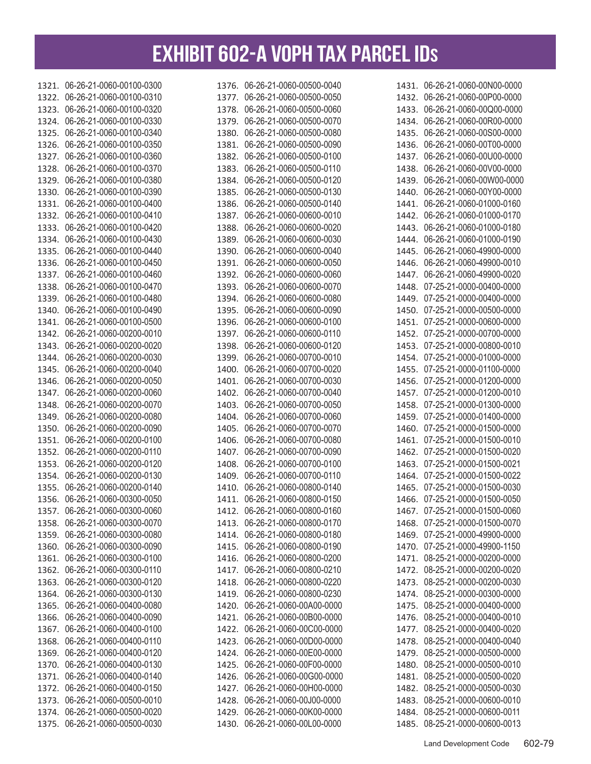| 1321. | 06-26-21-0060-00100-0300 |
|-------|--------------------------|
| 1322. | 06-26-21-0060-00100-0310 |
| 1323. | 06-26-21-0060-00100-0320 |
| 1324. | 06-26-21-0060-00100-0330 |
| 1325. | 06-26-21-0060-00100-0340 |
| 1326. | 06-26-21-0060-00100-0350 |
| 1327. | 06-26-21-0060-00100-0360 |
| 1328. | 06-26-21-0060-00100-0370 |
| 1329. | 06-26-21-0060-00100-0380 |
| 1330. | 06-26-21-0060-00100-0390 |
| 1331. | 06-26-21-0060-00100-0400 |
|       | 06-26-21-0060-00100-0410 |
| 1332. |                          |
| 1333. | 06-26-21-0060-00100-0420 |
| 1334. | 06-26-21-0060-00100-0430 |
| 1335. | 06-26-21-0060-00100-0440 |
| 1336. | 06-26-21-0060-00100-0450 |
| 1337. | 06-26-21-0060-00100-0460 |
| 1338. | 06-26-21-0060-00100-0470 |
| 1339. | 06-26-21-0060-00100-0480 |
| 1340. | 06-26-21-0060-00100-0490 |
| 1341. | 06-26-21-0060-00100-0500 |
| 1342. | 06-26-21-0060-00200-0010 |
| 1343. | 06-26-21-0060-00200-0020 |
| 1344. | 06-26-21-0060-00200-0030 |
| 1345. | 06-26-21-0060-00200-0040 |
| 1346. | 06-26-21-0060-00200-0050 |
| 1347. | 06-26-21-0060-00200-0060 |
| 1348. | 06-26-21-0060-00200-0070 |
| 1349. | 06-26-21-0060-00200-0080 |
| 1350. | 06-26-21-0060-00200-0090 |
| 1351. | 06-26-21-0060-00200-0100 |
| 1352. | 06-26-21-0060-00200-0110 |
| 1353. | 06-26-21-0060-00200-0120 |
|       |                          |
| 1354. | 06-26-21-0060-00200-0130 |
| 1355. | 06-26-21-0060-00200-0140 |
| 1356. | 06-26-21-0060-00300-0050 |
| 1357. | 06-26-21-0060-00300-0060 |
| 1358. | 06-26-21-0060-00300-0070 |
| 1359. | 06-26-21-0060-00300-0080 |
| 1360. | 06-26-21-0060-00300-0090 |
| 1361. | 06-26-21-0060-00300-0100 |
| 1362. | 06-26-21-0060-00300-0110 |
| 1363. | 06-26-21-0060-00300-0120 |
| 1364. | 06-26-21-0060-00300-0130 |
| 1365. | 06-26-21-0060-00400-0080 |
| 1366. | 06-26-21-0060-00400-0090 |
| 1367. | 06-26-21-0060-00400-0100 |
| 1368. | 06-26-21-0060-00400-0110 |
| 1369. | 06-26-21-0060-00400-0120 |
| 1370. | 06-26-21-0060-00400-0130 |
| 1371. | 06-26-21-0060-00400-0140 |
| 1372. | 06-26-21-0060-00400-0150 |
| 1373. | 06-26-21-0060-00500-0010 |
| 1374. | 06-26-21-0060-00500-0020 |
| 1375. | 06-26-21-0060-00500-0030 |
|       |                          |

| 1376. | 06-26-21-0060-00500-0040 |
|-------|--------------------------|
| 1377. | 06-26-21-0060-00500-0050 |
| 1378. | 06-26-21-0060-00500-0060 |
| 1379. | 06-26-21-0060-00500-0070 |
| 1380. | 06-26-21-0060-00500-0080 |
| 1381. | 06-26-21-0060-00500-0090 |
| 1382. | 06-26-21-0060-00500-0100 |
|       |                          |
| 1383. | 06-26-21-0060-00500-0110 |
| 1384. | 06-26-21-0060-00500-0120 |
| 1385. | 06-26-21-0060-00500-0130 |
| 1386. | 06-26-21-0060-00500-0140 |
| 1387. | 06-26-21-0060-00600-0010 |
| 1388. | 06-26-21-0060-00600-0020 |
| 1389. | 06-26-21-0060-00600-0030 |
| 1390. | 06-26-21-0060-00600-0040 |
| 1391. | 06-26-21-0060-00600-0050 |
| 1392. | 06-26-21-0060-00600-0060 |
|       |                          |
| 1393. | 06-26-21-0060-00600-0070 |
| 1394. | 06-26-21-0060-00600-0080 |
| 1395. | 06-26-21-0060-00600-0090 |
| 1396. | 06-26-21-0060-00600-0100 |
| 1397. | 06-26-21-0060-00600-0110 |
| 1398. | 06-26-21-0060-00600-0120 |
| 1399. | 06-26-21-0060-00700-0010 |
| 1400. | 06-26-21-0060-00700-0020 |
| 1401. | 06-26-21-0060-00700-0030 |
| 1402. | 06-26-21-0060-00700-0040 |
|       |                          |
| 1403. | 06-26-21-0060-00700-0050 |
| 1404. | 06-26-21-0060-00700-0060 |
| 1405. | 06-26-21-0060-00700-0070 |
| 1406. | 06-26-21-0060-00700-0080 |
| 1407. | 06-26-21-0060-00700-0090 |
| 1408. | 06-26-21-0060-00700-0100 |
| 1409. | 06-26-21-0060-00700-0110 |
| 1410. | 06-26-21-0060-00800-0140 |
| 1411. | 06-26-21-0060-00800-0150 |
| 1412. | 06-26-21-0060-00800-0160 |
| 1413. | 06-26-21-0060-00800-0170 |
| 1414. | 06-26-21-0060-00800-0180 |
| 1415. | 06-26-21-0060-00800-0190 |
| 1416. | 06-26-21-0060-00800-0200 |
|       | 06-26-21-0060-00800-0210 |
| 1417. |                          |
| 1418. | 06-26-21-0060-00800-0220 |
| 1419. | 06-26-21-0060-00800-0230 |
| 1420. | 06-26-21-0060-00A00-0000 |
| 1421. | 06-26-21-0060-00B00-0000 |
| 1422. | 06-26-21-0060-00C00-0000 |
| 1423. | 06-26-21-0060-00D00-0000 |
| 1424. | 06-26-21-0060-00E00-0000 |
| 1425. | 06-26-21-0060-00F00-0000 |
| 1426. | 06-26-21-0060-00G00-0000 |
| 1427. | 06-26-21-0060-00H00-0000 |
| 1428. | 06-26-21-0060-00J00-0000 |
|       | 06-26-21-0060-00K00-0000 |
| 1429. |                          |
| 1430. | 06-26-21-0060-00L00-0000 |

| 1431. | 06-26-21-0060-00N00-0000 |
|-------|--------------------------|
| 1432. | 06-26-21-0060-00P00-0000 |
| 1433. | 06-26-21-0060-00Q00-0000 |
| 1434. | 06-26-21-0060-00R00-0000 |
| 1435. | 06-26-21-0060-00S00-0000 |
| 1436. | 06-26-21-0060-00T00-0000 |
| 1437. | 06-26-21-0060-00U00-0000 |
| 1438. | 06-26-21-0060-00V00-0000 |
| 1439. | 06-26-21-0060-00W00-0000 |
| 1440. | 06-26-21-0060-00Y00-0000 |
| 1441. | 06-26-21-0060-01000-0160 |
| 1442. | 06-26-21-0060-01000-0170 |
| 1443. | 06-26-21-0060-01000-0180 |
|       |                          |
| 1444. | 06-26-21-0060-01000-0190 |
| 1445. | 06-26-21-0060-49900-0000 |
| 1446. | 06-26-21-0060-49900-0010 |
| 1447. | 06-26-21-0060-49900-0020 |
| 1448. | 07-25-21-0000-00400-0000 |
| 1449. | 07-25-21-0000-00400-0000 |
| 1450. | 07-25-21-0000-00500-0000 |
| 1451. | 07-25-21-0000-00600-0000 |
| 1452. | 07-25-21-0000-00700-0000 |
| 1453. | 07-25-21-0000-00800-0010 |
| 1454. | 07-25-21-0000-01000-0000 |
| 1455. | 07-25-21-0000-01100-0000 |
| 1456. | 07-25-21-0000-01200-0000 |
| 1457. | 07-25-21-0000-01200-0010 |
| 1458. | 07-25-21-0000-01300-0000 |
| 1459. | 07-25-21-0000-01400-0000 |
| 1460. | 07-25-21-0000-01500-0000 |
| 1461. | 07-25-21-0000-01500-0010 |
| 1462. | 07-25-21-0000-01500-0020 |
| 1463. | 07-25-21-0000-01500-0021 |
| 1464. | 07-25-21-0000-01500-0022 |
| 1465. | 07-25-21-0000-01500-0030 |
| 1466. | 07-25-21-0000-01500-0050 |
| 1467. | 07-25-21-0000-01500-0060 |
| 1468. | 07-25-21-0000-01500-0070 |
| 1469. | 07-25-21-0000-49900-0000 |
| 1470. | 07-25-21-0000-49900-1150 |
| 1471. | 08-25-21-0000-00200-0000 |
| 1472. | 08-25-21-0000-00200-0020 |
| 1473. | 08-25-21-0000-00200-0030 |
| 1474. | 08-25-21-0000-00300-0000 |
|       | 08-25-21-0000-00400-0000 |
| 1475. |                          |
| 1476. | 08-25-21-0000-00400-0010 |
| 1477. | 08-25-21-0000-00400-0020 |
| 1478. | 08-25-21-0000-00400-0040 |
| 1479. | 08-25-21-0000-00500-0000 |
| 1480. | 08-25-21-0000-00500-0010 |
| 1481. | 08-25-21-0000-00500-0020 |
| 1482. | 08-25-21-0000-00500-0030 |
| 1483. | 08-25-21-0000-00600-0010 |
| 1484. | 08-25-21-0000-00600-0011 |
| 1485. | 08-25-21-0000-00600-0013 |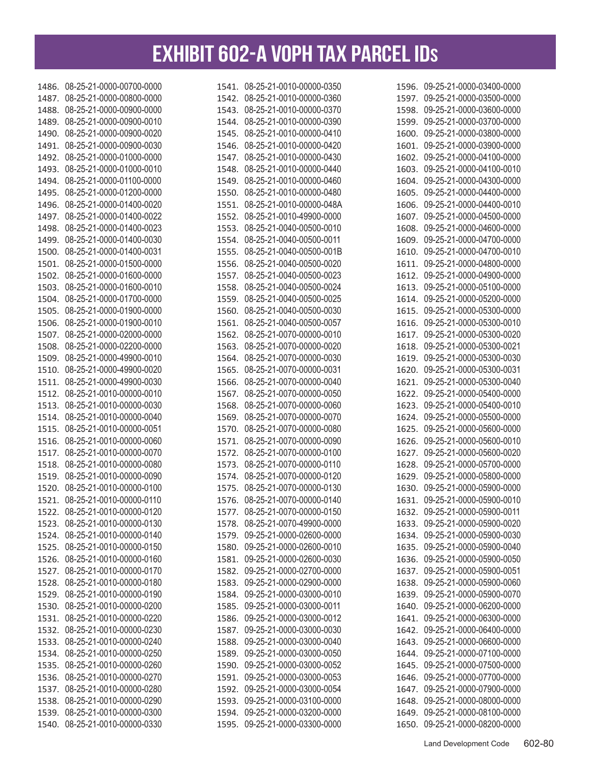|       | 1486. 08-25-21-0000-00700-0000 |       | 1541. 08-25-21-0010-00000-0350 |
|-------|--------------------------------|-------|--------------------------------|
| 1487. | 08-25-21-0000-00800-0000       | 1542. | 08-25-21-0010-00000-0360       |
| 1488. | 08-25-21-0000-00900-0000       | 1543. | 08-25-21-0010-00000-0370       |
|       | 1489. 08-25-21-0000-00900-0010 |       | 1544. 08-25-21-0010-00000-0390 |
|       | 1490. 08-25-21-0000-00900-0020 |       | 1545. 08-25-21-0010-00000-0410 |
|       | 1491. 08-25-21-0000-00900-0030 |       | 1546. 08-25-21-0010-00000-0420 |
|       | 1492. 08-25-21-0000-01000-0000 |       | 1547. 08-25-21-0010-00000-0430 |
|       | 1493. 08-25-21-0000-01000-0010 |       | 1548. 08-25-21-0010-00000-0440 |
|       | 1494. 08-25-21-0000-01100-0000 |       | 1549. 08-25-21-0010-00000-0460 |
|       | 1495. 08-25-21-0000-01200-0000 |       | 1550. 08-25-21-0010-00000-0480 |
|       | 1496. 08-25-21-0000-01400-0020 |       | 1551. 08-25-21-0010-00000-048A |
|       | 1497. 08-25-21-0000-01400-0022 |       | 1552. 08-25-21-0010-49900-0000 |
|       | 1498. 08-25-21-0000-01400-0023 |       | 1553. 08-25-21-0040-00500-0010 |
|       | 1499. 08-25-21-0000-01400-0030 |       | 1554. 08-25-21-0040-00500-0011 |
|       | 1500. 08-25-21-0000-01400-0031 |       | 1555. 08-25-21-0040-00500-001B |
|       | 1501. 08-25-21-0000-01500-0000 |       | 1556. 08-25-21-0040-00500-0020 |
|       | 1502. 08-25-21-0000-01600-0000 |       | 1557. 08-25-21-0040-00500-0023 |
|       | 1503. 08-25-21-0000-01600-0010 |       | 1558. 08-25-21-0040-00500-0024 |
|       | 1504. 08-25-21-0000-01700-0000 |       | 1559. 08-25-21-0040-00500-0025 |
|       | 1505. 08-25-21-0000-01900-0000 |       | 1560. 08-25-21-0040-00500-0030 |
|       | 1506. 08-25-21-0000-01900-0010 |       | 1561. 08-25-21-0040-00500-0057 |
|       | 1507. 08-25-21-0000-02000-0000 |       | 1562. 08-25-21-0070-00000-0010 |
|       | 1508. 08-25-21-0000-02200-0000 |       | 1563. 08-25-21-0070-00000-0020 |
|       | 1509. 08-25-21-0000-49900-0010 |       | 1564. 08-25-21-0070-00000-0030 |
|       | 1510. 08-25-21-0000-49900-0020 |       | 1565. 08-25-21-0070-00000-0031 |
| 1511. | 08-25-21-0000-49900-0030       |       | 1566. 08-25-21-0070-00000-0040 |
|       | 1512. 08-25-21-0010-00000-0010 |       | 1567. 08-25-21-0070-00000-0050 |
|       | 1513. 08-25-21-0010-00000-0030 |       | 1568. 08-25-21-0070-00000-0060 |
|       | 1514. 08-25-21-0010-00000-0040 |       | 1569. 08-25-21-0070-00000-0070 |
|       | 1515. 08-25-21-0010-00000-0051 |       | 1570. 08-25-21-0070-00000-0080 |
|       | 1516. 08-25-21-0010-00000-0060 |       | 1571. 08-25-21-0070-00000-0090 |
|       | 1517. 08-25-21-0010-00000-0070 |       | 1572. 08-25-21-0070-00000-0100 |
|       | 1518. 08-25-21-0010-00000-0080 |       | 1573. 08-25-21-0070-00000-0110 |
|       | 1519. 08-25-21-0010-00000-0090 |       | 1574. 08-25-21-0070-00000-0120 |
|       | 1520. 08-25-21-0010-00000-0100 |       | 1575. 08-25-21-0070-00000-0130 |
|       | 1521. 08-25-21-0010-00000-0110 |       | 1576. 08-25-21-0070-00000-0140 |
|       |                                |       | 1577. 08-25-21-0070-00000-0150 |
|       | 1522. 08-25-21-0010-00000-0120 |       |                                |
|       | 1523. 08-25-21-0010-00000-0130 |       | 1578. 08-25-21-0070-49900-0000 |
|       | 1524. 08-25-21-0010-00000-0140 |       | 1579. 09-25-21-0000-02600-0000 |
|       | 1525. 08-25-21-0010-00000-0150 |       | 1580. 09-25-21-0000-02600-0010 |
|       | 1526. 08-25-21-0010-00000-0160 |       | 1581. 09-25-21-0000-02600-0030 |
|       | 1527. 08-25-21-0010-00000-0170 |       | 1582. 09-25-21-0000-02700-0000 |
|       | 1528. 08-25-21-0010-00000-0180 |       | 1583. 09-25-21-0000-02900-0000 |
|       | 1529. 08-25-21-0010-00000-0190 |       | 1584. 09-25-21-0000-03000-0010 |
|       | 1530. 08-25-21-0010-00000-0200 |       | 1585. 09-25-21-0000-03000-0011 |
|       | 1531. 08-25-21-0010-00000-0220 |       | 1586. 09-25-21-0000-03000-0012 |
| 1532. | 08-25-21-0010-00000-0230       |       | 1587. 09-25-21-0000-03000-0030 |
| 1533. | 08-25-21-0010-00000-0240       |       | 1588. 09-25-21-0000-03000-0040 |
| 1534. | 08-25-21-0010-00000-0250       |       | 1589. 09-25-21-0000-03000-0050 |
| 1535. | 08-25-21-0010-00000-0260       | 1590. | 09-25-21-0000-03000-0052       |
| 1536. | 08-25-21-0010-00000-0270       | 1591. | 09-25-21-0000-03000-0053       |
| 1537. | 08-25-21-0010-00000-0280       | 1592. | 09-25-21-0000-03000-0054       |
| 1538. | 08-25-21-0010-00000-0290       | 1593. | 09-25-21-0000-03100-0000       |
| 1539. | 08-25-21-0010-00000-0300       | 1594. | 09-25-21-0000-03200-0000       |
| 1540. | 08-25-21-0010-00000-0330       | 1595. | 09-25-21-0000-03300-0000       |

| 1596.          | 09-25-21-0000-03400-0000 |
|----------------|--------------------------|
| 1597.          | 09-25-21-0000-03500-0000 |
| 1598.          | 09-25-21-0000-03600-0000 |
| 1599.          | 09-25-21-0000-03700-0000 |
| 1600.          | 09-25-21-0000-03800-0000 |
| 1601.          | 09-25-21-0000-03900-0000 |
| 1602.          | 09-25-21-0000-04100-0000 |
| 1603.          | 09-25-21-0000-04100-0010 |
| 1604.          | 09-25-21-0000-04300-0000 |
| 1605.          | 09-25-21-0000-04400-0000 |
| 1606.          | 09-25-21-0000-04400-0010 |
| 1607.          | 09-25-21-0000-04500-0000 |
| 1608.          | 09-25-21-0000-04600-0000 |
| 1609.          | 09-25-21-0000-04700-0000 |
| 1610.          | 09-25-21-0000-04700-0010 |
| 1611.          | 09-25-21-0000-04800-0000 |
| 1612.          | 09-25-21-0000-04900-0000 |
| 1613.          | 09-25-21-0000-05100-0000 |
| 1614.          | 09-25-21-0000-05200-0000 |
| 1615.          | 09-25-21-0000-05300-0000 |
| 1616.          | 09-25-21-0000-05300-0010 |
| 1617.          | 09-25-21-0000-05300-0020 |
| 1618.          | 09-25-21-0000-05300-0021 |
| 1619.          | 09-25-21-0000-05300-0030 |
| 1620.          | 09-25-21-0000-05300-0031 |
| 1621.          | 09-25-21-0000-05300-0040 |
| 1622.          | 09-25-21-0000-05400-0000 |
| 1623.          | 09-25-21-0000-05400-0010 |
| 1624.          | 09-25-21-0000-05500-0000 |
| 1625.          | 09-25-21-0000-05600-0000 |
| 1626.          | 09-25-21-0000-05600-0010 |
| 1627.          | 09-25-21-0000-05600-0020 |
| 1628.          | 09-25-21-0000-05700-0000 |
| 1629.          | 09-25-21-0000-05800-0000 |
| 1630.          | 09-25-21-0000-05900-0000 |
| 1631.          | 09-25-21-0000-05900-0010 |
| 1632.          | 09-25-21-0000-05900-0011 |
| 1633.          | 09-25-21-0000-05900-0020 |
| 1634.          | 09-25-21-0000-05900-0030 |
| 1635.          | 09-25-21-0000-05900-0040 |
| 1636.          | 09-25-21-0000-05900-0050 |
| 1637.          | 09-25-21-0000-05900-0051 |
| 1638.          | 09-25-21-0000-05900-0060 |
| 1639.          | 09-25-21-0000-05900-0070 |
| 1640.          | 09-25-21-0000-06200-0000 |
| 1641.          | 09-25-21-0000-06300-0000 |
| 1642.          | 09-25-21-0000-06400-0000 |
| 1643.          | 09-25-21-0000-06600-0000 |
|                | 09-25-21-0000-07100-0000 |
| 1644.<br>1645. | 09-25-21-0000-07500-0000 |
| 1646.          | 09-25-21-0000-07700-0000 |
|                | 09-25-21-0000-07900-0000 |
| 1647.          | 09-25-21-0000-08000-0000 |
| 1648.<br>1649. | 09-25-21-0000-08100-0000 |
|                | 09-25-21-0000-08200-0000 |
| 1650.          |                          |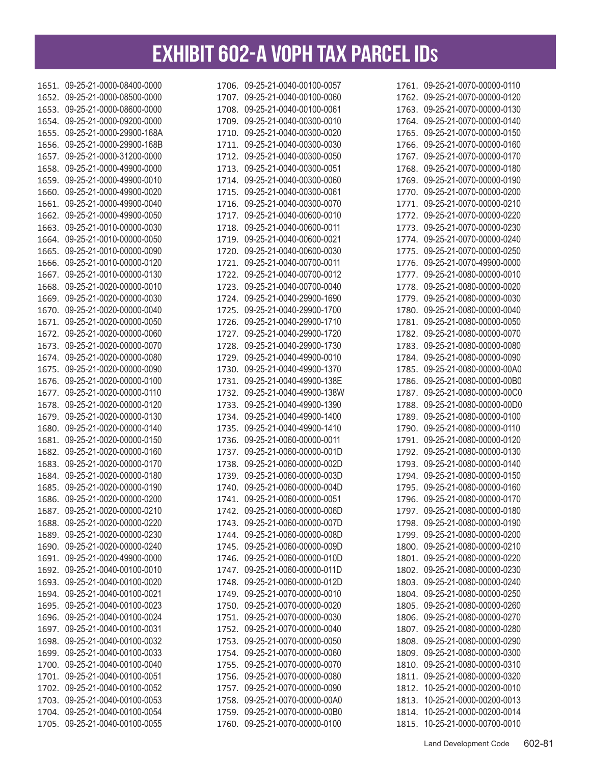| 1651. | 09-25-21-0000-08400-0000 |
|-------|--------------------------|
| 1652. | 09-25-21-0000-08500-0000 |
| 1653. | 09-25-21-0000-08600-0000 |
| 1654. | 09-25-21-0000-09200-0000 |
| 1655. | 09-25-21-0000-29900-168A |
| 1656. | 09-25-21-0000-29900-168B |
| 1657. | 09-25-21-0000-31200-0000 |
|       | 09-25-21-0000-49900-0000 |
| 1658. | 09-25-21-0000-49900-0010 |
| 1659. |                          |
| 1660. | 09-25-21-0000-49900-0020 |
| 1661. | 09-25-21-0000-49900-0040 |
| 1662. | 09-25-21-0000-49900-0050 |
| 1663. | 09-25-21-0010-00000-0030 |
| 1664. | 09-25-21-0010-00000-0050 |
| 1665. | 09-25-21-0010-00000-0090 |
| 1666. | 09-25-21-0010-00000-0120 |
| 1667. | 09-25-21-0010-00000-0130 |
| 1668. | 09-25-21-0020-00000-0010 |
| 1669. | 09-25-21-0020-00000-0030 |
| 1670. | 09-25-21-0020-00000-0040 |
| 1671. | 09-25-21-0020-00000-0050 |
| 1672. | 09-25-21-0020-00000-0060 |
| 1673. | 09-25-21-0020-00000-0070 |
| 1674. | 09-25-21-0020-00000-0080 |
| 1675. | 09-25-21-0020-00000-0090 |
| 1676. | 09-25-21-0020-00000-0100 |
| 1677. | 09-25-21-0020-00000-0110 |
|       | 09-25-21-0020-00000-0120 |
| 1678. |                          |
| 1679. | 09-25-21-0020-00000-0130 |
| 1680. | 09-25-21-0020-00000-0140 |
| 1681. | 09-25-21-0020-00000-0150 |
| 1682. | 09-25-21-0020-00000-0160 |
| 1683. | 09-25-21-0020-00000-0170 |
| 1684. | 09-25-21-0020-00000-0180 |
| 1685. | 09-25-21-0020-00000-0190 |
| 1686. | 09-25-21-0020-00000-0200 |
| 1687. | 09-25-21-0020-00000-0210 |
| 1688. | 09-25-21-0020-00000-0220 |
| 1689. | 09-25-21-0020-00000-0230 |
| 1690. | 09-25-21-0020-00000-0240 |
| 1691. | 09-25-21-0020-49900-0000 |
| 1692. | 09-25-21-0040-00100-0010 |
| 1693. | 09-25-21-0040-00100-0020 |
| 1694. | 09-25-21-0040-00100-0021 |
| 1695. | 09-25-21-0040-00100-0023 |
| 1696. | 09-25-21-0040-00100-0024 |
| 1697. | 09-25-21-0040-00100-0031 |
| 1698. | 09-25-21-0040-00100-0032 |
| 1699. | 09-25-21-0040-00100-0033 |
| 1700. | 09-25-21-0040-00100-0040 |
|       | 09-25-21-0040-00100-0051 |
| 1701. |                          |
| 1702. | 09-25-21-0040-00100-0052 |
| 1703. | 09-25-21-0040-00100-0053 |
| 1704. | 09-25-21-0040-00100-0054 |
| 1705. | 09-25-21-0040-00100-0055 |

| 1706. | 09-25-21-0040-00100-0057 |
|-------|--------------------------|
| 1707. | 09-25-21-0040-00100-0060 |
| 1708. | 09-25-21-0040-00100-0061 |
| 1709. | 09-25-21-0040-00300-0010 |
|       |                          |
| 1710. | 09-25-21-0040-00300-0020 |
| 1711. | 09-25-21-0040-00300-0030 |
| 1712. | 09-25-21-0040-00300-0050 |
| 1713. | 09-25-21-0040-00300-0051 |
| 1714. | 09-25-21-0040-00300-0060 |
|       |                          |
| 1715. | 09-25-21-0040-00300-0061 |
| 1716. | 09-25-21-0040-00300-0070 |
| 1717. | 09-25-21-0040-00600-0010 |
| 1718. | 09-25-21-0040-00600-0011 |
| 1719. | 09-25-21-0040-00600-0021 |
|       | 09-25-21-0040-00600-0030 |
| 1720. |                          |
| 1721. | 09-25-21-0040-00700-0011 |
| 1722. | 09-25-21-0040-00700-0012 |
| 1723. | 09-25-21-0040-00700-0040 |
| 1724. | 09-25-21-0040-29900-1690 |
| 1725. | 09-25-21-0040-29900-1700 |
|       |                          |
| 1726. | 09-25-21-0040-29900-1710 |
| 1727. | 09-25-21-0040-29900-1720 |
| 1728. | 09-25-21-0040-29900-1730 |
| 1729. | 09-25-21-0040-49900-0010 |
| 1730. | 09-25-21-0040-49900-1370 |
| 1731. | 09-25-21-0040-49900-138E |
|       |                          |
| 1732. | 09-25-21-0040-49900-138W |
| 1733. | 09-25-21-0040-49900-1390 |
| 1734. | 09-25-21-0040-49900-1400 |
| 1735. | 09-25-21-0040-49900-1410 |
| 1736. | 09-25-21-0060-00000-0011 |
|       | 09-25-21-0060-00000-001D |
| 1737. |                          |
| 1738. | 09-25-21-0060-00000-002D |
| 1739. | 09-25-21-0060-00000-003D |
| 1740. | 09-25-21-0060-00000-004D |
| 1741. | 09-25-21-0060-00000-0051 |
| 1742. | 09-25-21-0060-00000-006D |
| 1743. | 09-25-21-0060-00000-007D |
|       |                          |
| 1744. | 09-25-21-0060-00000-008D |
| 1745. | 09-25-21-0060-00000-009D |
| 1746. | 09-25-21-0060-00000-010D |
| 1747. | 09-25-21-0060-00000-011D |
| 1748. | 09-25-21-0060-00000-012D |
| 1749. | 09-25-21-0070-00000-0010 |
|       |                          |
| 1750. | 09-25-21-0070-00000-0020 |
| 1751. | 09-25-21-0070-00000-0030 |
| 1752. | 09-25-21-0070-00000-0040 |
| 1753. | 09-25-21-0070-00000-0050 |
| 1754. | 09-25-21-0070-00000-0060 |
| 1755. | 09-25-21-0070-00000-0070 |
|       |                          |
| 1756. | 09-25-21-0070-00000-0080 |
| 1757. | 09-25-21-0070-00000-0090 |
| 1758. | 09-25-21-0070-00000-00A0 |
| 1759. | 09-25-21-0070-00000-00B0 |
| 1760. | 09-25-21-0070-00000-0100 |
|       |                          |

| 1761. | 09-25-21-0070-00000-0110                             |
|-------|------------------------------------------------------|
| 1762. | 09-25-21-0070-00000-0120                             |
| 1763. | 09-25-21-0070-00000-0130                             |
| 1764. | 09-25-21-0070-00000-0140                             |
| 1765. | 09-25-21-0070-00000-0150                             |
| 1766. | 09-25-21-0070-00000-0160                             |
| 1767. | 09-25-21-0070-00000-0170                             |
| 1768. | 09-25-21-0070-00000-0180                             |
| 1769. | 09-25-21-0070-00000-0190                             |
| 1770. | 09-25-21-0070-00000-0200                             |
| 1771. | 09-25-21-0070-00000-0210                             |
| 1772. | 09-25-21-0070-00000-0220                             |
| 1773. | 09-25-21-0070-00000-0230                             |
| 1774. | 09-25-21-0070-00000-0240                             |
| 1775. | 09-25-21-0070-00000-0250                             |
| 1776. | 09-25-21-0070-49900-0000                             |
| 1777. | 09-25-21-0080-00000-0010                             |
| 1778. | 09-25-21-0080-00000-0020                             |
| 1779. | 09-25-21-0080-00000-0030                             |
| 1780. | 09-25-21-0080-00000-0040                             |
| 1781. | 09-25-21-0080-00000-0050                             |
| 1782. | 09-25-21-0080-00000-0070                             |
| 1783. | 09-25-21-0080-00000-0080                             |
|       | 09-25-21-0080-00000-0090                             |
| 1784. | 09-25-21-0080-00000-00A0                             |
| 1785. |                                                      |
| 1786. | 09-25-21-0080-00000-00B0                             |
| 1787. | 09-25-21-0080-00000-00C0                             |
| 1788. | 09-25-21-0080-00000-00D0                             |
| 1789. | 09-25-21-0080-00000-0100<br>09-25-21-0080-00000-0110 |
| 1790. |                                                      |
| 1791. | 09-25-21-0080-00000-0120<br>09-25-21-0080-00000-0130 |
| 1792. |                                                      |
| 1793. | 09-25-21-0080-00000-0140                             |
| 1794. | 09-25-21-0080-00000-0150                             |
| 1795. | 09-25-21-0080-00000-0160                             |
| 1796. | 09-25-21-0080-00000-0170                             |
| 1797  | 09-25-21-0080-00000-0180                             |
| 1798. | 09-25-21-0080-00000-0190                             |
| 1799. | 09-25-21-0080-00000-0200                             |
| 1800. | 09-25-21-0080-00000-0210                             |
| 1801. | 09-25-21-0080-00000-0220                             |
| 1802. | 09-25-21-0080-00000-0230                             |
| 1803. | 09-25-21-0080-00000-0240                             |
| 1804. | 09-25-21-0080-00000-0250                             |
| 1805. | 09-25-21-0080-00000-0260                             |
| 1806. | 09-25-21-0080-00000-0270                             |
| 1807. | 09-25-21-0080-00000-0280                             |
| 1808. | 09-25-21-0080-00000-0290                             |
| 1809. | 09-25-21-0080-00000-0300                             |
| 1810. | 09-25-21-0080-00000-0310                             |
| 1811. | 09-25-21-0080-00000-0320                             |
| 1812. | 10-25-21-0000-00200-0010                             |
| 1813. | 10-25-21-0000-00200-0013                             |
| 1814. | 10-25-21-0000-00200-0014                             |
| 1815. | 10-25-21-0000-00700-0010                             |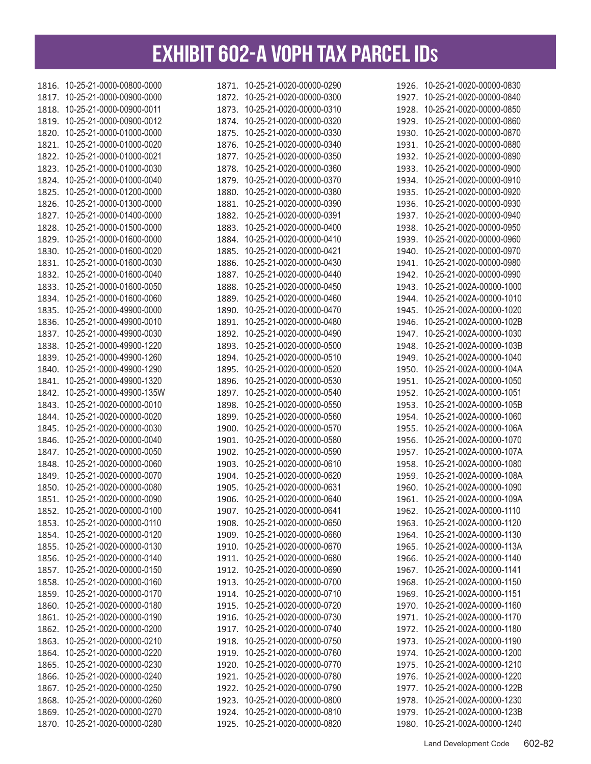| 1816. 10-25-21-0000-00800-0000 | 1871. 10-25-21-0020-00000-0290 | 1926. 10-25-21-0020-00000-0830 |
|--------------------------------|--------------------------------|--------------------------------|
| 1817. 10-25-21-0000-00900-0000 | 1872. 10-25-21-0020-00000-0300 | 1927. 10-25-21-0020-00000-0840 |
| 1818. 10-25-21-0000-00900-0011 | 1873. 10-25-21-0020-00000-0310 | 1928. 10-25-21-0020-00000-0850 |
| 1819. 10-25-21-0000-00900-0012 | 1874. 10-25-21-0020-00000-0320 | 1929. 10-25-21-0020-00000-0860 |
| 1820. 10-25-21-0000-01000-0000 | 1875. 10-25-21-0020-00000-0330 | 1930. 10-25-21-0020-00000-0870 |
| 1821. 10-25-21-0000-01000-0020 | 1876. 10-25-21-0020-00000-0340 | 1931. 10-25-21-0020-00000-0880 |
| 1822. 10-25-21-0000-01000-0021 | 1877. 10-25-21-0020-00000-0350 | 1932. 10-25-21-0020-00000-0890 |
| 1823. 10-25-21-0000-01000-0030 | 1878. 10-25-21-0020-00000-0360 | 1933. 10-25-21-0020-00000-0900 |
| 1824. 10-25-21-0000-01000-0040 | 1879. 10-25-21-0020-00000-0370 | 1934. 10-25-21-0020-00000-0910 |
| 1825. 10-25-21-0000-01200-0000 | 1880. 10-25-21-0020-00000-0380 | 1935. 10-25-21-0020-00000-0920 |
| 1826. 10-25-21-0000-01300-0000 | 1881. 10-25-21-0020-00000-0390 | 1936. 10-25-21-0020-00000-0930 |
| 1827. 10-25-21-0000-01400-0000 | 1882. 10-25-21-0020-00000-0391 | 1937. 10-25-21-0020-00000-0940 |
| 1828. 10-25-21-0000-01500-0000 | 1883. 10-25-21-0020-00000-0400 | 1938. 10-25-21-0020-00000-0950 |
| 1829. 10-25-21-0000-01600-0000 | 1884. 10-25-21-0020-00000-0410 | 1939. 10-25-21-0020-00000-0960 |
| 1830. 10-25-21-0000-01600-0020 | 1885. 10-25-21-0020-00000-0421 | 1940. 10-25-21-0020-00000-0970 |
| 1831. 10-25-21-0000-01600-0030 | 1886. 10-25-21-0020-00000-0430 | 1941. 10-25-21-0020-00000-0980 |
| 1832. 10-25-21-0000-01600-0040 | 1887. 10-25-21-0020-00000-0440 | 1942. 10-25-21-0020-00000-0990 |
| 1833. 10-25-21-0000-01600-0050 | 1888. 10-25-21-0020-00000-0450 | 1943. 10-25-21-002A-00000-1000 |
| 1834. 10-25-21-0000-01600-0060 | 1889. 10-25-21-0020-00000-0460 | 1944. 10-25-21-002A-00000-1010 |
| 1835. 10-25-21-0000-49900-0000 | 1890. 10-25-21-0020-00000-0470 | 1945. 10-25-21-002A-00000-1020 |
| 1836. 10-25-21-0000-49900-0010 | 1891. 10-25-21-0020-00000-0480 | 1946. 10-25-21-002A-00000-102B |
| 1837. 10-25-21-0000-49900-0030 | 1892. 10-25-21-0020-00000-0490 | 1947. 10-25-21-002A-00000-1030 |
| 1838. 10-25-21-0000-49900-1220 | 1893. 10-25-21-0020-00000-0500 | 1948. 10-25-21-002A-00000-103B |
| 1839. 10-25-21-0000-49900-1260 | 1894. 10-25-21-0020-00000-0510 | 1949. 10-25-21-002A-00000-1040 |
| 1840. 10-25-21-0000-49900-1290 | 1895. 10-25-21-0020-00000-0520 | 1950. 10-25-21-002A-00000-104A |
| 1841. 10-25-21-0000-49900-1320 | 1896. 10-25-21-0020-00000-0530 | 1951. 10-25-21-002A-00000-1050 |
| 1842. 10-25-21-0000-49900-135W | 1897. 10-25-21-0020-00000-0540 | 1952. 10-25-21-002A-00000-1051 |
| 1843. 10-25-21-0020-00000-0010 | 1898. 10-25-21-0020-00000-0550 | 1953. 10-25-21-002A-00000-105B |
| 1844. 10-25-21-0020-00000-0020 | 1899. 10-25-21-0020-00000-0560 | 1954. 10-25-21-002A-00000-1060 |
| 1845. 10-25-21-0020-00000-0030 | 1900. 10-25-21-0020-00000-0570 |                                |
|                                |                                | 1955. 10-25-21-002A-00000-106A |
| 1846. 10-25-21-0020-00000-0040 | 1901. 10-25-21-0020-00000-0580 | 1956. 10-25-21-002A-00000-1070 |
| 1847. 10-25-21-0020-00000-0050 | 1902. 10-25-21-0020-00000-0590 | 1957. 10-25-21-002A-00000-107A |
| 1848. 10-25-21-0020-00000-0060 | 1903. 10-25-21-0020-00000-0610 | 1958. 10-25-21-002A-00000-1080 |
| 1849. 10-25-21-0020-00000-0070 | 1904. 10-25-21-0020-00000-0620 | 1959. 10-25-21-002A-00000-108A |
| 1850. 10-25-21-0020-00000-0080 | 1905. 10-25-21-0020-00000-0631 | 1960. 10-25-21-002A-00000-1090 |
| 1851. 10-25-21-0020-00000-0090 | 1906. 10-25-21-0020-00000-0640 | 1961. 10-25-21-002A-00000-109A |
| 1852. 10-25-21-0020-00000-0100 | 1907. 10-25-21-0020-00000-0641 | 1962. 10-25-21-002A-00000-1110 |
| 1853. 10-25-21-0020-00000-0110 | 1908. 10-25-21-0020-00000-0650 | 1963. 10-25-21-002A-00000-1120 |
| 1854. 10-25-21-0020-00000-0120 | 1909. 10-25-21-0020-00000-0660 | 1964. 10-25-21-002A-00000-1130 |
| 1855. 10-25-21-0020-00000-0130 | 1910. 10-25-21-0020-00000-0670 | 1965. 10-25-21-002A-00000-113A |
| 1856. 10-25-21-0020-00000-0140 | 1911. 10-25-21-0020-00000-0680 | 1966. 10-25-21-002A-00000-1140 |
| 1857. 10-25-21-0020-00000-0150 | 1912. 10-25-21-0020-00000-0690 | 1967. 10-25-21-002A-00000-1141 |
| 1858. 10-25-21-0020-00000-0160 | 1913. 10-25-21-0020-00000-0700 | 1968. 10-25-21-002A-00000-1150 |
| 1859. 10-25-21-0020-00000-0170 | 1914. 10-25-21-0020-00000-0710 | 1969. 10-25-21-002A-00000-1151 |
| 1860. 10-25-21-0020-00000-0180 | 1915. 10-25-21-0020-00000-0720 | 1970. 10-25-21-002A-00000-1160 |
| 1861. 10-25-21-0020-00000-0190 | 1916. 10-25-21-0020-00000-0730 | 1971. 10-25-21-002A-00000-1170 |
| 1862. 10-25-21-0020-00000-0200 | 1917. 10-25-21-0020-00000-0740 | 1972. 10-25-21-002A-00000-1180 |
| 1863. 10-25-21-0020-00000-0210 | 1918. 10-25-21-0020-00000-0750 | 1973. 10-25-21-002A-00000-1190 |
| 1864. 10-25-21-0020-00000-0220 | 1919. 10-25-21-0020-00000-0760 | 1974. 10-25-21-002A-00000-1200 |
| 1865. 10-25-21-0020-00000-0230 | 1920. 10-25-21-0020-00000-0770 | 1975. 10-25-21-002A-00000-1210 |
| 1866. 10-25-21-0020-00000-0240 | 1921. 10-25-21-0020-00000-0780 | 1976. 10-25-21-002A-00000-1220 |
| 1867. 10-25-21-0020-00000-0250 | 1922. 10-25-21-0020-00000-0790 | 1977. 10-25-21-002A-00000-122B |
| 1868. 10-25-21-0020-00000-0260 | 1923. 10-25-21-0020-00000-0800 | 1978. 10-25-21-002A-00000-1230 |
| 1869. 10-25-21-0020-00000-0270 | 1924. 10-25-21-0020-00000-0810 | 1979. 10-25-21-002A-00000-123B |
| 1870. 10-25-21-0020-00000-0280 | 1925. 10-25-21-0020-00000-0820 | 1980. 10-25-21-002A-00000-1240 |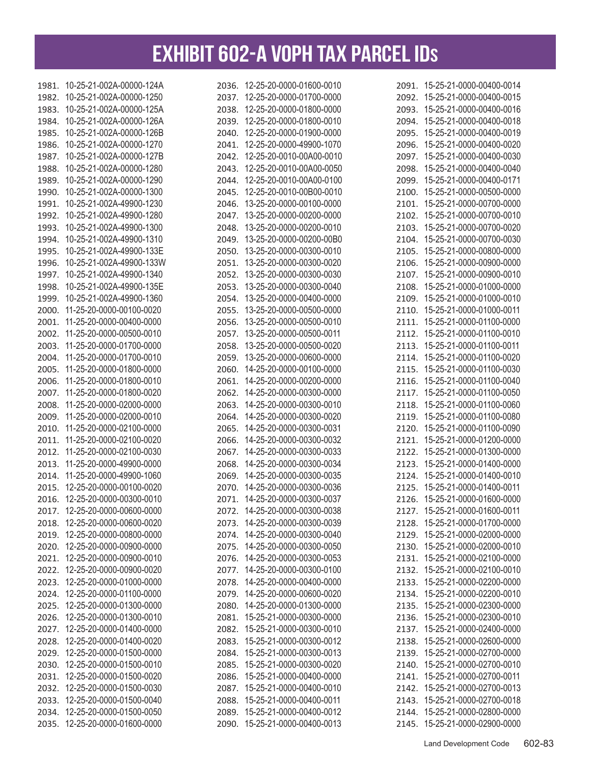| 1981. 10-25-21-002A-00000-124A | 2036. 12-25-20-0000-01600-0010 | 2091. 15-25-21-0000-00400-0014                                   |
|--------------------------------|--------------------------------|------------------------------------------------------------------|
| 1982. 10-25-21-002A-00000-1250 | 2037. 12-25-20-0000-01700-0000 | 2092. 15-25-21-0000-00400-0015                                   |
| 1983. 10-25-21-002A-00000-125A | 2038. 12-25-20-0000-01800-0000 | 2093. 15-25-21-0000-00400-0016                                   |
| 1984. 10-25-21-002A-00000-126A | 2039. 12-25-20-0000-01800-0010 | 2094. 15-25-21-0000-00400-0018                                   |
| 1985. 10-25-21-002A-00000-126B | 2040. 12-25-20-0000-01900-0000 | 2095. 15-25-21-0000-00400-0019                                   |
| 1986. 10-25-21-002A-00000-1270 | 2041. 12-25-20-0000-49900-1070 | 2096. 15-25-21-0000-00400-0020                                   |
| 1987. 10-25-21-002A-00000-127B | 2042. 12-25-20-0010-00A00-0010 | 2097. 15-25-21-0000-00400-0030                                   |
| 1988. 10-25-21-002A-00000-1280 | 2043. 12-25-20-0010-00A00-0050 | 2098. 15-25-21-0000-00400-0040                                   |
| 1989. 10-25-21-002A-00000-1290 | 2044. 12-25-20-0010-00A00-0100 | 2099. 15-25-21-0000-00400-0171                                   |
| 1990. 10-25-21-002A-00000-1300 | 2045. 12-25-20-0010-00B00-0010 | 2100. 15-25-21-0000-00500-0000                                   |
| 1991. 10-25-21-002A-49900-1230 | 2046. 13-25-20-0000-00100-0000 | 2101. 15-25-21-0000-00700-0000                                   |
| 1992. 10-25-21-002A-49900-1280 | 2047. 13-25-20-0000-00200-0000 | 2102. 15-25-21-0000-00700-0010                                   |
| 1993. 10-25-21-002A-49900-1300 | 2048. 13-25-20-0000-00200-0010 | 2103. 15-25-21-0000-00700-0020                                   |
| 1994. 10-25-21-002A-49900-1310 | 2049. 13-25-20-0000-00200-00B0 | 2104. 15-25-21-0000-00700-0030                                   |
| 1995. 10-25-21-002A-49900-133E | 2050. 13-25-20-0000-00300-0010 | 2105. 15-25-21-0000-00800-0000                                   |
| 1996. 10-25-21-002A-49900-133W | 2051. 13-25-20-0000-00300-0020 | 2106. 15-25-21-0000-00900-0000                                   |
| 1997. 10-25-21-002A-49900-1340 | 2052. 13-25-20-0000-00300-0030 | 2107. 15-25-21-0000-00900-0010                                   |
| 1998. 10-25-21-002A-49900-135E | 2053. 13-25-20-0000-00300-0040 | 2108. 15-25-21-0000-01000-0000                                   |
| 1999. 10-25-21-002A-49900-1360 | 2054. 13-25-20-0000-00400-0000 | 2109. 15-25-21-0000-01000-0010                                   |
| 2000. 11-25-20-0000-00100-0020 | 2055. 13-25-20-0000-00500-0000 | 2110. 15-25-21-0000-01000-0011                                   |
| 2001. 11-25-20-0000-00400-0000 | 2056. 13-25-20-0000-00500-0010 | 2111. 15-25-21-0000-01100-0000                                   |
| 2002. 11-25-20-0000-00500-0010 | 2057. 13-25-20-0000-00500-0011 | 2112. 15-25-21-0000-01100-0010                                   |
| 2003. 11-25-20-0000-01700-0000 | 2058. 13-25-20-0000-00500-0020 | 2113. 15-25-21-0000-01100-0011                                   |
| 2004. 11-25-20-0000-01700-0010 | 2059. 13-25-20-0000-00600-0000 | 2114. 15-25-21-0000-01100-0020                                   |
| 2005. 11-25-20-0000-01800-0000 | 2060. 14-25-20-0000-00100-0000 | 2115. 15-25-21-0000-01100-0030                                   |
| 2006. 11-25-20-0000-01800-0010 | 2061. 14-25-20-0000-00200-0000 | 2116. 15-25-21-0000-01100-0040                                   |
| 2007. 11-25-20-0000-01800-0020 | 2062. 14-25-20-0000-00300-0000 | 2117. 15-25-21-0000-01100-0050                                   |
| 2008. 11-25-20-0000-02000-0000 | 2063. 14-25-20-0000-00300-0010 | 2118. 15-25-21-0000-01100-0060                                   |
| 2009. 11-25-20-0000-02000-0010 | 2064. 14-25-20-0000-00300-0020 | 2119. 15-25-21-0000-01100-0080                                   |
| 2010. 11-25-20-0000-02100-0000 | 2065. 14-25-20-0000-00300-0031 | 2120. 15-25-21-0000-01100-0090                                   |
| 2011. 11-25-20-0000-02100-0020 | 2066. 14-25-20-0000-00300-0032 | 2121. 15-25-21-0000-01200-0000                                   |
| 2012. 11-25-20-0000-02100-0030 | 2067. 14-25-20-0000-00300-0033 | 2122. 15-25-21-0000-01300-0000                                   |
| 2013. 11-25-20-0000-49900-0000 | 2068. 14-25-20-0000-00300-0034 | 2123. 15-25-21-0000-01400-0000                                   |
| 2014. 11-25-20-0000-49900-1060 | 2069. 14-25-20-0000-00300-0035 | 2124. 15-25-21-0000-01400-0010                                   |
| 2015. 12-25-20-0000-00100-0020 | 2070. 14-25-20-0000-00300-0036 |                                                                  |
| 2016. 12-25-20-0000-00300-0010 |                                | 2125. 15-25-21-0000-01400-0011<br>2126. 15-25-21-0000-01600-0000 |
|                                | 2071. 14-25-20-0000-00300-0037 | 2127. 15-25-21-0000-01600-0011                                   |
| 2017. 12-25-20-0000-00600-0000 | 2072. 14-25-20-0000-00300-0038 |                                                                  |
| 2018. 12-25-20-0000-00600-0020 | 2073. 14-25-20-0000-00300-0039 | 2128. 15-25-21-0000-01700-0000                                   |
| 2019. 12-25-20-0000-00800-0000 | 2074. 14-25-20-0000-00300-0040 | 2129. 15-25-21-0000-02000-0000                                   |
| 2020. 12-25-20-0000-00900-0000 | 2075. 14-25-20-0000-00300-0050 | 2130. 15-25-21-0000-02000-0010                                   |
| 2021. 12-25-20-0000-00900-0010 | 2076. 14-25-20-0000-00300-0053 | 2131. 15-25-21-0000-02100-0000                                   |
| 2022. 12-25-20-0000-00900-0020 | 2077. 14-25-20-0000-00300-0100 | 2132. 15-25-21-0000-02100-0010                                   |
| 2023. 12-25-20-0000-01000-0000 | 2078. 14-25-20-0000-00400-0000 | 2133. 15-25-21-0000-02200-0000                                   |
| 2024. 12-25-20-0000-01100-0000 | 2079. 14-25-20-0000-00600-0020 | 2134. 15-25-21-0000-02200-0010                                   |
| 2025. 12-25-20-0000-01300-0000 | 2080. 14-25-20-0000-01300-0000 | 2135. 15-25-21-0000-02300-0000                                   |
| 2026. 12-25-20-0000-01300-0010 | 2081. 15-25-21-0000-00300-0000 | 2136. 15-25-21-0000-02300-0010                                   |
| 2027. 12-25-20-0000-01400-0000 | 2082. 15-25-21-0000-00300-0010 | 2137. 15-25-21-0000-02400-0000                                   |
| 2028. 12-25-20-0000-01400-0020 | 2083. 15-25-21-0000-00300-0012 | 2138. 15-25-21-0000-02600-0000                                   |
| 2029. 12-25-20-0000-01500-0000 | 2084. 15-25-21-0000-00300-0013 | 2139. 15-25-21-0000-02700-0000                                   |
| 2030. 12-25-20-0000-01500-0010 | 2085. 15-25-21-0000-00300-0020 | 2140. 15-25-21-0000-02700-0010                                   |
| 2031. 12-25-20-0000-01500-0020 | 2086. 15-25-21-0000-00400-0000 | 2141. 15-25-21-0000-02700-0011                                   |
| 2032. 12-25-20-0000-01500-0030 | 2087. 15-25-21-0000-00400-0010 | 2142. 15-25-21-0000-02700-0013                                   |
| 2033. 12-25-20-0000-01500-0040 | 2088. 15-25-21-0000-00400-0011 | 2143. 15-25-21-0000-02700-0018                                   |
| 2034. 12-25-20-0000-01500-0050 | 2089. 15-25-21-0000-00400-0012 | 2144. 15-25-21-0000-02800-0000                                   |
| 2035. 12-25-20-0000-01600-0000 | 2090. 15-25-21-0000-00400-0013 | 2145. 15-25-21-0000-02900-0000                                   |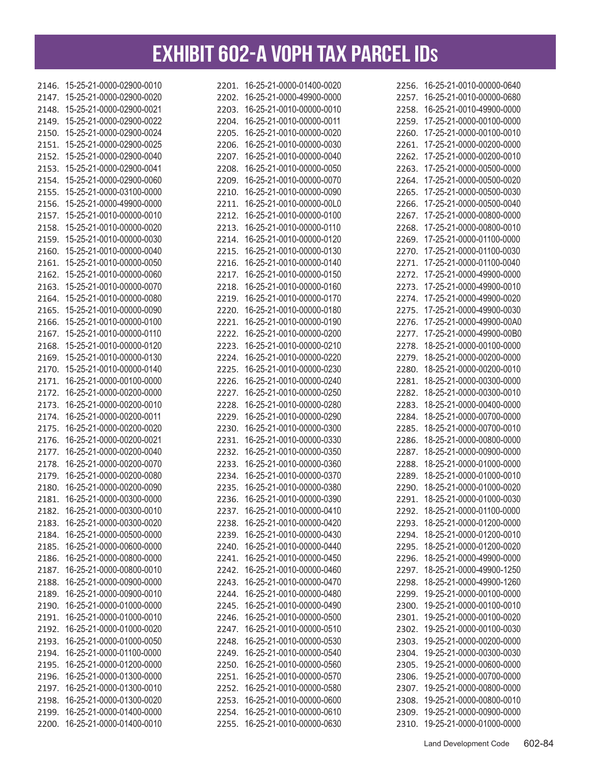|       | 2146. 15-25-21-0000-02900-0010 | 2201. 16-25-21-0000-01400-0020 | 2256. 16-25-21-0010-00000-0640 |
|-------|--------------------------------|--------------------------------|--------------------------------|
|       | 2147. 15-25-21-0000-02900-0020 | 2202. 16-25-21-0000-49900-0000 | 2257. 16-25-21-0010-00000-0680 |
|       | 2148. 15-25-21-0000-02900-0021 | 2203. 16-25-21-0010-00000-0010 | 2258. 16-25-21-0010-49900-0000 |
|       | 2149. 15-25-21-0000-02900-0022 | 2204. 16-25-21-0010-00000-0011 | 2259. 17-25-21-0000-00100-0000 |
|       | 2150. 15-25-21-0000-02900-0024 | 2205. 16-25-21-0010-00000-0020 | 2260. 17-25-21-0000-00100-0010 |
|       | 2151. 15-25-21-0000-02900-0025 | 2206. 16-25-21-0010-00000-0030 | 2261. 17-25-21-0000-00200-0000 |
|       | 2152. 15-25-21-0000-02900-0040 | 2207. 16-25-21-0010-00000-0040 | 2262. 17-25-21-0000-00200-0010 |
|       | 2153. 15-25-21-0000-02900-0041 | 2208. 16-25-21-0010-00000-0050 | 2263. 17-25-21-0000-00500-0000 |
|       | 2154. 15-25-21-0000-02900-0060 | 2209. 16-25-21-0010-00000-0070 | 2264. 17-25-21-0000-00500-0020 |
|       | 2155. 15-25-21-0000-03100-0000 | 2210. 16-25-21-0010-00000-0090 | 2265. 17-25-21-0000-00500-0030 |
|       | 2156. 15-25-21-0000-49900-0000 | 2211. 16-25-21-0010-00000-00L0 | 2266. 17-25-21-0000-00500-0040 |
|       | 2157. 15-25-21-0010-00000-0010 | 2212. 16-25-21-0010-00000-0100 | 2267. 17-25-21-0000-00800-0000 |
|       | 2158. 15-25-21-0010-00000-0020 | 2213. 16-25-21-0010-00000-0110 | 2268. 17-25-21-0000-00800-0010 |
|       | 2159. 15-25-21-0010-00000-0030 | 2214. 16-25-21-0010-00000-0120 | 2269. 17-25-21-0000-01100-0000 |
|       | 2160. 15-25-21-0010-00000-0040 | 2215. 16-25-21-0010-00000-0130 | 2270. 17-25-21-0000-01100-0030 |
|       | 2161. 15-25-21-0010-00000-0050 | 2216. 16-25-21-0010-00000-0140 | 2271. 17-25-21-0000-01100-0040 |
|       | 2162. 15-25-21-0010-00000-0060 | 2217. 16-25-21-0010-00000-0150 | 2272. 17-25-21-0000-49900-0000 |
|       | 2163. 15-25-21-0010-00000-0070 | 2218. 16-25-21-0010-00000-0160 | 2273. 17-25-21-0000-49900-0010 |
|       | 2164. 15-25-21-0010-00000-0080 | 2219. 16-25-21-0010-00000-0170 | 2274. 17-25-21-0000-49900-0020 |
|       | 2165. 15-25-21-0010-00000-0090 | 2220. 16-25-21-0010-00000-0180 | 2275. 17-25-21-0000-49900-0030 |
|       | 2166. 15-25-21-0010-00000-0100 | 2221. 16-25-21-0010-00000-0190 | 2276. 17-25-21-0000-49900-00A0 |
|       | 2167. 15-25-21-0010-00000-0110 | 2222. 16-25-21-0010-00000-0200 | 2277. 17-25-21-0000-49900-00B0 |
|       | 2168. 15-25-21-0010-00000-0120 | 2223. 16-25-21-0010-00000-0210 | 2278. 18-25-21-0000-00100-0000 |
|       | 2169. 15-25-21-0010-00000-0130 | 2224. 16-25-21-0010-00000-0220 | 2279. 18-25-21-0000-00200-0000 |
|       | 2170. 15-25-21-0010-00000-0140 | 2225. 16-25-21-0010-00000-0230 | 2280. 18-25-21-0000-00200-0010 |
|       | 2171. 16-25-21-0000-00100-0000 | 2226. 16-25-21-0010-00000-0240 | 2281. 18-25-21-0000-00300-0000 |
|       | 2172. 16-25-21-0000-00200-0000 | 2227. 16-25-21-0010-00000-0250 | 2282. 18-25-21-0000-00300-0010 |
|       | 2173. 16-25-21-0000-00200-0010 | 2228. 16-25-21-0010-00000-0280 | 2283. 18-25-21-0000-00400-0000 |
|       | 2174. 16-25-21-0000-00200-0011 | 2229. 16-25-21-0010-00000-0290 | 2284. 18-25-21-0000-00700-0000 |
|       | 2175. 16-25-21-0000-00200-0020 | 2230. 16-25-21-0010-00000-0300 | 2285. 18-25-21-0000-00700-0010 |
|       | 2176. 16-25-21-0000-00200-0021 | 2231. 16-25-21-0010-00000-0330 | 2286. 18-25-21-0000-00800-0000 |
|       | 2177. 16-25-21-0000-00200-0040 | 2232. 16-25-21-0010-00000-0350 | 2287. 18-25-21-0000-00900-0000 |
|       | 2178. 16-25-21-0000-00200-0070 | 2233. 16-25-21-0010-00000-0360 | 2288. 18-25-21-0000-01000-0000 |
| 2179. | 16-25-21-0000-00200-0080       | 2234. 16-25-21-0010-00000-0370 | 2289. 18-25-21-0000-01000-0010 |
|       | 2180. 16-25-21-0000-00200-0090 | 2235. 16-25-21-0010-00000-0380 | 2290. 18-25-21-0000-01000-0020 |
|       | 2181. 16-25-21-0000-00300-0000 | 2236. 16-25-21-0010-00000-0390 | 2291. 18-25-21-0000-01000-0030 |
|       | 2182. 16-25-21-0000-00300-0010 | 2237 16-25-21-0010-00000-0410  |                                |
|       | 2183. 16-25-21-0000-00300-0020 | 2238. 16-25-21-0010-00000-0420 | 2293. 18-25-21-0000-01200-0000 |
|       | 2184. 16-25-21-0000-00500-0000 | 2239. 16-25-21-0010-00000-0430 | 2294. 18-25-21-0000-01200-0010 |
|       | 2185. 16-25-21-0000-00600-0000 | 2240. 16-25-21-0010-00000-0440 | 2295. 18-25-21-0000-01200-0020 |
|       | 2186. 16-25-21-0000-00800-0000 | 2241. 16-25-21-0010-00000-0450 | 2296. 18-25-21-0000-49900-0000 |
|       | 2187. 16-25-21-0000-00800-0010 | 2242. 16-25-21-0010-00000-0460 | 2297. 18-25-21-0000-49900-1250 |
|       | 2188. 16-25-21-0000-00900-0000 | 2243. 16-25-21-0010-00000-0470 | 2298. 18-25-21-0000-49900-1260 |
|       | 2189. 16-25-21-0000-00900-0010 | 2244. 16-25-21-0010-00000-0480 | 2299. 19-25-21-0000-00100-0000 |
|       | 2190. 16-25-21-0000-01000-0000 | 2245. 16-25-21-0010-00000-0490 | 2300. 19-25-21-0000-00100-0010 |
|       | 2191. 16-25-21-0000-01000-0010 | 2246. 16-25-21-0010-00000-0500 | 2301. 19-25-21-0000-00100-0020 |
|       | 2192. 16-25-21-0000-01000-0020 | 2247. 16-25-21-0010-00000-0510 | 2302. 19-25-21-0000-00100-0030 |
|       | 2193. 16-25-21-0000-01000-0050 | 2248. 16-25-21-0010-00000-0530 | 2303. 19-25-21-0000-00200-0000 |
|       | 2194. 16-25-21-0000-01100-0000 | 2249. 16-25-21-0010-00000-0540 | 2304. 19-25-21-0000-00300-0030 |
|       | 2195. 16-25-21-0000-01200-0000 | 2250. 16-25-21-0010-00000-0560 | 2305. 19-25-21-0000-00600-0000 |
|       | 2196. 16-25-21-0000-01300-0000 | 2251. 16-25-21-0010-00000-0570 | 2306. 19-25-21-0000-00700-0000 |
|       | 2197. 16-25-21-0000-01300-0010 | 2252. 16-25-21-0010-00000-0580 | 2307. 19-25-21-0000-00800-0000 |
|       | 2198. 16-25-21-0000-01300-0020 | 2253. 16-25-21-0010-00000-0600 | 2308. 19-25-21-0000-00800-0010 |
|       | 2199. 16-25-21-0000-01400-0000 | 2254. 16-25-21-0010-00000-0610 | 2309. 19-25-21-0000-00900-0000 |
|       | 2200. 16-25-21-0000-01400-0010 | 2255. 16-25-21-0010-00000-0630 | 2310. 19-25-21-0000-01000-0000 |
|       |                                |                                |                                |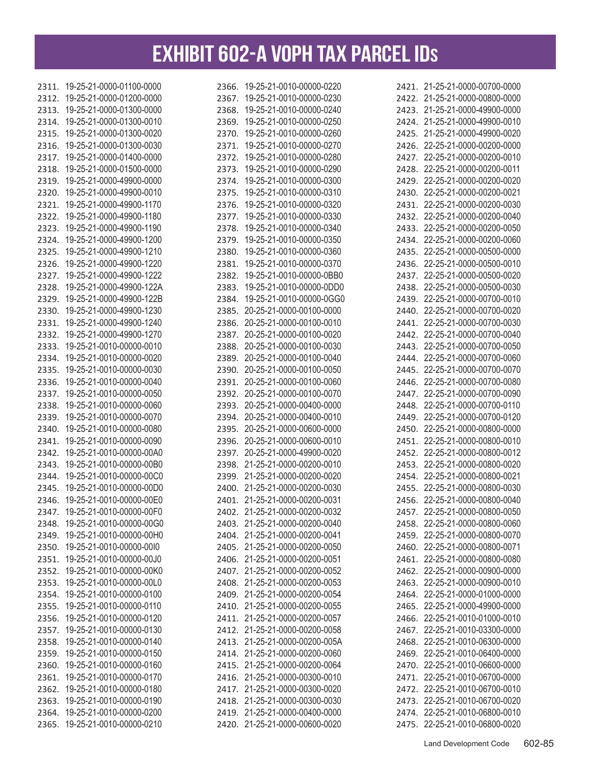| 2311. 19-25-21-0000-01100-0000 | 2366. 19-25-21-0010-00000-0220                                   | 2421. 21-25-21-0000-00700-0000                                   |
|--------------------------------|------------------------------------------------------------------|------------------------------------------------------------------|
| 2312. 19-25-21-0000-01200-0000 | 2367. 19-25-21-0010-00000-0230                                   | 2422. 21-25-21-0000-00800-0000                                   |
| 2313. 19-25-21-0000-01300-0000 | 2368. 19-25-21-0010-00000-0240                                   | 2423. 21-25-21-0000-49900-0000                                   |
| 2314. 19-25-21-0000-01300-0010 | 2369. 19-25-21-0010-00000-0250                                   | 2424. 21-25-21-0000-49900-0010                                   |
| 2315. 19-25-21-0000-01300-0020 | 2370. 19-25-21-0010-00000-0260                                   | 2425. 21-25-21-0000-49900-0020                                   |
| 2316. 19-25-21-0000-01300-0030 | 2371. 19-25-21-0010-00000-0270                                   | 2426. 22-25-21-0000-00200-0000                                   |
| 2317. 19-25-21-0000-01400-0000 | 2372. 19-25-21-0010-00000-0280                                   | 2427. 22-25-21-0000-00200-0010                                   |
| 2318. 19-25-21-0000-01500-0000 | 2373. 19-25-21-0010-00000-0290                                   | 2428. 22-25-21-0000-00200-0011                                   |
| 2319. 19-25-21-0000-49900-0000 | 2374. 19-25-21-0010-00000-0300                                   | 2429. 22-25-21-0000-00200-0020                                   |
| 2320. 19-25-21-0000-49900-0010 | 2375. 19-25-21-0010-00000-0310                                   | 2430. 22-25-21-0000-00200-0021                                   |
| 2321. 19-25-21-0000-49900-1170 | 2376. 19-25-21-0010-00000-0320                                   | 2431. 22-25-21-0000-00200-0030                                   |
| 2322. 19-25-21-0000-49900-1180 | 2377. 19-25-21-0010-00000-0330                                   | 2432. 22-25-21-0000-00200-0040                                   |
| 2323. 19-25-21-0000-49900-1190 | 2378. 19-25-21-0010-00000-0340                                   | 2433. 22-25-21-0000-00200-0050                                   |
| 2324. 19-25-21-0000-49900-1200 | 2379. 19-25-21-0010-00000-0350                                   | 2434. 22-25-21-0000-00200-0060                                   |
| 2325. 19-25-21-0000-49900-1210 | 2380. 19-25-21-0010-00000-0360                                   | 2435. 22-25-21-0000-00500-0000                                   |
| 2326. 19-25-21-0000-49900-1220 | 2381. 19-25-21-0010-00000-0370                                   | 2436. 22-25-21-0000-00500-0010                                   |
| 2327. 19-25-21-0000-49900-1222 | 2382. 19-25-21-0010-00000-0BB0                                   | 2437. 22-25-21-0000-00500-0020                                   |
| 2328. 19-25-21-0000-49900-122A | 2383. 19-25-21-0010-00000-0DD0                                   | 2438. 22-25-21-0000-00500-0030                                   |
| 2329. 19-25-21-0000-49900-122B | 2384. 19-25-21-0010-00000-0GG0                                   | 2439. 22-25-21-0000-00700-0010                                   |
| 2330. 19-25-21-0000-49900-1230 | 2385. 20-25-21-0000-00100-0000                                   | 2440. 22-25-21-0000-00700-0020                                   |
| 2331. 19-25-21-0000-49900-1240 | 2386. 20-25-21-0000-00100-0010                                   | 2441. 22-25-21-0000-00700-0030                                   |
| 2332. 19-25-21-0000-49900-1270 | 2387. 20-25-21-0000-00100-0020                                   | 2442. 22-25-21-0000-00700-0040                                   |
| 2333. 19-25-21-0010-00000-0010 | 2388. 20-25-21-0000-00100-0030                                   | 2443. 22-25-21-0000-00700-0050                                   |
| 2334. 19-25-21-0010-00000-0020 | 2389. 20-25-21-0000-00100-0040                                   | 2444. 22-25-21-0000-00700-0060                                   |
| 2335. 19-25-21-0010-00000-0030 | 2390. 20-25-21-0000-00100-0050                                   | 2445. 22-25-21-0000-00700-0070                                   |
| 2336. 19-25-21-0010-00000-0040 | 2391. 20-25-21-0000-00100-0060                                   | 2446. 22-25-21-0000-00700-0080                                   |
| 2337. 19-25-21-0010-00000-0050 | 2392. 20-25-21-0000-00100-0070                                   | 2447. 22-25-21-0000-00700-0090                                   |
| 2338. 19-25-21-0010-00000-0060 | 2393. 20-25-21-0000-00400-0000                                   | 2448. 22-25-21-0000-00700-0110                                   |
| 2339. 19-25-21-0010-00000-0070 | 2394. 20-25-21-0000-00400-0010                                   | 2449. 22-25-21-0000-00700-0120                                   |
| 2340. 19-25-21-0010-00000-0080 | 2395. 20-25-21-0000-00600-0000                                   | 2450. 22-25-21-0000-00800-0000                                   |
| 2341. 19-25-21-0010-00000-0090 | 2396. 20-25-21-0000-00600-0010                                   | 2451. 22-25-21-0000-00800-0010                                   |
| 2342. 19-25-21-0010-00000-00A0 | 2397. 20-25-21-0000-49900-0020                                   | 2452. 22-25-21-0000-00800-0012                                   |
| 2343. 19-25-21-0010-00000-00B0 | 2398. 21-25-21-0000-00200-0010                                   | 2453. 22-25-21-0000-00800-0020                                   |
| 2344. 19-25-21-0010-00000-00C0 |                                                                  |                                                                  |
|                                | 2399. 21-25-21-0000-00200-0020                                   | 2454. 22-25-21-0000-00800-0021                                   |
| 2345. 19-25-21-0010-00000-00D0 | 2400. 21-25-21-0000-00200-0030<br>2401. 21-25-21-0000-00200-0031 | 2455. 22-25-21-0000-00800-0030<br>2456. 22-25-21-0000-00800-0040 |
| 2346. 19-25-21-0010-00000-00E0 |                                                                  |                                                                  |
| 2347. 19-25-21-0010-00000-00F0 | 2402. 21-25-21-0000-00200-0032                                   | 2457. 22-25-21-0000-00800-0050                                   |
| 2348. 19-25-21-0010-00000-00G0 | 2403. 21-25-21-0000-00200-0040                                   | 2458. 22-25-21-0000-00800-0060                                   |
| 2349. 19-25-21-0010-00000-00H0 | 2404. 21-25-21-0000-00200-0041                                   | 2459. 22-25-21-0000-00800-0070                                   |
| 2350. 19-25-21-0010-00000-0010 | 2405. 21-25-21-0000-00200-0050                                   | 2460. 22-25-21-0000-00800-0071                                   |
| 2351. 19-25-21-0010-00000-00J0 | 2406. 21-25-21-0000-00200-0051                                   | 2461. 22-25-21-0000-00800-0080                                   |
| 2352. 19-25-21-0010-00000-00K0 | 2407. 21-25-21-0000-00200-0052                                   | 2462. 22-25-21-0000-00900-0000                                   |
| 2353. 19-25-21-0010-00000-00L0 | 2408. 21-25-21-0000-00200-0053                                   | 2463. 22-25-21-0000-00900-0010                                   |
| 2354. 19-25-21-0010-00000-0100 | 2409. 21-25-21-0000-00200-0054                                   | 2464. 22-25-21-0000-01000-0000                                   |
| 2355. 19-25-21-0010-00000-0110 | 2410. 21-25-21-0000-00200-0055                                   | 2465. 22-25-21-0000-49900-0000                                   |
| 2356. 19-25-21-0010-00000-0120 | 2411. 21-25-21-0000-00200-0057                                   | 2466. 22-25-21-0010-01000-0010                                   |
| 2357. 19-25-21-0010-00000-0130 | 2412. 21-25-21-0000-00200-0058                                   | 2467. 22-25-21-0010-03300-0000                                   |
| 2358. 19-25-21-0010-00000-0140 | 2413. 21-25-21-0000-00200-005A                                   | 2468. 22-25-21-0010-06300-0000                                   |
| 2359. 19-25-21-0010-00000-0150 | 2414. 21-25-21-0000-00200-0060                                   | 2469. 22-25-21-0010-06400-0000                                   |
| 2360. 19-25-21-0010-00000-0160 | 2415. 21-25-21-0000-00200-0064                                   | 2470. 22-25-21-0010-06600-0000                                   |
| 2361. 19-25-21-0010-00000-0170 | 2416. 21-25-21-0000-00300-0010                                   | 2471. 22-25-21-0010-06700-0000                                   |
| 2362. 19-25-21-0010-00000-0180 | 2417. 21-25-21-0000-00300-0020                                   | 2472. 22-25-21-0010-06700-0010                                   |
| 2363. 19-25-21-0010-00000-0190 | 2418. 21-25-21-0000-00300-0030                                   | 2473. 22-25-21-0010-06700-0020                                   |
| 2364. 19-25-21-0010-00000-0200 | 2419. 21-25-21-0000-00400-0000                                   | 2474. 22-25-21-0010-06800-0010                                   |
| 2365. 19-25-21-0010-00000-0210 | 2420. 21-25-21-0000-00600-0020                                   | 2475. 22-25-21-0010-06800-0020                                   |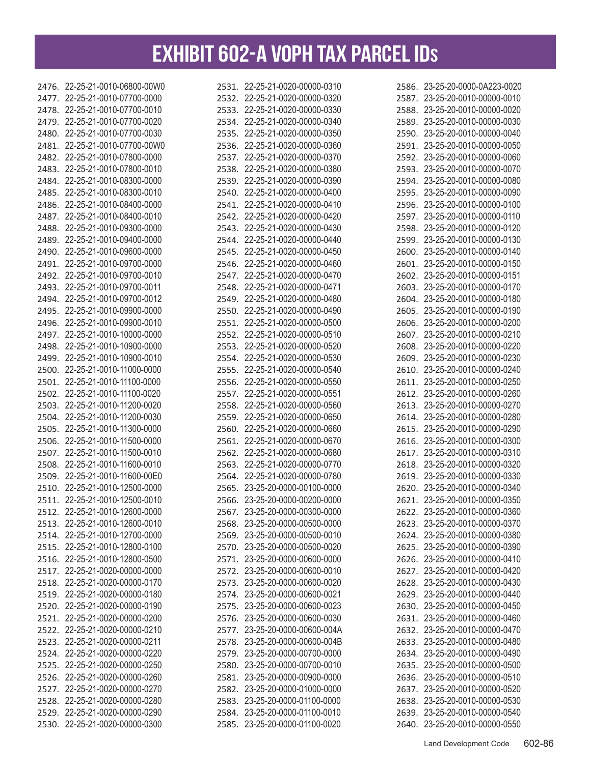| 2476. 22-25-21-0010-06800-00W0                                   | 2531. 22-25-21-0020-00000-0310 | 2586. 23-25-20-0000-0A223-0020 |
|------------------------------------------------------------------|--------------------------------|--------------------------------|
| 2477. 22-25-21-0010-07700-0000                                   | 2532. 22-25-21-0020-00000-0320 | 2587. 23-25-20-0010-00000-0010 |
| 2478. 22-25-21-0010-07700-0010                                   | 2533. 22-25-21-0020-00000-0330 | 2588. 23-25-20-0010-00000-0020 |
| 2479. 22-25-21-0010-07700-0020                                   | 2534. 22-25-21-0020-00000-0340 | 2589. 23-25-20-0010-00000-0030 |
| 2480. 22-25-21-0010-07700-0030                                   | 2535. 22-25-21-0020-00000-0350 | 2590. 23-25-20-0010-00000-0040 |
| 2481. 22-25-21-0010-07700-00W0                                   | 2536. 22-25-21-0020-00000-0360 | 2591. 23-25-20-0010-00000-0050 |
| 2482. 22-25-21-0010-07800-0000                                   | 2537. 22-25-21-0020-00000-0370 | 2592. 23-25-20-0010-00000-0060 |
| 2483. 22-25-21-0010-07800-0010                                   | 2538. 22-25-21-0020-00000-0380 | 2593. 23-25-20-0010-00000-0070 |
| 2484. 22-25-21-0010-08300-0000                                   | 2539. 22-25-21-0020-00000-0390 | 2594. 23-25-20-0010-00000-0080 |
| 2485. 22-25-21-0010-08300-0010                                   | 2540. 22-25-21-0020-00000-0400 | 2595. 23-25-20-0010-00000-0090 |
| 2486. 22-25-21-0010-08400-0000                                   | 2541. 22-25-21-0020-00000-0410 | 2596. 23-25-20-0010-00000-0100 |
| 2487. 22-25-21-0010-08400-0010                                   | 2542. 22-25-21-0020-00000-0420 | 2597. 23-25-20-0010-00000-0110 |
| 2488. 22-25-21-0010-09300-0000                                   | 2543. 22-25-21-0020-00000-0430 | 2598. 23-25-20-0010-00000-0120 |
| 2489. 22-25-21-0010-09400-0000                                   | 2544. 22-25-21-0020-00000-0440 | 2599. 23-25-20-0010-00000-0130 |
| 2490. 22-25-21-0010-09600-0000                                   | 2545. 22-25-21-0020-00000-0450 | 2600. 23-25-20-0010-00000-0140 |
| 2491. 22-25-21-0010-09700-0000                                   | 2546. 22-25-21-0020-00000-0460 | 2601. 23-25-20-0010-00000-0150 |
| 2492. 22-25-21-0010-09700-0010                                   | 2547. 22-25-21-0020-00000-0470 | 2602. 23-25-20-0010-00000-0151 |
| 2493. 22-25-21-0010-09700-0011                                   | 2548. 22-25-21-0020-00000-0471 | 2603. 23-25-20-0010-00000-0170 |
| 2494. 22-25-21-0010-09700-0012                                   | 2549. 22-25-21-0020-00000-0480 | 2604. 23-25-20-0010-00000-0180 |
| 2495. 22-25-21-0010-09900-0000                                   | 2550. 22-25-21-0020-00000-0490 | 2605. 23-25-20-0010-00000-0190 |
| 2496. 22-25-21-0010-09900-0010                                   | 2551. 22-25-21-0020-00000-0500 | 2606. 23-25-20-0010-00000-0200 |
| 2497. 22-25-21-0010-10000-0000                                   | 2552. 22-25-21-0020-00000-0510 | 2607. 23-25-20-0010-00000-0210 |
| 2498. 22-25-21-0010-10900-0000                                   | 2553. 22-25-21-0020-00000-0520 | 2608. 23-25-20-0010-00000-0220 |
| 2499. 22-25-21-0010-10900-0010                                   | 2554. 22-25-21-0020-00000-0530 | 2609. 23-25-20-0010-00000-0230 |
| 2500. 22-25-21-0010-11000-0000                                   | 2555. 22-25-21-0020-00000-0540 | 2610. 23-25-20-0010-00000-0240 |
| 2501. 22-25-21-0010-11100-0000                                   | 2556. 22-25-21-0020-00000-0550 | 2611. 23-25-20-0010-00000-0250 |
| 2502. 22-25-21-0010-11100-0020                                   | 2557. 22-25-21-0020-00000-0551 | 2612. 23-25-20-0010-00000-0260 |
| 2503. 22-25-21-0010-11200-0020                                   | 2558. 22-25-21-0020-00000-0560 | 2613. 23-25-20-0010-00000-0270 |
| 2504. 22-25-21-0010-11200-0030                                   | 2559. 22-25-21-0020-00000-0650 | 2614. 23-25-20-0010-00000-0280 |
| 2505. 22-25-21-0010-11300-0000                                   | 2560. 22-25-21-0020-00000-0660 | 2615. 23-25-20-0010-00000-0290 |
| 2506. 22-25-21-0010-11500-0000                                   | 2561. 22-25-21-0020-00000-0670 | 2616. 23-25-20-0010-00000-0300 |
| 2507. 22-25-21-0010-11500-0010                                   | 2562. 22-25-21-0020-00000-0680 | 2617. 23-25-20-0010-00000-0310 |
| 2508. 22-25-21-0010-11600-0010                                   | 2563. 22-25-21-0020-00000-0770 | 2618. 23-25-20-0010-00000-0320 |
| 2509. 22-25-21-0010-11600-00E0                                   | 2564. 22-25-21-0020-00000-0780 | 2619. 23-25-20-0010-00000-0330 |
|                                                                  |                                | 2620. 23-25-20-0010-00000-0340 |
| 2510. 22-25-21-0010-12500-0000<br>2511. 22-25-21-0010-12500-0010 | 2565. 23-25-20-0000-00100-0000 |                                |
|                                                                  | 2566. 23-25-20-0000-00200-0000 | 2621. 23-25-20-0010-00000-0350 |
| 2512. 22-25-21-0010-12600-0000                                   | 2567. 23-25-20-0000-00300-0000 | 2622. 23-25-20-0010-00000-0360 |
| 2513. 22-25-21-0010-12600-0010                                   | 2568. 23-25-20-0000-00500-0000 | 2623. 23-25-20-0010-00000-0370 |
| 2514. 22-25-21-0010-12700-0000                                   | 2569. 23-25-20-0000-00500-0010 | 2624. 23-25-20-0010-00000-0380 |
| 2515. 22-25-21-0010-12800-0100                                   | 2570. 23-25-20-0000-00500-0020 | 2625. 23-25-20-0010-00000-0390 |
| 2516. 22-25-21-0010-12800-0500                                   | 2571. 23-25-20-0000-00600-0000 | 2626. 23-25-20-0010-00000-0410 |
| 2517. 22-25-21-0020-00000-0000                                   | 2572. 23-25-20-0000-00600-0010 | 2627. 23-25-20-0010-00000-0420 |
| 2518. 22-25-21-0020-00000-0170                                   | 2573. 23-25-20-0000-00600-0020 | 2628. 23-25-20-0010-00000-0430 |
| 2519. 22-25-21-0020-00000-0180                                   | 2574. 23-25-20-0000-00600-0021 | 2629. 23-25-20-0010-00000-0440 |
| 2520. 22-25-21-0020-00000-0190                                   | 2575. 23-25-20-0000-00600-0023 | 2630. 23-25-20-0010-00000-0450 |
| 2521. 22-25-21-0020-00000-0200                                   | 2576. 23-25-20-0000-00600-0030 | 2631. 23-25-20-0010-00000-0460 |
| 2522. 22-25-21-0020-00000-0210                                   | 2577. 23-25-20-0000-00600-004A | 2632. 23-25-20-0010-00000-0470 |
| 2523. 22-25-21-0020-00000-0211                                   | 2578. 23-25-20-0000-00600-004B | 2633. 23-25-20-0010-00000-0480 |
| 2524. 22-25-21-0020-00000-0220                                   | 2579. 23-25-20-0000-00700-0000 | 2634. 23-25-20-0010-00000-0490 |
| 2525. 22-25-21-0020-00000-0250                                   | 2580. 23-25-20-0000-00700-0010 | 2635. 23-25-20-0010-00000-0500 |
| 2526. 22-25-21-0020-00000-0260                                   | 2581. 23-25-20-0000-00900-0000 | 2636. 23-25-20-0010-00000-0510 |
| 2527. 22-25-21-0020-00000-0270                                   | 2582. 23-25-20-0000-01000-0000 | 2637. 23-25-20-0010-00000-0520 |
| 2528. 22-25-21-0020-00000-0280                                   | 2583. 23-25-20-0000-01100-0000 | 2638. 23-25-20-0010-00000-0530 |
| 2529. 22-25-21-0020-00000-0290                                   | 2584. 23-25-20-0000-01100-0010 | 2639. 23-25-20-0010-00000-0540 |
| 2530. 22-25-21-0020-00000-0300                                   | 2585. 23-25-20-0000-01100-0020 | 2640. 23-25-20-0010-00000-0550 |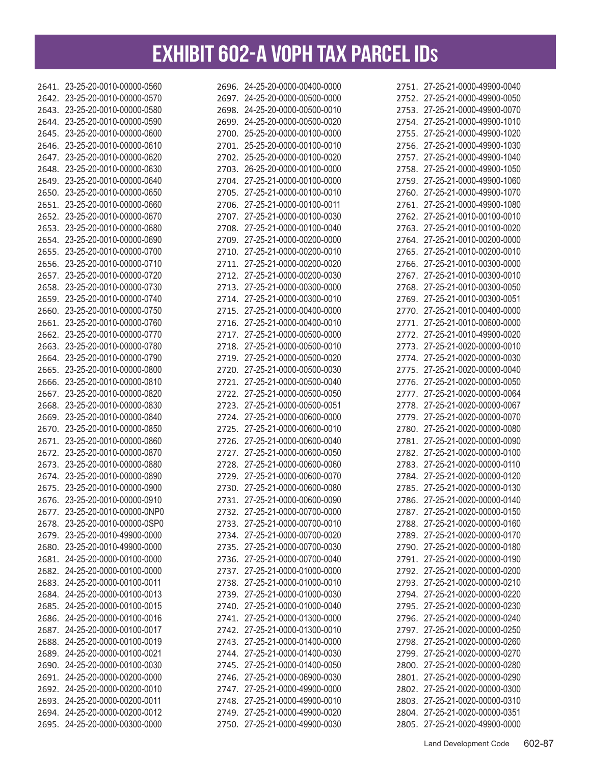| 2641. 23-25-20-0010-00000-0560 | 2696. 24-25-20-0000-00400-0000 | 2751. 27-25-21-0000-49900-0040 |
|--------------------------------|--------------------------------|--------------------------------|
| 2642. 23-25-20-0010-00000-0570 | 2697. 24-25-20-0000-00500-0000 | 2752. 27-25-21-0000-49900-0050 |
| 2643. 23-25-20-0010-00000-0580 | 2698. 24-25-20-0000-00500-0010 | 2753. 27-25-21-0000-49900-0070 |
| 2644. 23-25-20-0010-00000-0590 | 2699. 24-25-20-0000-00500-0020 | 2754. 27-25-21-0000-49900-1010 |
| 2645. 23-25-20-0010-00000-0600 | 2700. 25-25-20-0000-00100-0000 | 2755. 27-25-21-0000-49900-1020 |
| 2646. 23-25-20-0010-00000-0610 | 2701. 25-25-20-0000-00100-0010 | 2756. 27-25-21-0000-49900-1030 |
| 2647. 23-25-20-0010-00000-0620 | 2702. 25-25-20-0000-00100-0020 | 2757. 27-25-21-0000-49900-1040 |
| 2648. 23-25-20-0010-00000-0630 | 2703. 26-25-20-0000-00100-0000 | 2758. 27-25-21-0000-49900-1050 |
| 2649. 23-25-20-0010-00000-0640 | 2704. 27-25-21-0000-00100-0000 | 2759. 27-25-21-0000-49900-1060 |
| 2650. 23-25-20-0010-00000-0650 | 2705. 27-25-21-0000-00100-0010 | 2760. 27-25-21-0000-49900-1070 |
| 2651. 23-25-20-0010-00000-0660 | 2706. 27-25-21-0000-00100-0011 | 2761. 27-25-21-0000-49900-1080 |
| 2652. 23-25-20-0010-00000-0670 | 2707. 27-25-21-0000-00100-0030 | 2762. 27-25-21-0010-00100-0010 |
| 2653. 23-25-20-0010-00000-0680 | 2708. 27-25-21-0000-00100-0040 | 2763. 27-25-21-0010-00100-0020 |
| 2654. 23-25-20-0010-00000-0690 | 2709. 27-25-21-0000-00200-0000 | 2764. 27-25-21-0010-00200-0000 |
| 2655. 23-25-20-0010-00000-0700 | 2710. 27-25-21-0000-00200-0010 | 2765. 27-25-21-0010-00200-0010 |
| 2656. 23-25-20-0010-00000-0710 | 2711. 27-25-21-0000-00200-0020 | 2766. 27-25-21-0010-00300-0000 |
| 2657. 23-25-20-0010-00000-0720 | 2712. 27-25-21-0000-00200-0030 | 2767. 27-25-21-0010-00300-0010 |
| 2658. 23-25-20-0010-00000-0730 | 2713. 27-25-21-0000-00300-0000 | 2768. 27-25-21-0010-00300-0050 |
| 2659. 23-25-20-0010-00000-0740 | 2714. 27-25-21-0000-00300-0010 | 2769. 27-25-21-0010-00300-0051 |
| 2660. 23-25-20-0010-00000-0750 | 2715. 27-25-21-0000-00400-0000 | 2770. 27-25-21-0010-00400-0000 |
| 2661. 23-25-20-0010-00000-0760 | 2716. 27-25-21-0000-00400-0010 | 2771. 27-25-21-0010-00600-0000 |
| 2662. 23-25-20-0010-00000-0770 | 2717. 27-25-21-0000-00500-0000 | 2772. 27-25-21-0010-49900-0020 |
| 2663. 23-25-20-0010-00000-0780 | 2718. 27-25-21-0000-00500-0010 | 2773. 27-25-21-0020-00000-0010 |
| 2664. 23-25-20-0010-00000-0790 | 2719. 27-25-21-0000-00500-0020 | 2774. 27-25-21-0020-00000-0030 |
| 2665. 23-25-20-0010-00000-0800 | 2720. 27-25-21-0000-00500-0030 | 2775. 27-25-21-0020-00000-0040 |
| 2666. 23-25-20-0010-00000-0810 | 2721. 27-25-21-0000-00500-0040 | 2776. 27-25-21-0020-00000-0050 |
| 2667. 23-25-20-0010-00000-0820 | 2722. 27-25-21-0000-00500-0050 | 2777. 27-25-21-0020-00000-0064 |
| 2668. 23-25-20-0010-00000-0830 | 2723. 27-25-21-0000-00500-0051 | 2778. 27-25-21-0020-00000-0067 |
| 2669. 23-25-20-0010-00000-0840 | 2724. 27-25-21-0000-00600-0000 | 2779. 27-25-21-0020-00000-0070 |
| 2670. 23-25-20-0010-00000-0850 | 2725. 27-25-21-0000-00600-0010 | 2780. 27-25-21-0020-00000-0080 |
|                                |                                |                                |
| 2671. 23-25-20-0010-00000-0860 | 2726. 27-25-21-0000-00600-0040 | 2781. 27-25-21-0020-00000-0090 |
| 2672. 23-25-20-0010-00000-0870 | 2727. 27-25-21-0000-00600-0050 | 2782. 27-25-21-0020-00000-0100 |
| 2673. 23-25-20-0010-00000-0880 | 2728. 27-25-21-0000-00600-0060 | 2783. 27-25-21-0020-00000-0110 |
| 2674. 23-25-20-0010-00000-0890 | 2729. 27-25-21-0000-00600-0070 | 2784. 27-25-21-0020-00000-0120 |
| 2675. 23-25-20-0010-00000-0900 | 2730. 27-25-21-0000-00600-0080 | 2785. 27-25-21-0020-00000-0130 |
| 2676. 23-25-20-0010-00000-0910 | 2731. 27-25-21-0000-00600-0090 | 2786. 27-25-21-0020-00000-0140 |
| 2677. 23-25-20-0010-00000-0NP0 | 2732. 27-25-21-0000-00700-0000 | 2787. 27-25-21-0020-00000-0150 |
| 2678. 23-25-20-0010-00000-0SP0 | 2733. 27-25-21-0000-00700-0010 | 2788. 27-25-21-0020-00000-0160 |
| 2679. 23-25-20-0010-49900-0000 | 2734. 27-25-21-0000-00700-0020 | 2789. 27-25-21-0020-00000-0170 |
| 2680. 23-25-20-0010-49900-0000 | 2735. 27-25-21-0000-00700-0030 | 2790. 27-25-21-0020-00000-0180 |
| 2681. 24-25-20-0000-00100-0000 | 2736. 27-25-21-0000-00700-0040 | 2791. 27-25-21-0020-00000-0190 |
| 2682. 24-25-20-0000-00100-0000 | 2737. 27-25-21-0000-01000-0000 | 2792. 27-25-21-0020-00000-0200 |
| 2683. 24-25-20-0000-00100-0011 | 2738. 27-25-21-0000-01000-0010 | 2793. 27-25-21-0020-00000-0210 |
| 2684. 24-25-20-0000-00100-0013 | 2739. 27-25-21-0000-01000-0030 | 2794. 27-25-21-0020-00000-0220 |
| 2685. 24-25-20-0000-00100-0015 | 2740. 27-25-21-0000-01000-0040 | 2795. 27-25-21-0020-00000-0230 |
| 2686. 24-25-20-0000-00100-0016 | 2741. 27-25-21-0000-01300-0000 | 2796. 27-25-21-0020-00000-0240 |
| 2687. 24-25-20-0000-00100-0017 | 2742. 27-25-21-0000-01300-0010 | 2797. 27-25-21-0020-00000-0250 |
| 2688. 24-25-20-0000-00100-0019 | 2743. 27-25-21-0000-01400-0000 | 2798. 27-25-21-0020-00000-0260 |
| 2689. 24-25-20-0000-00100-0021 | 2744. 27-25-21-0000-01400-0030 | 2799. 27-25-21-0020-00000-0270 |
| 2690. 24-25-20-0000-00100-0030 | 2745. 27-25-21-0000-01400-0050 | 2800. 27-25-21-0020-00000-0280 |
| 2691. 24-25-20-0000-00200-0000 | 2746. 27-25-21-0000-06900-0030 | 2801. 27-25-21-0020-00000-0290 |
| 2692. 24-25-20-0000-00200-0010 | 2747. 27-25-21-0000-49900-0000 | 2802. 27-25-21-0020-00000-0300 |
| 2693. 24-25-20-0000-00200-0011 | 2748. 27-25-21-0000-49900-0010 | 2803. 27-25-21-0020-00000-0310 |
| 2694. 24-25-20-0000-00200-0012 | 2749. 27-25-21-0000-49900-0020 | 2804. 27-25-21-0020-00000-0351 |
| 2695. 24-25-20-0000-00300-0000 | 2750. 27-25-21-0000-49900-0030 | 2805. 27-25-21-0020-49900-0000 |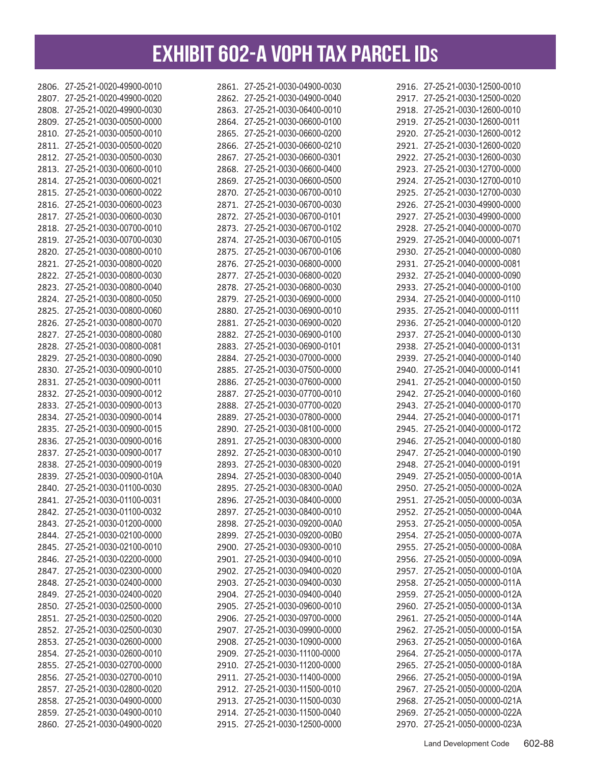| 2806. 27-25-21-0020-49900-0010 | 2861. 27-25-21-0030-04900-0030 | 2916. 27-25-21-0030-12500-0010 |
|--------------------------------|--------------------------------|--------------------------------|
| 2807. 27-25-21-0020-49900-0020 | 2862. 27-25-21-0030-04900-0040 | 2917. 27-25-21-0030-12500-0020 |
| 2808. 27-25-21-0020-49900-0030 | 2863. 27-25-21-0030-06400-0010 | 2918. 27-25-21-0030-12600-0010 |
| 2809. 27-25-21-0030-00500-0000 | 2864. 27-25-21-0030-06600-0100 | 2919. 27-25-21-0030-12600-0011 |
| 2810. 27-25-21-0030-00500-0010 | 2865. 27-25-21-0030-06600-0200 | 2920. 27-25-21-0030-12600-0012 |
| 2811. 27-25-21-0030-00500-0020 | 2866. 27-25-21-0030-06600-0210 | 2921. 27-25-21-0030-12600-0020 |
| 2812. 27-25-21-0030-00500-0030 | 2867. 27-25-21-0030-06600-0301 | 2922. 27-25-21-0030-12600-0030 |
| 2813. 27-25-21-0030-00600-0010 | 2868. 27-25-21-0030-06600-0400 | 2923. 27-25-21-0030-12700-0000 |
| 2814. 27-25-21-0030-00600-0021 | 2869. 27-25-21-0030-06600-0500 | 2924. 27-25-21-0030-12700-0010 |
| 2815. 27-25-21-0030-00600-0022 | 2870. 27-25-21-0030-06700-0010 | 2925. 27-25-21-0030-12700-0030 |
| 2816. 27-25-21-0030-00600-0023 | 2871. 27-25-21-0030-06700-0030 | 2926. 27-25-21-0030-49900-0000 |
| 2817. 27-25-21-0030-00600-0030 | 2872. 27-25-21-0030-06700-0101 | 2927. 27-25-21-0030-49900-0000 |
| 2818. 27-25-21-0030-00700-0010 | 2873. 27-25-21-0030-06700-0102 | 2928. 27-25-21-0040-00000-0070 |
| 2819. 27-25-21-0030-00700-0030 | 2874. 27-25-21-0030-06700-0105 | 2929. 27-25-21-0040-00000-0071 |
| 2820. 27-25-21-0030-00800-0010 | 2875. 27-25-21-0030-06700-0106 | 2930. 27-25-21-0040-00000-0080 |
| 2821. 27-25-21-0030-00800-0020 | 2876. 27-25-21-0030-06800-0000 | 2931. 27-25-21-0040-00000-0081 |
| 2822. 27-25-21-0030-00800-0030 | 2877. 27-25-21-0030-06800-0020 | 2932. 27-25-21-0040-00000-0090 |
| 2823. 27-25-21-0030-00800-0040 | 2878. 27-25-21-0030-06800-0030 | 2933. 27-25-21-0040-00000-0100 |
| 2824. 27-25-21-0030-00800-0050 | 2879. 27-25-21-0030-06900-0000 | 2934. 27-25-21-0040-00000-0110 |
| 2825. 27-25-21-0030-00800-0060 | 2880. 27-25-21-0030-06900-0010 | 2935. 27-25-21-0040-00000-0111 |
| 2826. 27-25-21-0030-00800-0070 | 2881. 27-25-21-0030-06900-0020 | 2936. 27-25-21-0040-00000-0120 |
| 2827. 27-25-21-0030-00800-0080 | 2882. 27-25-21-0030-06900-0100 | 2937. 27-25-21-0040-00000-0130 |
| 2828. 27-25-21-0030-00800-0081 | 2883. 27-25-21-0030-06900-0101 | 2938. 27-25-21-0040-00000-0131 |
| 2829. 27-25-21-0030-00800-0090 | 2884. 27-25-21-0030-07000-0000 | 2939. 27-25-21-0040-00000-0140 |
| 2830. 27-25-21-0030-00900-0010 | 2885. 27-25-21-0030-07500-0000 | 2940. 27-25-21-0040-00000-0141 |
| 2831. 27-25-21-0030-00900-0011 | 2886. 27-25-21-0030-07600-0000 | 2941. 27-25-21-0040-00000-0150 |
| 2832. 27-25-21-0030-00900-0012 | 2887. 27-25-21-0030-07700-0010 | 2942. 27-25-21-0040-00000-0160 |
| 2833. 27-25-21-0030-00900-0013 | 2888. 27-25-21-0030-07700-0020 | 2943. 27-25-21-0040-00000-0170 |
|                                |                                |                                |
| 2834. 27-25-21-0030-00900-0014 | 2889. 27-25-21-0030-07800-0000 | 2944. 27-25-21-0040-00000-0171 |
| 2835. 27-25-21-0030-00900-0015 | 2890. 27-25-21-0030-08100-0000 | 2945. 27-25-21-0040-00000-0172 |
| 2836. 27-25-21-0030-00900-0016 | 2891. 27-25-21-0030-08300-0000 | 2946. 27-25-21-0040-00000-0180 |
| 2837. 27-25-21-0030-00900-0017 | 2892. 27-25-21-0030-08300-0010 | 2947. 27-25-21-0040-00000-0190 |
| 2838. 27-25-21-0030-00900-0019 | 2893. 27-25-21-0030-08300-0020 | 2948. 27-25-21-0040-00000-0191 |
| 2839. 27-25-21-0030-00900-010A | 2894. 27-25-21-0030-08300-0040 | 2949. 27-25-21-0050-00000-001A |
| 2840. 27-25-21-0030-01100-0030 | 2895. 27-25-21-0030-08300-00A0 | 2950. 27-25-21-0050-00000-002A |
| 2841. 27-25-21-0030-01100-0031 | 2896. 27-25-21-0030-08400-0000 | 2951. 27-25-21-0050-00000-003A |
| 2842 27-25-21-0030-01100-0032  | 2897. 27-25-21-0030-08400-0010 | 2952. 27-25-21-0050-00000-004A |
| 2843. 27-25-21-0030-01200-0000 | 2898. 27-25-21-0030-09200-00A0 | 2953. 27-25-21-0050-00000-005A |
| 2844. 27-25-21-0030-02100-0000 | 2899. 27-25-21-0030-09200-00B0 | 2954. 27-25-21-0050-00000-007A |
| 2845. 27-25-21-0030-02100-0010 | 2900. 27-25-21-0030-09300-0010 | 2955. 27-25-21-0050-00000-008A |
| 2846. 27-25-21-0030-02200-0000 | 2901. 27-25-21-0030-09400-0010 | 2956. 27-25-21-0050-00000-009A |
| 2847. 27-25-21-0030-02300-0000 | 2902. 27-25-21-0030-09400-0020 | 2957. 27-25-21-0050-00000-010A |
| 2848. 27-25-21-0030-02400-0000 | 2903. 27-25-21-0030-09400-0030 | 2958. 27-25-21-0050-00000-011A |
| 2849. 27-25-21-0030-02400-0020 | 2904. 27-25-21-0030-09400-0040 | 2959. 27-25-21-0050-00000-012A |
| 2850. 27-25-21-0030-02500-0000 | 2905. 27-25-21-0030-09600-0010 | 2960. 27-25-21-0050-00000-013A |
| 2851. 27-25-21-0030-02500-0020 | 2906. 27-25-21-0030-09700-0000 | 2961. 27-25-21-0050-00000-014A |
| 2852. 27-25-21-0030-02500-0030 | 2907. 27-25-21-0030-09900-0000 | 2962. 27-25-21-0050-00000-015A |
| 2853. 27-25-21-0030-02600-0000 | 2908. 27-25-21-0030-10900-0000 | 2963. 27-25-21-0050-00000-016A |
| 2854. 27-25-21-0030-02600-0010 | 2909. 27-25-21-0030-11100-0000 | 2964. 27-25-21-0050-00000-017A |
| 2855. 27-25-21-0030-02700-0000 | 2910. 27-25-21-0030-11200-0000 | 2965. 27-25-21-0050-00000-018A |
| 2856. 27-25-21-0030-02700-0010 | 2911. 27-25-21-0030-11400-0000 | 2966. 27-25-21-0050-00000-019A |
| 2857. 27-25-21-0030-02800-0020 | 2912. 27-25-21-0030-11500-0010 | 2967. 27-25-21-0050-00000-020A |
| 2858. 27-25-21-0030-04900-0000 | 2913. 27-25-21-0030-11500-0030 | 2968. 27-25-21-0050-00000-021A |
| 2859. 27-25-21-0030-04900-0010 | 2914. 27-25-21-0030-11500-0040 | 2969. 27-25-21-0050-00000-022A |
| 2860. 27-25-21-0030-04900-0020 | 2915. 27-25-21-0030-12500-0000 | 2970. 27-25-21-0050-00000-023A |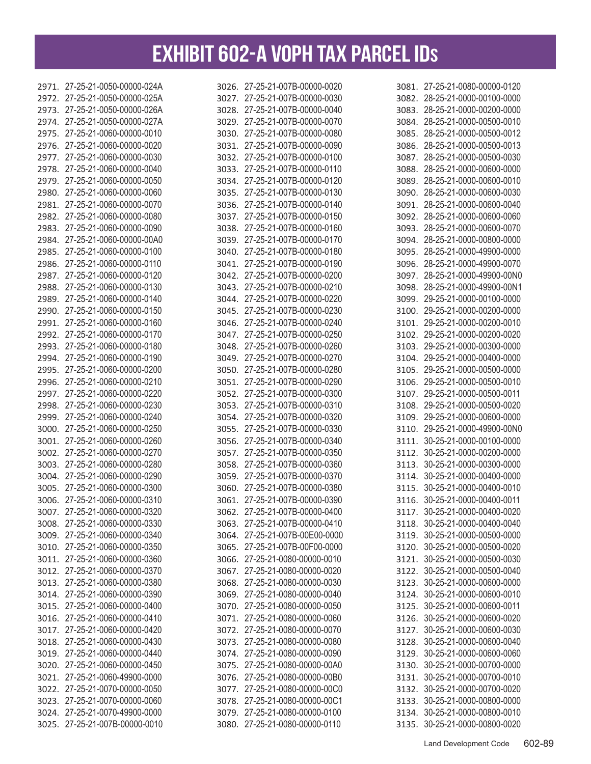| 2971. 27-25-21-0050-00000-024A | 3026. 27-25-21-007B-00000-0020 | 3081. 27-25-21-0080-00000-0120 |
|--------------------------------|--------------------------------|--------------------------------|
| 2972. 27-25-21-0050-00000-025A | 3027. 27-25-21-007B-00000-0030 | 3082. 28-25-21-0000-00100-0000 |
| 2973. 27-25-21-0050-00000-026A | 3028. 27-25-21-007B-00000-0040 | 3083. 28-25-21-0000-00200-0000 |
| 2974. 27-25-21-0050-00000-027A | 3029. 27-25-21-007B-00000-0070 | 3084. 28-25-21-0000-00500-0010 |
| 2975. 27-25-21-0060-00000-0010 | 3030. 27-25-21-007B-00000-0080 | 3085. 28-25-21-0000-00500-0012 |
| 2976. 27-25-21-0060-00000-0020 | 3031. 27-25-21-007B-00000-0090 | 3086. 28-25-21-0000-00500-0013 |
| 2977. 27-25-21-0060-00000-0030 | 3032. 27-25-21-007B-00000-0100 | 3087. 28-25-21-0000-00500-0030 |
| 2978. 27-25-21-0060-00000-0040 | 3033. 27-25-21-007B-00000-0110 | 3088. 28-25-21-0000-00600-0000 |
| 2979. 27-25-21-0060-00000-0050 | 3034. 27-25-21-007B-00000-0120 | 3089. 28-25-21-0000-00600-0010 |
| 2980. 27-25-21-0060-00000-0060 | 3035. 27-25-21-007B-00000-0130 | 3090. 28-25-21-0000-00600-0030 |
| 2981. 27-25-21-0060-00000-0070 | 3036. 27-25-21-007B-00000-0140 | 3091. 28-25-21-0000-00600-0040 |
| 2982. 27-25-21-0060-00000-0080 | 3037. 27-25-21-007B-00000-0150 | 3092. 28-25-21-0000-00600-0060 |
| 2983. 27-25-21-0060-00000-0090 | 3038. 27-25-21-007B-00000-0160 | 3093. 28-25-21-0000-00600-0070 |
| 2984. 27-25-21-0060-00000-00A0 | 3039. 27-25-21-007B-00000-0170 | 3094. 28-25-21-0000-00800-0000 |
| 2985. 27-25-21-0060-00000-0100 | 3040. 27-25-21-007B-00000-0180 | 3095. 28-25-21-0000-49900-0000 |
| 2986. 27-25-21-0060-00000-0110 | 3041. 27-25-21-007B-00000-0190 | 3096. 28-25-21-0000-49900-0070 |
| 2987. 27-25-21-0060-00000-0120 | 3042. 27-25-21-007B-00000-0200 | 3097. 28-25-21-0000-49900-00N0 |
| 2988. 27-25-21-0060-00000-0130 | 3043. 27-25-21-007B-00000-0210 | 3098. 28-25-21-0000-49900-00N1 |
| 2989. 27-25-21-0060-00000-0140 | 3044. 27-25-21-007B-00000-0220 | 3099. 29-25-21-0000-00100-0000 |
| 2990. 27-25-21-0060-00000-0150 | 3045. 27-25-21-007B-00000-0230 | 3100. 29-25-21-0000-00200-0000 |
| 2991. 27-25-21-0060-00000-0160 | 3046. 27-25-21-007B-00000-0240 | 3101. 29-25-21-0000-00200-0010 |
| 2992. 27-25-21-0060-00000-0170 | 3047. 27-25-21-007B-00000-0250 | 3102. 29-25-21-0000-00200-0020 |
| 2993. 27-25-21-0060-00000-0180 | 3048. 27-25-21-007B-00000-0260 | 3103. 29-25-21-0000-00300-0000 |
| 2994. 27-25-21-0060-00000-0190 | 3049. 27-25-21-007B-00000-0270 | 3104. 29-25-21-0000-00400-0000 |
| 2995. 27-25-21-0060-00000-0200 | 3050. 27-25-21-007B-00000-0280 | 3105. 29-25-21-0000-00500-0000 |
| 2996. 27-25-21-0060-00000-0210 | 3051. 27-25-21-007B-00000-0290 | 3106. 29-25-21-0000-00500-0010 |
| 2997. 27-25-21-0060-00000-0220 | 3052. 27-25-21-007B-00000-0300 | 3107. 29-25-21-0000-00500-0011 |
| 2998. 27-25-21-0060-00000-0230 | 3053. 27-25-21-007B-00000-0310 | 3108. 29-25-21-0000-00500-0020 |
| 2999. 27-25-21-0060-00000-0240 | 3054. 27-25-21-007B-00000-0320 | 3109. 29-25-21-0000-00600-0000 |
| 3000. 27-25-21-0060-00000-0250 | 3055. 27-25-21-007B-00000-0330 | 3110. 29-25-21-0000-49900-00N0 |
| 3001. 27-25-21-0060-00000-0260 | 3056. 27-25-21-007B-00000-0340 | 3111. 30-25-21-0000-00100-0000 |
| 3002. 27-25-21-0060-00000-0270 | 3057. 27-25-21-007B-00000-0350 | 3112. 30-25-21-0000-00200-0000 |
| 3003. 27-25-21-0060-00000-0280 | 3058. 27-25-21-007B-00000-0360 | 3113. 30-25-21-0000-00300-0000 |
| 3004. 27-25-21-0060-00000-0290 | 3059. 27-25-21-007B-00000-0370 | 3114. 30-25-21-0000-00400-0000 |
| 3005. 27-25-21-0060-00000-0300 | 3060. 27-25-21-007B-00000-0380 | 3115. 30-25-21-0000-00400-0010 |
| 3006. 27-25-21-0060-00000-0310 | 3061. 27-25-21-007B-00000-0390 | 3116. 30-25-21-0000-00400-0011 |
| 3007. 27-25-21-0060-00000-0320 | 3062. 27-25-21-007B-00000-0400 | 3117. 30-25-21-0000-00400-0020 |
| 3008. 27-25-21-0060-00000-0330 | 3063. 27-25-21-007B-00000-0410 | 3118. 30-25-21-0000-00400-0040 |
| 3009. 27-25-21-0060-00000-0340 | 3064. 27-25-21-007B-00E00-0000 | 3119. 30-25-21-0000-00500-0000 |
| 3010. 27-25-21-0060-00000-0350 | 3065. 27-25-21-007B-00F00-0000 | 3120. 30-25-21-0000-00500-0020 |
| 3011. 27-25-21-0060-00000-0360 | 3066. 27-25-21-0080-00000-0010 | 3121. 30-25-21-0000-00500-0030 |
| 3012. 27-25-21-0060-00000-0370 | 3067. 27-25-21-0080-00000-0020 | 3122. 30-25-21-0000-00500-0040 |
| 3013. 27-25-21-0060-00000-0380 | 3068. 27-25-21-0080-00000-0030 | 3123. 30-25-21-0000-00600-0000 |
| 3014. 27-25-21-0060-00000-0390 | 3069. 27-25-21-0080-00000-0040 | 3124. 30-25-21-0000-00600-0010 |
| 3015. 27-25-21-0060-00000-0400 | 3070. 27-25-21-0080-00000-0050 | 3125. 30-25-21-0000-00600-0011 |
| 3016. 27-25-21-0060-00000-0410 | 3071. 27-25-21-0080-00000-0060 | 3126. 30-25-21-0000-00600-0020 |
| 3017. 27-25-21-0060-00000-0420 | 3072. 27-25-21-0080-00000-0070 | 3127. 30-25-21-0000-00600-0030 |
| 3018. 27-25-21-0060-00000-0430 | 3073. 27-25-21-0080-00000-0080 | 3128. 30-25-21-0000-00600-0040 |
| 3019. 27-25-21-0060-00000-0440 | 3074. 27-25-21-0080-00000-0090 | 3129. 30-25-21-0000-00600-0060 |
| 3020. 27-25-21-0060-00000-0450 | 3075. 27-25-21-0080-00000-00A0 | 3130. 30-25-21-0000-00700-0000 |
| 3021. 27-25-21-0060-49900-0000 | 3076. 27-25-21-0080-00000-00B0 | 3131. 30-25-21-0000-00700-0010 |
| 3022. 27-25-21-0070-00000-0050 | 3077. 27-25-21-0080-00000-00C0 | 3132. 30-25-21-0000-00700-0020 |
| 3023. 27-25-21-0070-00000-0060 | 3078. 27-25-21-0080-00000-00C1 | 3133. 30-25-21-0000-00800-0000 |
| 3024. 27-25-21-0070-49900-0000 | 3079. 27-25-21-0080-00000-0100 | 3134. 30-25-21-0000-00800-0010 |
| 3025. 27-25-21-007B-00000-0010 | 3080. 27-25-21-0080-00000-0110 | 3135. 30-25-21-0000-00800-0020 |
|                                |                                |                                |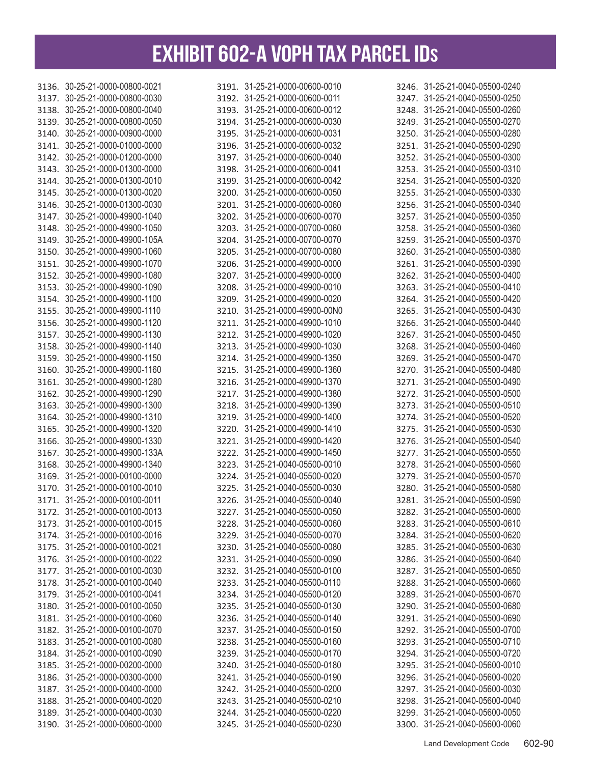| 3136. 30-25-21-0000-00800-0021 | 3191. 31-25-21-0000-00600-0010 | 3246. 31-25-21-0040-05500-0240 |
|--------------------------------|--------------------------------|--------------------------------|
| 3137. 30-25-21-0000-00800-0030 | 3192. 31-25-21-0000-00600-0011 | 3247. 31-25-21-0040-05500-0250 |
| 3138. 30-25-21-0000-00800-0040 | 3193. 31-25-21-0000-00600-0012 | 3248. 31-25-21-0040-05500-0260 |
| 3139. 30-25-21-0000-00800-0050 | 3194. 31-25-21-0000-00600-0030 | 3249. 31-25-21-0040-05500-0270 |
| 3140. 30-25-21-0000-00900-0000 | 3195. 31-25-21-0000-00600-0031 | 3250. 31-25-21-0040-05500-0280 |
| 3141. 30-25-21-0000-01000-0000 | 3196. 31-25-21-0000-00600-0032 | 3251. 31-25-21-0040-05500-0290 |
| 3142. 30-25-21-0000-01200-0000 | 3197. 31-25-21-0000-00600-0040 | 3252. 31-25-21-0040-05500-0300 |
| 3143. 30-25-21-0000-01300-0000 | 3198. 31-25-21-0000-00600-0041 | 3253. 31-25-21-0040-05500-0310 |
| 3144. 30-25-21-0000-01300-0010 | 3199. 31-25-21-0000-00600-0042 | 3254. 31-25-21-0040-05500-0320 |
| 3145. 30-25-21-0000-01300-0020 | 3200. 31-25-21-0000-00600-0050 | 3255. 31-25-21-0040-05500-0330 |
| 3146. 30-25-21-0000-01300-0030 | 3201. 31-25-21-0000-00600-0060 | 3256. 31-25-21-0040-05500-0340 |
| 3147. 30-25-21-0000-49900-1040 | 3202. 31-25-21-0000-00600-0070 | 3257. 31-25-21-0040-05500-0350 |
| 3148. 30-25-21-0000-49900-1050 | 3203. 31-25-21-0000-00700-0060 | 3258. 31-25-21-0040-05500-0360 |
| 3149. 30-25-21-0000-49900-105A | 3204. 31-25-21-0000-00700-0070 | 3259. 31-25-21-0040-05500-0370 |
| 3150. 30-25-21-0000-49900-1060 | 3205. 31-25-21-0000-00700-0080 | 3260. 31-25-21-0040-05500-0380 |
|                                | 3206. 31-25-21-0000-49900-0000 |                                |
| 3151. 30-25-21-0000-49900-1070 |                                | 3261. 31-25-21-0040-05500-0390 |
| 3152. 30-25-21-0000-49900-1080 | 3207. 31-25-21-0000-49900-0000 | 3262. 31-25-21-0040-05500-0400 |
| 3153. 30-25-21-0000-49900-1090 | 3208. 31-25-21-0000-49900-0010 | 3263. 31-25-21-0040-05500-0410 |
| 3154. 30-25-21-0000-49900-1100 | 3209. 31-25-21-0000-49900-0020 | 3264. 31-25-21-0040-05500-0420 |
| 3155. 30-25-21-0000-49900-1110 | 3210. 31-25-21-0000-49900-00N0 | 3265. 31-25-21-0040-05500-0430 |
| 3156. 30-25-21-0000-49900-1120 | 3211. 31-25-21-0000-49900-1010 | 3266. 31-25-21-0040-05500-0440 |
| 3157. 30-25-21-0000-49900-1130 | 3212. 31-25-21-0000-49900-1020 | 3267. 31-25-21-0040-05500-0450 |
| 3158. 30-25-21-0000-49900-1140 | 3213. 31-25-21-0000-49900-1030 | 3268. 31-25-21-0040-05500-0460 |
| 3159. 30-25-21-0000-49900-1150 | 3214. 31-25-21-0000-49900-1350 | 3269. 31-25-21-0040-05500-0470 |
| 3160. 30-25-21-0000-49900-1160 | 3215. 31-25-21-0000-49900-1360 | 3270. 31-25-21-0040-05500-0480 |
| 3161. 30-25-21-0000-49900-1280 | 3216. 31-25-21-0000-49900-1370 | 3271. 31-25-21-0040-05500-0490 |
| 3162. 30-25-21-0000-49900-1290 | 3217. 31-25-21-0000-49900-1380 | 3272. 31-25-21-0040-05500-0500 |
| 3163. 30-25-21-0000-49900-1300 | 3218. 31-25-21-0000-49900-1390 | 3273. 31-25-21-0040-05500-0510 |
| 3164. 30-25-21-0000-49900-1310 | 3219. 31-25-21-0000-49900-1400 | 3274. 31-25-21-0040-05500-0520 |
| 3165. 30-25-21-0000-49900-1320 | 3220. 31-25-21-0000-49900-1410 | 3275. 31-25-21-0040-05500-0530 |
| 3166. 30-25-21-0000-49900-1330 | 3221. 31-25-21-0000-49900-1420 | 3276. 31-25-21-0040-05500-0540 |
| 3167. 30-25-21-0000-49900-133A | 3222. 31-25-21-0000-49900-1450 | 3277. 31-25-21-0040-05500-0550 |
| 3168. 30-25-21-0000-49900-1340 | 3223. 31-25-21-0040-05500-0010 | 3278. 31-25-21-0040-05500-0560 |
| 3169. 31-25-21-0000-00100-0000 | 3224. 31-25-21-0040-05500-0020 | 3279. 31-25-21-0040-05500-0570 |
| 3170. 31-25-21-0000-00100-0010 | 3225. 31-25-21-0040-05500-0030 | 3280. 31-25-21-0040-05500-0580 |
| 3171. 31-25-21-0000-00100-0011 | 3226. 31-25-21-0040-05500-0040 | 3281. 31-25-21-0040-05500-0590 |
| 3172. 31-25-21-0000-00100-0013 | 3227. 31-25-21-0040-05500-0050 | 3282. 31-25-21-0040-05500-0600 |
| 3173. 31-25-21-0000-00100-0015 | 3228. 31-25-21-0040-05500-0060 | 3283. 31-25-21-0040-05500-0610 |
| 3174. 31-25-21-0000-00100-0016 | 3229. 31-25-21-0040-05500-0070 | 3284. 31-25-21-0040-05500-0620 |
| 3175. 31-25-21-0000-00100-0021 | 3230. 31-25-21-0040-05500-0080 | 3285. 31-25-21-0040-05500-0630 |
| 3176. 31-25-21-0000-00100-0022 | 3231. 31-25-21-0040-05500-0090 | 3286. 31-25-21-0040-05500-0640 |
| 3177. 31-25-21-0000-00100-0030 | 3232. 31-25-21-0040-05500-0100 | 3287. 31-25-21-0040-05500-0650 |
| 3178. 31-25-21-0000-00100-0040 | 3233. 31-25-21-0040-05500-0110 | 3288. 31-25-21-0040-05500-0660 |
|                                |                                |                                |
| 3179. 31-25-21-0000-00100-0041 | 3234. 31-25-21-0040-05500-0120 | 3289. 31-25-21-0040-05500-0670 |
| 3180. 31-25-21-0000-00100-0050 | 3235. 31-25-21-0040-05500-0130 | 3290. 31-25-21-0040-05500-0680 |
| 3181. 31-25-21-0000-00100-0060 | 3236. 31-25-21-0040-05500-0140 | 3291. 31-25-21-0040-05500-0690 |
| 3182. 31-25-21-0000-00100-0070 | 3237. 31-25-21-0040-05500-0150 | 3292. 31-25-21-0040-05500-0700 |
| 3183. 31-25-21-0000-00100-0080 | 3238. 31-25-21-0040-05500-0160 | 3293. 31-25-21-0040-05500-0710 |
| 3184. 31-25-21-0000-00100-0090 | 3239. 31-25-21-0040-05500-0170 | 3294. 31-25-21-0040-05500-0720 |
| 3185. 31-25-21-0000-00200-0000 | 3240. 31-25-21-0040-05500-0180 | 3295. 31-25-21-0040-05600-0010 |
| 3186. 31-25-21-0000-00300-0000 | 3241. 31-25-21-0040-05500-0190 | 3296. 31-25-21-0040-05600-0020 |
| 3187. 31-25-21-0000-00400-0000 | 3242. 31-25-21-0040-05500-0200 | 3297. 31-25-21-0040-05600-0030 |
| 3188. 31-25-21-0000-00400-0020 | 3243. 31-25-21-0040-05500-0210 | 3298. 31-25-21-0040-05600-0040 |
| 3189. 31-25-21-0000-00400-0030 | 3244. 31-25-21-0040-05500-0220 | 3299. 31-25-21-0040-05600-0050 |
| 3190. 31-25-21-0000-00600-0000 | 3245. 31-25-21-0040-05500-0230 | 3300. 31-25-21-0040-05600-0060 |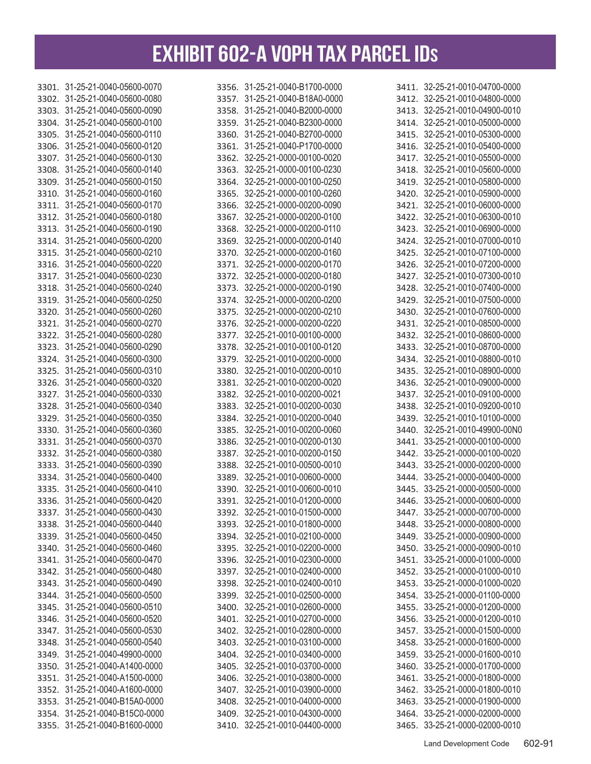| 3301. 31-25-21-0040-05600-0070                                   | 3356. 31-25-21-0040-B1700-0000 | 3411. 32-25-21-0010-04700-0000                                   |
|------------------------------------------------------------------|--------------------------------|------------------------------------------------------------------|
| 3302. 31-25-21-0040-05600-0080                                   | 3357. 31-25-21-0040-B18A0-0000 | 3412. 32-25-21-0010-04800-0000                                   |
| 3303. 31-25-21-0040-05600-0090                                   | 3358. 31-25-21-0040-B2000-0000 | 3413. 32-25-21-0010-04900-0010                                   |
| 3304. 31-25-21-0040-05600-0100                                   | 3359. 31-25-21-0040-B2300-0000 | 3414. 32-25-21-0010-05000-0000                                   |
| 3305. 31-25-21-0040-05600-0110                                   | 3360. 31-25-21-0040-B2700-0000 | 3415. 32-25-21-0010-05300-0000                                   |
| 3306. 31-25-21-0040-05600-0120                                   | 3361. 31-25-21-0040-P1700-0000 | 3416. 32-25-21-0010-05400-0000                                   |
| 3307. 31-25-21-0040-05600-0130                                   | 3362. 32-25-21-0000-00100-0020 | 3417. 32-25-21-0010-05500-0000                                   |
| 3308. 31-25-21-0040-05600-0140                                   | 3363. 32-25-21-0000-00100-0230 | 3418. 32-25-21-0010-05600-0000                                   |
| 3309. 31-25-21-0040-05600-0150                                   | 3364. 32-25-21-0000-00100-0250 | 3419. 32-25-21-0010-05800-0000                                   |
| 3310. 31-25-21-0040-05600-0160                                   | 3365. 32-25-21-0000-00100-0260 | 3420. 32-25-21-0010-05900-0000                                   |
| 3311. 31-25-21-0040-05600-0170                                   | 3366. 32-25-21-0000-00200-0090 | 3421. 32-25-21-0010-06000-0000                                   |
| 3312. 31-25-21-0040-05600-0180                                   | 3367. 32-25-21-0000-00200-0100 | 3422. 32-25-21-0010-06300-0010                                   |
| 3313. 31-25-21-0040-05600-0190                                   | 3368. 32-25-21-0000-00200-0110 | 3423. 32-25-21-0010-06900-0000                                   |
| 3314. 31-25-21-0040-05600-0200                                   | 3369. 32-25-21-0000-00200-0140 | 3424. 32-25-21-0010-07000-0010                                   |
| 3315. 31-25-21-0040-05600-0210                                   | 3370. 32-25-21-0000-00200-0160 | 3425. 32-25-21-0010-07100-0000                                   |
| 3316. 31-25-21-0040-05600-0220                                   | 3371. 32-25-21-0000-00200-0170 | 3426. 32-25-21-0010-07200-0000                                   |
| 3317. 31-25-21-0040-05600-0230                                   | 3372. 32-25-21-0000-00200-0180 | 3427. 32-25-21-0010-07300-0010                                   |
| 3318. 31-25-21-0040-05600-0240                                   | 3373. 32-25-21-0000-00200-0190 | 3428. 32-25-21-0010-07400-0000                                   |
| 3319. 31-25-21-0040-05600-0250                                   | 3374. 32-25-21-0000-00200-0200 | 3429. 32-25-21-0010-07500-0000                                   |
| 3320. 31-25-21-0040-05600-0260                                   | 3375. 32-25-21-0000-00200-0210 | 3430. 32-25-21-0010-07600-0000                                   |
| 3321. 31-25-21-0040-05600-0270                                   | 3376. 32-25-21-0000-00200-0220 | 3431. 32-25-21-0010-08500-0000                                   |
| 3322. 31-25-21-0040-05600-0280                                   | 3377. 32-25-21-0010-00100-0000 | 3432. 32-25-21-0010-08600-0000                                   |
| 3323. 31-25-21-0040-05600-0290                                   | 3378. 32-25-21-0010-00100-0120 | 3433. 32-25-21-0010-08700-0000                                   |
| 3324. 31-25-21-0040-05600-0300                                   | 3379. 32-25-21-0010-00200-0000 | 3434. 32-25-21-0010-08800-0010                                   |
| 3325. 31-25-21-0040-05600-0310                                   | 3380. 32-25-21-0010-00200-0010 | 3435. 32-25-21-0010-08900-0000                                   |
| 3326. 31-25-21-0040-05600-0320                                   | 3381. 32-25-21-0010-00200-0020 | 3436. 32-25-21-0010-09000-0000                                   |
| 3327. 31-25-21-0040-05600-0330                                   | 3382. 32-25-21-0010-00200-0021 | 3437. 32-25-21-0010-09100-0000                                   |
| 3328. 31-25-21-0040-05600-0340                                   | 3383. 32-25-21-0010-00200-0030 | 3438. 32-25-21-0010-09200-0010                                   |
| 3329. 31-25-21-0040-05600-0350                                   | 3384. 32-25-21-0010-00200-0040 | 3439. 32-25-21-0010-10100-0000                                   |
| 3330. 31-25-21-0040-05600-0360                                   | 3385. 32-25-21-0010-00200-0060 | 3440. 32-25-21-0010-49900-00N0                                   |
| 3331. 31-25-21-0040-05600-0370                                   | 3386. 32-25-21-0010-00200-0130 | 3441. 33-25-21-0000-00100-0000                                   |
| 3332. 31-25-21-0040-05600-0380                                   | 3387. 32-25-21-0010-00200-0150 | 3442. 33-25-21-0000-00100-0020                                   |
| 3333. 31-25-21-0040-05600-0390                                   | 3388. 32-25-21-0010-00500-0010 | 3443. 33-25-21-0000-00200-0000                                   |
| 3334. 31-25-21-0040-05600-0400                                   | 3389. 32-25-21-0010-00600-0000 | 3444. 33-25-21-0000-00400-0000                                   |
| 3335. 31-25-21-0040-05600-0410                                   | 3390. 32-25-21-0010-00600-0010 | 3445. 33-25-21-0000-00500-0000                                   |
| 3336. 31-25-21-0040-05600-0420                                   | 3391. 32-25-21-0010-01200-0000 | 3446. 33-25-21-0000-00600-0000                                   |
| 3337. 31-25-21-0040-05600-0430                                   | 3392. 32-25-21-0010-01500-0000 | 3447. 33-25-21-0000-00700-0000                                   |
| 3338. 31-25-21-0040-05600-0440                                   | 3393. 32-25-21-0010-01800-0000 | 3448. 33-25-21-0000-00800-0000                                   |
|                                                                  | 3394. 32-25-21-0010-02100-0000 |                                                                  |
| 3339. 31-25-21-0040-05600-0450<br>3340. 31-25-21-0040-05600-0460 | 3395. 32-25-21-0010-02200-0000 | 3449. 33-25-21-0000-00900-0000<br>3450. 33-25-21-0000-00900-0010 |
| 3341. 31-25-21-0040-05600-0470                                   | 3396. 32-25-21-0010-02300-0000 | 3451. 33-25-21-0000-01000-0000                                   |
| 3342. 31-25-21-0040-05600-0480                                   | 3397. 32-25-21-0010-02400-0000 | 3452. 33-25-21-0000-01000-0010                                   |
|                                                                  | 3398. 32-25-21-0010-02400-0010 |                                                                  |
| 3343. 31-25-21-0040-05600-0490<br>3344. 31-25-21-0040-05600-0500 | 3399. 32-25-21-0010-02500-0000 | 3453. 33-25-21-0000-01000-0020                                   |
|                                                                  |                                | 3454. 33-25-21-0000-01100-0000                                   |
| 3345. 31-25-21-0040-05600-0510                                   | 3400. 32-25-21-0010-02600-0000 | 3455. 33-25-21-0000-01200-0000                                   |
| 3346. 31-25-21-0040-05600-0520                                   | 3401. 32-25-21-0010-02700-0000 | 3456. 33-25-21-0000-01200-0010                                   |
| 3347. 31-25-21-0040-05600-0530                                   | 3402. 32-25-21-0010-02800-0000 | 3457. 33-25-21-0000-01500-0000                                   |
| 3348. 31-25-21-0040-05600-0540                                   | 3403. 32-25-21-0010-03100-0000 | 3458. 33-25-21-0000-01600-0000                                   |
| 3349. 31-25-21-0040-49900-0000                                   | 3404. 32-25-21-0010-03400-0000 | 3459. 33-25-21-0000-01600-0010                                   |
| 3350. 31-25-21-0040-A1400-0000                                   | 3405. 32-25-21-0010-03700-0000 | 3460. 33-25-21-0000-01700-0000                                   |
| 3351. 31-25-21-0040-A1500-0000                                   | 3406. 32-25-21-0010-03800-0000 | 3461. 33-25-21-0000-01800-0000                                   |
| 3352. 31-25-21-0040-A1600-0000                                   | 3407. 32-25-21-0010-03900-0000 | 3462. 33-25-21-0000-01800-0010                                   |
| 3353. 31-25-21-0040-B15A0-0000                                   | 3408. 32-25-21-0010-04000-0000 | 3463. 33-25-21-0000-01900-0000                                   |
| 3354. 31-25-21-0040-B15C0-0000                                   | 3409. 32-25-21-0010-04300-0000 | 3464. 33-25-21-0000-02000-0000                                   |
| 3355. 31-25-21-0040-B1600-0000                                   | 3410. 32-25-21-0010-04400-0000 | 3465. 33-25-21-0000-02000-0010                                   |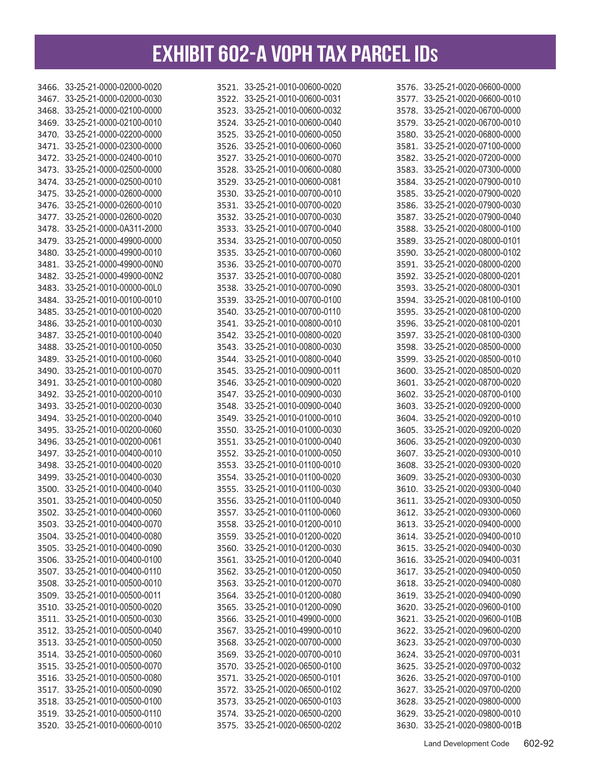| 3466. 33-25-21-0000-02000-0020                                   | 3521. 33-25-21-0010-00600-0020 | 3576. 33-25-21-0020-06600-0000                                   |
|------------------------------------------------------------------|--------------------------------|------------------------------------------------------------------|
| 3467. 33-25-21-0000-02000-0030                                   | 3522. 33-25-21-0010-00600-0031 | 3577. 33-25-21-0020-06600-0010                                   |
| 3468. 33-25-21-0000-02100-0000                                   | 3523. 33-25-21-0010-00600-0032 | 3578. 33-25-21-0020-06700-0000                                   |
| 3469. 33-25-21-0000-02100-0010                                   | 3524. 33-25-21-0010-00600-0040 | 3579. 33-25-21-0020-06700-0010                                   |
| 3470. 33-25-21-0000-02200-0000                                   | 3525. 33-25-21-0010-00600-0050 | 3580. 33-25-21-0020-06800-0000                                   |
| 3471. 33-25-21-0000-02300-0000                                   | 3526. 33-25-21-0010-00600-0060 | 3581. 33-25-21-0020-07100-0000                                   |
| 3472. 33-25-21-0000-02400-0010                                   | 3527. 33-25-21-0010-00600-0070 | 3582. 33-25-21-0020-07200-0000                                   |
| 3473. 33-25-21-0000-02500-0000                                   | 3528. 33-25-21-0010-00600-0080 | 3583. 33-25-21-0020-07300-0000                                   |
| 3474. 33-25-21-0000-02500-0010                                   | 3529. 33-25-21-0010-00600-0081 | 3584. 33-25-21-0020-07900-0010                                   |
| 3475. 33-25-21-0000-02600-0000                                   | 3530. 33-25-21-0010-00700-0010 | 3585. 33-25-21-0020-07900-0020                                   |
| 3476. 33-25-21-0000-02600-0010                                   | 3531. 33-25-21-0010-00700-0020 | 3586. 33-25-21-0020-07900-0030                                   |
| 3477. 33-25-21-0000-02600-0020                                   | 3532. 33-25-21-0010-00700-0030 | 3587. 33-25-21-0020-07900-0040                                   |
| 3478. 33-25-21-0000-0A311-2000                                   | 3533. 33-25-21-0010-00700-0040 | 3588. 33-25-21-0020-08000-0100                                   |
| 3479. 33-25-21-0000-49900-0000                                   | 3534. 33-25-21-0010-00700-0050 | 3589. 33-25-21-0020-08000-0101                                   |
| 3480. 33-25-21-0000-49900-0010                                   | 3535. 33-25-21-0010-00700-0060 | 3590. 33-25-21-0020-08000-0102                                   |
| 3481. 33-25-21-0000-49900-00N0                                   | 3536. 33-25-21-0010-00700-0070 | 3591. 33-25-21-0020-08000-0200                                   |
| 3482. 33-25-21-0000-49900-00N2                                   | 3537. 33-25-21-0010-00700-0080 | 3592. 33-25-21-0020-08000-0201                                   |
| 3483. 33-25-21-0010-00000-00L0                                   | 3538. 33-25-21-0010-00700-0090 | 3593. 33-25-21-0020-08000-0301                                   |
| 3484. 33-25-21-0010-00100-0010                                   | 3539. 33-25-21-0010-00700-0100 | 3594. 33-25-21-0020-08100-0100                                   |
| 3485. 33-25-21-0010-00100-0020                                   | 3540. 33-25-21-0010-00700-0110 | 3595. 33-25-21-0020-08100-0200                                   |
| 3486. 33-25-21-0010-00100-0030                                   | 3541. 33-25-21-0010-00800-0010 | 3596. 33-25-21-0020-08100-0201                                   |
| 3487. 33-25-21-0010-00100-0040                                   | 3542. 33-25-21-0010-00800-0020 | 3597. 33-25-21-0020-08100-0300                                   |
| 3488. 33-25-21-0010-00100-0050                                   | 3543. 33-25-21-0010-00800-0030 | 3598. 33-25-21-0020-08500-0000                                   |
| 3489. 33-25-21-0010-00100-0060                                   | 3544. 33-25-21-0010-00800-0040 | 3599. 33-25-21-0020-08500-0010                                   |
| 3490. 33-25-21-0010-00100-0070                                   | 3545. 33-25-21-0010-00900-0011 | 3600. 33-25-21-0020-08500-0020                                   |
| 3491. 33-25-21-0010-00100-0080                                   | 3546. 33-25-21-0010-00900-0020 | 3601. 33-25-21-0020-08700-0020                                   |
| 3492. 33-25-21-0010-00200-0010                                   | 3547. 33-25-21-0010-00900-0030 | 3602. 33-25-21-0020-08700-0100                                   |
| 3493. 33-25-21-0010-00200-0030                                   | 3548. 33-25-21-0010-00900-0040 | 3603. 33-25-21-0020-09200-0000                                   |
| 3494. 33-25-21-0010-00200-0040                                   | 3549. 33-25-21-0010-01000-0010 | 3604. 33-25-21-0020-09200-0010                                   |
| 3495. 33-25-21-0010-00200-0060                                   | 3550. 33-25-21-0010-01000-0030 | 3605. 33-25-21-0020-09200-0020                                   |
| 3496. 33-25-21-0010-00200-0061                                   | 3551. 33-25-21-0010-01000-0040 | 3606. 33-25-21-0020-09200-0030                                   |
| 3497. 33-25-21-0010-00400-0010                                   | 3552. 33-25-21-0010-01000-0050 | 3607. 33-25-21-0020-09300-0010                                   |
| 3498. 33-25-21-0010-00400-0020                                   | 3553. 33-25-21-0010-01100-0010 | 3608. 33-25-21-0020-09300-0020                                   |
| 3499. 33-25-21-0010-00400-0030                                   | 3554. 33-25-21-0010-01100-0020 | 3609. 33-25-21-0020-09300-0030                                   |
| 3500. 33-25-21-0010-00400-0040                                   | 3555. 33-25-21-0010-01100-0030 | 3610. 33-25-21-0020-09300-0040                                   |
| 3501. 33-25-21-0010-00400-0050                                   | 3556. 33-25-21-0010-01100-0040 | 3611. 33-25-21-0020-09300-0050                                   |
|                                                                  |                                |                                                                  |
| 3502. 33-25-21-0010-00400-0060<br>3503. 33-25-21-0010-00400-0070 | 3557. 33-25-21-0010-01100-0060 | 3612. 33-25-21-0020-09300-0060<br>3613. 33-25-21-0020-09400-0000 |
|                                                                  | 3558. 33-25-21-0010-01200-0010 |                                                                  |
| 3504. 33-25-21-0010-00400-0080                                   | 3559. 33-25-21-0010-01200-0020 | 3614. 33-25-21-0020-09400-0010                                   |
| 3505. 33-25-21-0010-00400-0090                                   | 3560. 33-25-21-0010-01200-0030 | 3615. 33-25-21-0020-09400-0030                                   |
| 3506. 33-25-21-0010-00400-0100                                   | 3561. 33-25-21-0010-01200-0040 | 3616. 33-25-21-0020-09400-0031                                   |
| 3507. 33-25-21-0010-00400-0110                                   | 3562. 33-25-21-0010-01200-0050 | 3617. 33-25-21-0020-09400-0050                                   |
| 3508. 33-25-21-0010-00500-0010                                   | 3563. 33-25-21-0010-01200-0070 | 3618. 33-25-21-0020-09400-0080                                   |
| 3509. 33-25-21-0010-00500-0011                                   | 3564. 33-25-21-0010-01200-0080 | 3619. 33-25-21-0020-09400-0090                                   |
| 3510. 33-25-21-0010-00500-0020                                   | 3565. 33-25-21-0010-01200-0090 | 3620. 33-25-21-0020-09600-0100                                   |
| 3511. 33-25-21-0010-00500-0030                                   | 3566. 33-25-21-0010-49900-0000 | 3621. 33-25-21-0020-09600-010B                                   |
| 3512. 33-25-21-0010-00500-0040                                   | 3567. 33-25-21-0010-49900-0010 | 3622. 33-25-21-0020-09600-0200                                   |
| 3513. 33-25-21-0010-00500-0050                                   | 3568. 33-25-21-0020-00700-0000 | 3623. 33-25-21-0020-09700-0030                                   |
| 3514. 33-25-21-0010-00500-0060                                   | 3569. 33-25-21-0020-00700-0010 | 3624. 33-25-21-0020-09700-0031                                   |
| 3515. 33-25-21-0010-00500-0070                                   | 3570. 33-25-21-0020-06500-0100 | 3625. 33-25-21-0020-09700-0032                                   |
| 3516. 33-25-21-0010-00500-0080                                   | 3571. 33-25-21-0020-06500-0101 | 3626. 33-25-21-0020-09700-0100                                   |
| 3517. 33-25-21-0010-00500-0090                                   | 3572. 33-25-21-0020-06500-0102 | 3627. 33-25-21-0020-09700-0200                                   |
| 3518. 33-25-21-0010-00500-0100                                   | 3573. 33-25-21-0020-06500-0103 | 3628. 33-25-21-0020-09800-0000                                   |
| 3519. 33-25-21-0010-00500-0110                                   | 3574. 33-25-21-0020-06500-0200 | 3629. 33-25-21-0020-09800-0010                                   |
| 3520. 33-25-21-0010-00600-0010                                   | 3575. 33-25-21-0020-06500-0202 | 3630. 33-25-21-0020-09800-001B                                   |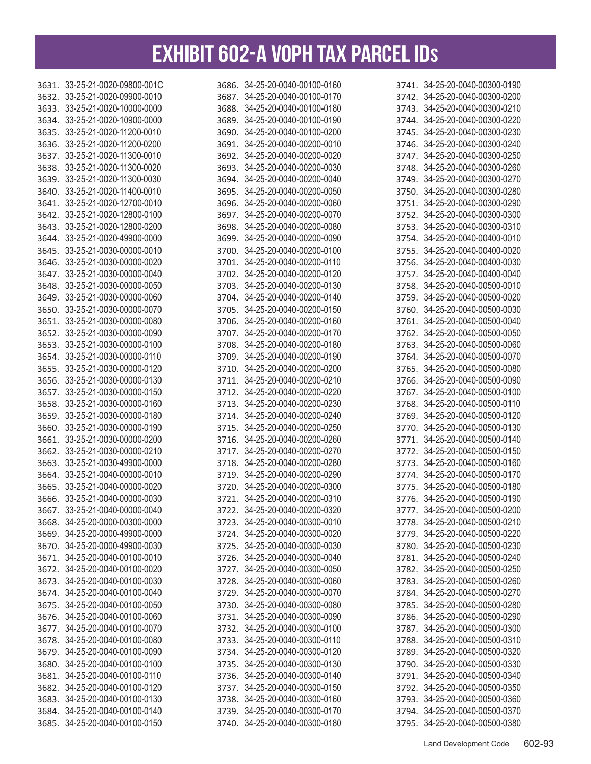| 3631. 33-25-21-0020-09800-001C                                   | 3686. 34-25-20-0040-00100-0160 | 3741. 34-25-20-0040-00300-0190                                   |
|------------------------------------------------------------------|--------------------------------|------------------------------------------------------------------|
| 3632. 33-25-21-0020-09900-0010                                   | 3687. 34-25-20-0040-00100-0170 | 3742. 34-25-20-0040-00300-0200                                   |
| 3633. 33-25-21-0020-10000-0000                                   | 3688. 34-25-20-0040-00100-0180 | 3743. 34-25-20-0040-00300-0210                                   |
| 3634. 33-25-21-0020-10900-0000                                   | 3689. 34-25-20-0040-00100-0190 | 3744. 34-25-20-0040-00300-0220                                   |
| 3635. 33-25-21-0020-11200-0010                                   | 3690. 34-25-20-0040-00100-0200 | 3745. 34-25-20-0040-00300-0230                                   |
| 3636. 33-25-21-0020-11200-0200                                   | 3691. 34-25-20-0040-00200-0010 | 3746. 34-25-20-0040-00300-0240                                   |
| 3637. 33-25-21-0020-11300-0010                                   | 3692. 34-25-20-0040-00200-0020 | 3747. 34-25-20-0040-00300-0250                                   |
| 3638. 33-25-21-0020-11300-0020                                   | 3693. 34-25-20-0040-00200-0030 | 3748. 34-25-20-0040-00300-0260                                   |
| 3639. 33-25-21-0020-11300-0030                                   | 3694. 34-25-20-0040-00200-0040 | 3749. 34-25-20-0040-00300-0270                                   |
| 3640. 33-25-21-0020-11400-0010                                   | 3695. 34-25-20-0040-00200-0050 | 3750. 34-25-20-0040-00300-0280                                   |
| 3641. 33-25-21-0020-12700-0010                                   | 3696. 34-25-20-0040-00200-0060 | 3751. 34-25-20-0040-00300-0290                                   |
| 3642. 33-25-21-0020-12800-0100                                   | 3697. 34-25-20-0040-00200-0070 | 3752. 34-25-20-0040-00300-0300                                   |
| 3643. 33-25-21-0020-12800-0200                                   | 3698. 34-25-20-0040-00200-0080 | 3753. 34-25-20-0040-00300-0310                                   |
| 3644. 33-25-21-0020-49900-0000                                   | 3699. 34-25-20-0040-00200-0090 | 3754. 34-25-20-0040-00400-0010                                   |
| 3645. 33-25-21-0030-00000-0010                                   | 3700. 34-25-20-0040-00200-0100 | 3755. 34-25-20-0040-00400-0020                                   |
| 3646. 33-25-21-0030-00000-0020                                   | 3701. 34-25-20-0040-00200-0110 | 3756. 34-25-20-0040-00400-0030                                   |
| 3647. 33-25-21-0030-00000-0040                                   | 3702. 34-25-20-0040-00200-0120 | 3757. 34-25-20-0040-00400-0040                                   |
| 3648. 33-25-21-0030-00000-0050                                   | 3703. 34-25-20-0040-00200-0130 | 3758. 34-25-20-0040-00500-0010                                   |
| 3649. 33-25-21-0030-00000-0060                                   | 3704. 34-25-20-0040-00200-0140 | 3759. 34-25-20-0040-00500-0020                                   |
| 3650. 33-25-21-0030-00000-0070                                   | 3705. 34-25-20-0040-00200-0150 | 3760. 34-25-20-0040-00500-0030                                   |
| 3651. 33-25-21-0030-00000-0080                                   | 3706. 34-25-20-0040-00200-0160 | 3761. 34-25-20-0040-00500-0040                                   |
| 3652. 33-25-21-0030-00000-0090                                   | 3707. 34-25-20-0040-00200-0170 | 3762. 34-25-20-0040-00500-0050                                   |
| 3653. 33-25-21-0030-00000-0100                                   | 3708. 34-25-20-0040-00200-0180 | 3763. 34-25-20-0040-00500-0060                                   |
| 3654. 33-25-21-0030-00000-0110                                   | 3709. 34-25-20-0040-00200-0190 | 3764. 34-25-20-0040-00500-0070                                   |
| 3655. 33-25-21-0030-00000-0120                                   | 3710. 34-25-20-0040-00200-0200 | 3765. 34-25-20-0040-00500-0080                                   |
| 3656. 33-25-21-0030-00000-0130                                   | 3711. 34-25-20-0040-00200-0210 | 3766. 34-25-20-0040-00500-0090                                   |
| 3657. 33-25-21-0030-00000-0150                                   | 3712. 34-25-20-0040-00200-0220 | 3767. 34-25-20-0040-00500-0100                                   |
| 3658. 33-25-21-0030-00000-0160                                   | 3713. 34-25-20-0040-00200-0230 | 3768. 34-25-20-0040-00500-0110                                   |
|                                                                  | 3714. 34-25-20-0040-00200-0240 |                                                                  |
| 3659. 33-25-21-0030-00000-0180<br>3660. 33-25-21-0030-00000-0190 | 3715. 34-25-20-0040-00200-0250 | 3769. 34-25-20-0040-00500-0120<br>3770. 34-25-20-0040-00500-0130 |
|                                                                  |                                |                                                                  |
| 3661. 33-25-21-0030-00000-0200                                   | 3716. 34-25-20-0040-00200-0260 | 3771. 34-25-20-0040-00500-0140                                   |
| 3662. 33-25-21-0030-00000-0210                                   | 3717. 34-25-20-0040-00200-0270 | 3772. 34-25-20-0040-00500-0150                                   |
| 3663. 33-25-21-0030-49900-0000                                   | 3718. 34-25-20-0040-00200-0280 | 3773. 34-25-20-0040-00500-0160                                   |
| 3664. 33-25-21-0040-00000-0010                                   | 3719. 34-25-20-0040-00200-0290 | 3774. 34-25-20-0040-00500-0170                                   |
| 3665. 33-25-21-0040-00000-0020                                   | 3720. 34-25-20-0040-00200-0300 | 3775. 34-25-20-0040-00500-0180                                   |
| 3666. 33-25-21-0040-00000-0030                                   | 3721. 34-25-20-0040-00200-0310 | 3776. 34-25-20-0040-00500-0190                                   |
| 3667. 33-25-21-0040-00000-0040                                   | 3722. 34-25-20-0040-00200-0320 | 3777. 34-25-20-0040-00500-0200                                   |
| 3668. 34-25-20-0000-00300-0000                                   | 3723. 34-25-20-0040-00300-0010 | 3778. 34-25-20-0040-00500-0210                                   |
| 3669. 34-25-20-0000-49900-0000                                   | 3724. 34-25-20-0040-00300-0020 | 3779. 34-25-20-0040-00500-0220                                   |
| 3670. 34-25-20-0000-49900-0030                                   | 3725. 34-25-20-0040-00300-0030 | 3780. 34-25-20-0040-00500-0230                                   |
| 3671. 34-25-20-0040-00100-0010                                   | 3726. 34-25-20-0040-00300-0040 | 3781. 34-25-20-0040-00500-0240                                   |
| 3672. 34-25-20-0040-00100-0020                                   | 3727. 34-25-20-0040-00300-0050 | 3782. 34-25-20-0040-00500-0250                                   |
| 3673. 34-25-20-0040-00100-0030                                   | 3728. 34-25-20-0040-00300-0060 | 3783. 34-25-20-0040-00500-0260                                   |
| 3674. 34-25-20-0040-00100-0040                                   | 3729. 34-25-20-0040-00300-0070 | 3784. 34-25-20-0040-00500-0270                                   |
| 3675. 34-25-20-0040-00100-0050                                   | 3730. 34-25-20-0040-00300-0080 | 3785. 34-25-20-0040-00500-0280                                   |
| 3676. 34-25-20-0040-00100-0060                                   | 3731. 34-25-20-0040-00300-0090 | 3786. 34-25-20-0040-00500-0290                                   |
| 3677. 34-25-20-0040-00100-0070                                   | 3732. 34-25-20-0040-00300-0100 | 3787. 34-25-20-0040-00500-0300                                   |
| 3678. 34-25-20-0040-00100-0080                                   | 3733. 34-25-20-0040-00300-0110 | 3788. 34-25-20-0040-00500-0310                                   |
| 3679. 34-25-20-0040-00100-0090                                   | 3734. 34-25-20-0040-00300-0120 | 3789. 34-25-20-0040-00500-0320                                   |
| 3680. 34-25-20-0040-00100-0100                                   | 3735. 34-25-20-0040-00300-0130 | 3790. 34-25-20-0040-00500-0330                                   |
| 3681. 34-25-20-0040-00100-0110                                   | 3736. 34-25-20-0040-00300-0140 | 3791. 34-25-20-0040-00500-0340                                   |
| 3682. 34-25-20-0040-00100-0120                                   | 3737. 34-25-20-0040-00300-0150 | 3792. 34-25-20-0040-00500-0350                                   |
| 3683. 34-25-20-0040-00100-0130                                   | 3738. 34-25-20-0040-00300-0160 | 3793. 34-25-20-0040-00500-0360                                   |
| 3684. 34-25-20-0040-00100-0140                                   | 3739. 34-25-20-0040-00300-0170 | 3794. 34-25-20-0040-00500-0370                                   |
| 3685. 34-25-20-0040-00100-0150                                   | 3740. 34-25-20-0040-00300-0180 | 3795. 34-25-20-0040-00500-0380                                   |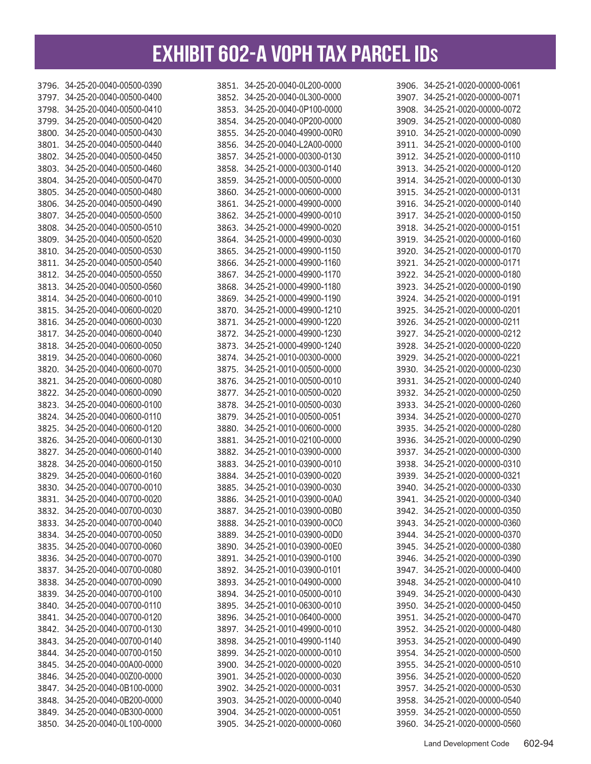| 3796. 34-25-20-0040-00500-0390 | 3851. 34-25-20-0040-0L200-0000 | 3906. 34-25-21-0020-00000-0061 |
|--------------------------------|--------------------------------|--------------------------------|
| 3797. 34-25-20-0040-00500-0400 | 3852. 34-25-20-0040-0L300-0000 | 3907. 34-25-21-0020-00000-0071 |
| 3798. 34-25-20-0040-00500-0410 | 3853. 34-25-20-0040-0P100-0000 | 3908. 34-25-21-0020-00000-0072 |
| 3799. 34-25-20-0040-00500-0420 | 3854. 34-25-20-0040-0P200-0000 | 3909. 34-25-21-0020-00000-0080 |
| 3800. 34-25-20-0040-00500-0430 | 3855. 34-25-20-0040-49900-00R0 | 3910. 34-25-21-0020-00000-0090 |
| 3801. 34-25-20-0040-00500-0440 | 3856. 34-25-20-0040-L2A00-0000 | 3911. 34-25-21-0020-00000-0100 |
| 3802. 34-25-20-0040-00500-0450 | 3857. 34-25-21-0000-00300-0130 | 3912. 34-25-21-0020-00000-0110 |
| 3803. 34-25-20-0040-00500-0460 | 3858. 34-25-21-0000-00300-0140 | 3913. 34-25-21-0020-00000-0120 |
| 3804. 34-25-20-0040-00500-0470 | 3859. 34-25-21-0000-00500-0000 | 3914. 34-25-21-0020-00000-0130 |
| 3805. 34-25-20-0040-00500-0480 | 3860. 34-25-21-0000-00600-0000 | 3915. 34-25-21-0020-00000-0131 |
| 3806. 34-25-20-0040-00500-0490 | 3861. 34-25-21-0000-49900-0000 | 3916. 34-25-21-0020-00000-0140 |
| 3807. 34-25-20-0040-00500-0500 | 3862. 34-25-21-0000-49900-0010 | 3917. 34-25-21-0020-00000-0150 |
| 3808. 34-25-20-0040-00500-0510 | 3863. 34-25-21-0000-49900-0020 | 3918. 34-25-21-0020-00000-0151 |
| 3809. 34-25-20-0040-00500-0520 | 3864. 34-25-21-0000-49900-0030 | 3919. 34-25-21-0020-00000-0160 |
| 3810. 34-25-20-0040-00500-0530 | 3865. 34-25-21-0000-49900-1150 | 3920. 34-25-21-0020-00000-0170 |
| 3811. 34-25-20-0040-00500-0540 | 3866. 34-25-21-0000-49900-1160 | 3921. 34-25-21-0020-00000-0171 |
| 3812. 34-25-20-0040-00500-0550 | 3867. 34-25-21-0000-49900-1170 | 3922. 34-25-21-0020-00000-0180 |
| 3813. 34-25-20-0040-00500-0560 | 3868. 34-25-21-0000-49900-1180 | 3923. 34-25-21-0020-00000-0190 |
| 3814. 34-25-20-0040-00600-0010 | 3869. 34-25-21-0000-49900-1190 | 3924. 34-25-21-0020-00000-0191 |
| 3815. 34-25-20-0040-00600-0020 | 3870. 34-25-21-0000-49900-1210 | 3925. 34-25-21-0020-00000-0201 |
| 3816. 34-25-20-0040-00600-0030 | 3871. 34-25-21-0000-49900-1220 | 3926. 34-25-21-0020-00000-0211 |
| 3817. 34-25-20-0040-00600-0040 | 3872. 34-25-21-0000-49900-1230 | 3927. 34-25-21-0020-00000-0212 |
| 3818. 34-25-20-0040-00600-0050 | 3873. 34-25-21-0000-49900-1240 | 3928. 34-25-21-0020-00000-0220 |
| 3819. 34-25-20-0040-00600-0060 | 3874. 34-25-21-0010-00300-0000 | 3929. 34-25-21-0020-00000-0221 |
| 3820. 34-25-20-0040-00600-0070 | 3875. 34-25-21-0010-00500-0000 | 3930. 34-25-21-0020-00000-0230 |
| 3821. 34-25-20-0040-00600-0080 | 3876. 34-25-21-0010-00500-0010 | 3931. 34-25-21-0020-00000-0240 |
| 3822. 34-25-20-0040-00600-0090 | 3877. 34-25-21-0010-00500-0020 | 3932. 34-25-21-0020-00000-0250 |
| 3823. 34-25-20-0040-00600-0100 | 3878. 34-25-21-0010-00500-0030 | 3933. 34-25-21-0020-00000-0260 |
| 3824. 34-25-20-0040-00600-0110 | 3879. 34-25-21-0010-00500-0051 | 3934. 34-25-21-0020-00000-0270 |
| 3825. 34-25-20-0040-00600-0120 | 3880. 34-25-21-0010-00600-0000 | 3935. 34-25-21-0020-00000-0280 |
|                                |                                |                                |
| 3826. 34-25-20-0040-00600-0130 | 3881. 34-25-21-0010-02100-0000 | 3936. 34-25-21-0020-00000-0290 |
| 3827. 34-25-20-0040-00600-0140 | 3882. 34-25-21-0010-03900-0000 | 3937. 34-25-21-0020-00000-0300 |
| 3828. 34-25-20-0040-00600-0150 | 3883. 34-25-21-0010-03900-0010 | 3938. 34-25-21-0020-00000-0310 |
| 3829. 34-25-20-0040-00600-0160 | 3884. 34-25-21-0010-03900-0020 | 3939. 34-25-21-0020-00000-0321 |
| 3830. 34-25-20-0040-00700-0010 | 3885. 34-25-21-0010-03900-0030 | 3940. 34-25-21-0020-00000-0330 |
| 3831. 34-25-20-0040-00700-0020 | 3886. 34-25-21-0010-03900-00A0 | 3941. 34-25-21-0020-00000-0340 |
| 3832. 34-25-20-0040-00700-0030 | 3887. 34-25-21-0010-03900-00B0 | 3942. 34-25-21-0020-00000-0350 |
| 3833. 34-25-20-0040-00700-0040 | 3888. 34-25-21-0010-03900-00C0 | 3943. 34-25-21-0020-00000-0360 |
| 3834. 34-25-20-0040-00700-0050 | 3889. 34-25-21-0010-03900-00D0 | 3944. 34-25-21-0020-00000-0370 |
| 3835. 34-25-20-0040-00700-0060 | 3890. 34-25-21-0010-03900-00E0 | 3945. 34-25-21-0020-00000-0380 |
| 3836. 34-25-20-0040-00700-0070 | 3891. 34-25-21-0010-03900-0100 | 3946. 34-25-21-0020-00000-0390 |
| 3837. 34-25-20-0040-00700-0080 | 3892. 34-25-21-0010-03900-0101 | 3947. 34-25-21-0020-00000-0400 |
| 3838. 34-25-20-0040-00700-0090 | 3893. 34-25-21-0010-04900-0000 | 3948. 34-25-21-0020-00000-0410 |
| 3839. 34-25-20-0040-00700-0100 | 3894. 34-25-21-0010-05000-0010 | 3949. 34-25-21-0020-00000-0430 |
| 3840. 34-25-20-0040-00700-0110 | 3895. 34-25-21-0010-06300-0010 | 3950. 34-25-21-0020-00000-0450 |
| 3841. 34-25-20-0040-00700-0120 | 3896. 34-25-21-0010-06400-0000 | 3951. 34-25-21-0020-00000-0470 |
| 3842. 34-25-20-0040-00700-0130 | 3897. 34-25-21-0010-49900-0010 | 3952. 34-25-21-0020-00000-0480 |
| 3843. 34-25-20-0040-00700-0140 | 3898. 34-25-21-0010-49900-1140 | 3953. 34-25-21-0020-00000-0490 |
| 3844. 34-25-20-0040-00700-0150 | 3899. 34-25-21-0020-00000-0010 | 3954. 34-25-21-0020-00000-0500 |
| 3845. 34-25-20-0040-00A00-0000 | 3900. 34-25-21-0020-00000-0020 | 3955. 34-25-21-0020-00000-0510 |
| 3846. 34-25-20-0040-00Z00-0000 | 3901. 34-25-21-0020-00000-0030 | 3956. 34-25-21-0020-00000-0520 |
| 3847. 34-25-20-0040-0B100-0000 | 3902. 34-25-21-0020-00000-0031 | 3957. 34-25-21-0020-00000-0530 |
| 3848. 34-25-20-0040-0B200-0000 | 3903. 34-25-21-0020-00000-0040 | 3958. 34-25-21-0020-00000-0540 |
| 3849. 34-25-20-0040-0B300-0000 | 3904. 34-25-21-0020-00000-0051 | 3959. 34-25-21-0020-00000-0550 |
| 3850. 34-25-20-0040-0L100-0000 | 3905. 34-25-21-0020-00000-0060 | 3960. 34-25-21-0020-00000-0560 |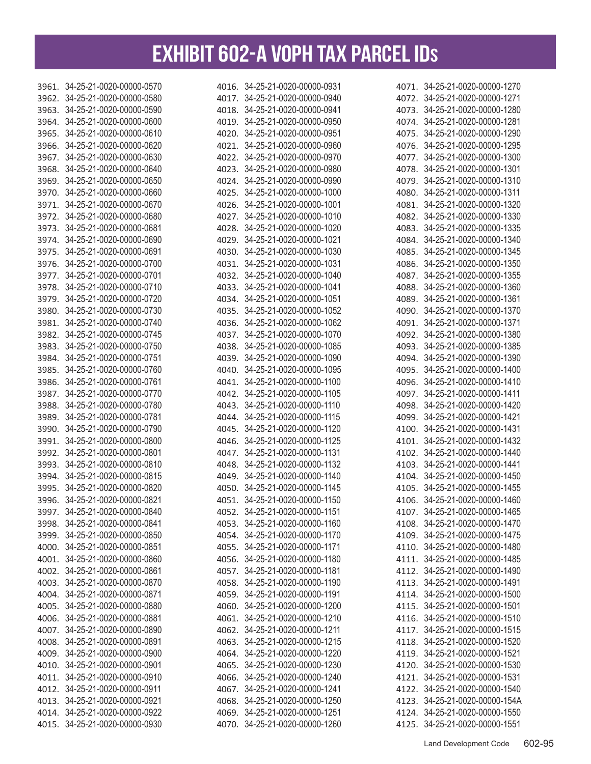| 3961. 34-25-21-0020-00000-0570 | 4016. 34-25-21-0020-00000-0931 | 4071. 34-25-21-0020-00000-1270 |
|--------------------------------|--------------------------------|--------------------------------|
| 3962. 34-25-21-0020-00000-0580 | 4017. 34-25-21-0020-00000-0940 | 4072. 34-25-21-0020-00000-1271 |
| 3963. 34-25-21-0020-00000-0590 | 4018. 34-25-21-0020-00000-0941 | 4073. 34-25-21-0020-00000-1280 |
| 3964. 34-25-21-0020-00000-0600 | 4019. 34-25-21-0020-00000-0950 | 4074. 34-25-21-0020-00000-1281 |
| 3965. 34-25-21-0020-00000-0610 | 4020. 34-25-21-0020-00000-0951 | 4075. 34-25-21-0020-00000-1290 |
| 3966. 34-25-21-0020-00000-0620 | 4021. 34-25-21-0020-00000-0960 | 4076. 34-25-21-0020-00000-1295 |
| 3967. 34-25-21-0020-00000-0630 | 4022. 34-25-21-0020-00000-0970 | 4077. 34-25-21-0020-00000-1300 |
| 3968. 34-25-21-0020-00000-0640 | 4023. 34-25-21-0020-00000-0980 | 4078. 34-25-21-0020-00000-1301 |
| 3969. 34-25-21-0020-00000-0650 | 4024. 34-25-21-0020-00000-0990 | 4079. 34-25-21-0020-00000-1310 |
| 3970. 34-25-21-0020-00000-0660 | 4025. 34-25-21-0020-00000-1000 | 4080. 34-25-21-0020-00000-1311 |
| 3971. 34-25-21-0020-00000-0670 | 4026. 34-25-21-0020-00000-1001 | 4081. 34-25-21-0020-00000-1320 |
| 3972. 34-25-21-0020-00000-0680 | 4027. 34-25-21-0020-00000-1010 | 4082. 34-25-21-0020-00000-1330 |
| 3973. 34-25-21-0020-00000-0681 | 4028. 34-25-21-0020-00000-1020 | 4083. 34-25-21-0020-00000-1335 |
| 3974. 34-25-21-0020-00000-0690 | 4029. 34-25-21-0020-00000-1021 | 4084. 34-25-21-0020-00000-1340 |
| 3975. 34-25-21-0020-00000-0691 | 4030. 34-25-21-0020-00000-1030 | 4085. 34-25-21-0020-00000-1345 |
| 3976. 34-25-21-0020-00000-0700 | 4031. 34-25-21-0020-00000-1031 | 4086. 34-25-21-0020-00000-1350 |
| 3977. 34-25-21-0020-00000-0701 | 4032. 34-25-21-0020-00000-1040 | 4087. 34-25-21-0020-00000-1355 |
| 3978. 34-25-21-0020-00000-0710 | 4033. 34-25-21-0020-00000-1041 | 4088. 34-25-21-0020-00000-1360 |
| 3979. 34-25-21-0020-00000-0720 | 4034. 34-25-21-0020-00000-1051 | 4089. 34-25-21-0020-00000-1361 |
| 3980. 34-25-21-0020-00000-0730 | 4035. 34-25-21-0020-00000-1052 | 4090. 34-25-21-0020-00000-1370 |
| 3981. 34-25-21-0020-00000-0740 | 4036. 34-25-21-0020-00000-1062 | 4091. 34-25-21-0020-00000-1371 |
| 3982. 34-25-21-0020-00000-0745 | 4037. 34-25-21-0020-00000-1070 | 4092. 34-25-21-0020-00000-1380 |
| 3983. 34-25-21-0020-00000-0750 | 4038. 34-25-21-0020-00000-1085 | 4093. 34-25-21-0020-00000-1385 |
| 3984. 34-25-21-0020-00000-0751 | 4039. 34-25-21-0020-00000-1090 | 4094. 34-25-21-0020-00000-1390 |
| 3985. 34-25-21-0020-00000-0760 | 4040. 34-25-21-0020-00000-1095 | 4095. 34-25-21-0020-00000-1400 |
| 3986. 34-25-21-0020-00000-0761 | 4041. 34-25-21-0020-00000-1100 | 4096. 34-25-21-0020-00000-1410 |
| 3987. 34-25-21-0020-00000-0770 | 4042. 34-25-21-0020-00000-1105 | 4097. 34-25-21-0020-00000-1411 |
| 3988. 34-25-21-0020-00000-0780 | 4043. 34-25-21-0020-00000-1110 | 4098. 34-25-21-0020-00000-1420 |
| 3989. 34-25-21-0020-00000-0781 | 4044. 34-25-21-0020-00000-1115 | 4099. 34-25-21-0020-00000-1421 |
| 3990. 34-25-21-0020-00000-0790 | 4045. 34-25-21-0020-00000-1120 | 4100. 34-25-21-0020-00000-1431 |
| 3991. 34-25-21-0020-00000-0800 | 4046. 34-25-21-0020-00000-1125 | 4101. 34-25-21-0020-00000-1432 |
|                                |                                |                                |
| 3992. 34-25-21-0020-00000-0801 | 4047. 34-25-21-0020-00000-1131 | 4102. 34-25-21-0020-00000-1440 |
| 3993. 34-25-21-0020-00000-0810 | 4048. 34-25-21-0020-00000-1132 | 4103. 34-25-21-0020-00000-1441 |
| 3994. 34-25-21-0020-00000-0815 | 4049. 34-25-21-0020-00000-1140 | 4104. 34-25-21-0020-00000-1450 |
| 3995. 34-25-21-0020-00000-0820 | 4050. 34-25-21-0020-00000-1145 | 4105. 34-25-21-0020-00000-1455 |
| 3996. 34-25-21-0020-00000-0821 | 4051. 34-25-21-0020-00000-1150 | 4106. 34-25-21-0020-00000-1460 |
| 3997. 34-25-21-0020-00000-0840 | 4052. 34-25-21-0020-00000-1151 | 4107 34-25-21-0020-00000-1465  |
| 3998. 34-25-21-0020-00000-0841 | 4053. 34-25-21-0020-00000-1160 | 4108. 34-25-21-0020-00000-1470 |
| 3999. 34-25-21-0020-00000-0850 | 4054. 34-25-21-0020-00000-1170 | 4109. 34-25-21-0020-00000-1475 |
| 4000. 34-25-21-0020-00000-0851 | 4055. 34-25-21-0020-00000-1171 | 4110. 34-25-21-0020-00000-1480 |
| 4001. 34-25-21-0020-00000-0860 | 4056. 34-25-21-0020-00000-1180 | 4111. 34-25-21-0020-00000-1485 |
| 4002. 34-25-21-0020-00000-0861 | 4057. 34-25-21-0020-00000-1181 | 4112. 34-25-21-0020-00000-1490 |
| 4003. 34-25-21-0020-00000-0870 | 4058. 34-25-21-0020-00000-1190 | 4113. 34-25-21-0020-00000-1491 |
| 4004. 34-25-21-0020-00000-0871 | 4059. 34-25-21-0020-00000-1191 | 4114. 34-25-21-0020-00000-1500 |
| 4005. 34-25-21-0020-00000-0880 | 4060. 34-25-21-0020-00000-1200 | 4115. 34-25-21-0020-00000-1501 |
| 4006. 34-25-21-0020-00000-0881 | 4061. 34-25-21-0020-00000-1210 | 4116. 34-25-21-0020-00000-1510 |
| 4007. 34-25-21-0020-00000-0890 | 4062. 34-25-21-0020-00000-1211 | 4117. 34-25-21-0020-00000-1515 |
| 4008. 34-25-21-0020-00000-0891 | 4063. 34-25-21-0020-00000-1215 | 4118. 34-25-21-0020-00000-1520 |
| 4009. 34-25-21-0020-00000-0900 | 4064. 34-25-21-0020-00000-1220 | 4119. 34-25-21-0020-00000-1521 |
| 4010. 34-25-21-0020-00000-0901 | 4065. 34-25-21-0020-00000-1230 | 4120. 34-25-21-0020-00000-1530 |
| 4011. 34-25-21-0020-00000-0910 | 4066. 34-25-21-0020-00000-1240 | 4121. 34-25-21-0020-00000-1531 |
| 4012. 34-25-21-0020-00000-0911 | 4067. 34-25-21-0020-00000-1241 | 4122. 34-25-21-0020-00000-1540 |
| 4013. 34-25-21-0020-00000-0921 | 4068. 34-25-21-0020-00000-1250 | 4123. 34-25-21-0020-00000-154A |
| 4014. 34-25-21-0020-00000-0922 | 4069. 34-25-21-0020-00000-1251 | 4124. 34-25-21-0020-00000-1550 |
| 4015. 34-25-21-0020-00000-0930 | 4070. 34-25-21-0020-00000-1260 | 4125. 34-25-21-0020-00000-1551 |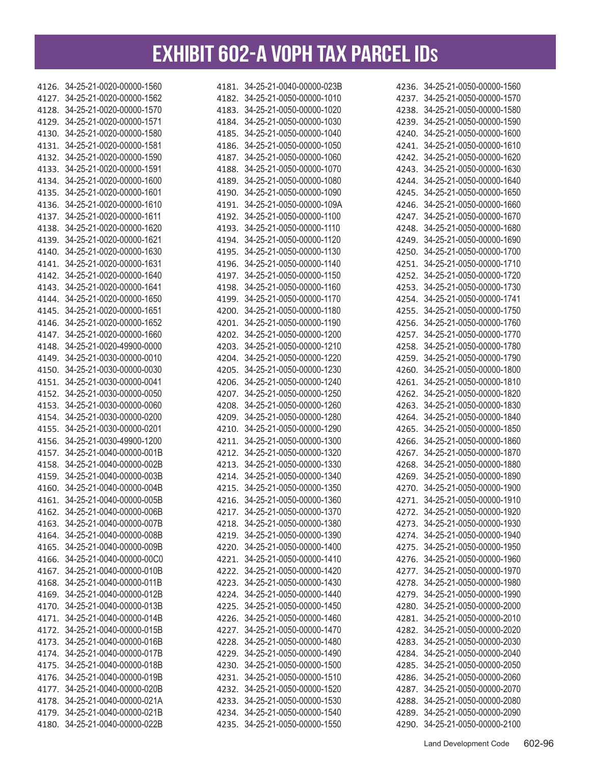| 4126. 34-25-21-0020-00000-1560 | 4181. 34-25-21-0040-00000-023B | 4236. 34-25-21-0050-00000-1560 |
|--------------------------------|--------------------------------|--------------------------------|
| 4127. 34-25-21-0020-00000-1562 | 4182. 34-25-21-0050-00000-1010 | 4237. 34-25-21-0050-00000-1570 |
| 4128. 34-25-21-0020-00000-1570 | 4183. 34-25-21-0050-00000-1020 | 4238. 34-25-21-0050-00000-1580 |
| 4129. 34-25-21-0020-00000-1571 | 4184. 34-25-21-0050-00000-1030 | 4239. 34-25-21-0050-00000-1590 |
| 4130. 34-25-21-0020-00000-1580 | 4185. 34-25-21-0050-00000-1040 | 4240. 34-25-21-0050-00000-1600 |
| 4131. 34-25-21-0020-00000-1581 | 4186. 34-25-21-0050-00000-1050 | 4241. 34-25-21-0050-00000-1610 |
| 4132. 34-25-21-0020-00000-1590 | 4187. 34-25-21-0050-00000-1060 | 4242. 34-25-21-0050-00000-1620 |
| 4133. 34-25-21-0020-00000-1591 | 4188. 34-25-21-0050-00000-1070 | 4243. 34-25-21-0050-00000-1630 |
| 4134. 34-25-21-0020-00000-1600 | 4189. 34-25-21-0050-00000-1080 | 4244. 34-25-21-0050-00000-1640 |
| 4135. 34-25-21-0020-00000-1601 | 4190. 34-25-21-0050-00000-1090 | 4245. 34-25-21-0050-00000-1650 |
| 4136. 34-25-21-0020-00000-1610 | 4191. 34-25-21-0050-00000-109A | 4246. 34-25-21-0050-00000-1660 |
| 4137. 34-25-21-0020-00000-1611 | 4192. 34-25-21-0050-00000-1100 | 4247. 34-25-21-0050-00000-1670 |
| 4138. 34-25-21-0020-00000-1620 | 4193. 34-25-21-0050-00000-1110 | 4248. 34-25-21-0050-00000-1680 |
| 4139. 34-25-21-0020-00000-1621 | 4194. 34-25-21-0050-00000-1120 | 4249. 34-25-21-0050-00000-1690 |
| 4140. 34-25-21-0020-00000-1630 | 4195. 34-25-21-0050-00000-1130 | 4250. 34-25-21-0050-00000-1700 |
| 4141. 34-25-21-0020-00000-1631 | 4196. 34-25-21-0050-00000-1140 | 4251. 34-25-21-0050-00000-1710 |
| 4142. 34-25-21-0020-00000-1640 | 4197. 34-25-21-0050-00000-1150 | 4252. 34-25-21-0050-00000-1720 |
| 4143. 34-25-21-0020-00000-1641 | 4198. 34-25-21-0050-00000-1160 | 4253. 34-25-21-0050-00000-1730 |
| 4144. 34-25-21-0020-00000-1650 | 4199. 34-25-21-0050-00000-1170 | 4254. 34-25-21-0050-00000-1741 |
| 4145. 34-25-21-0020-00000-1651 | 4200. 34-25-21-0050-00000-1180 | 4255. 34-25-21-0050-00000-1750 |
| 4146. 34-25-21-0020-00000-1652 | 4201. 34-25-21-0050-00000-1190 | 4256. 34-25-21-0050-00000-1760 |
| 4147. 34-25-21-0020-00000-1660 | 4202. 34-25-21-0050-00000-1200 | 4257. 34-25-21-0050-00000-1770 |
| 4148. 34-25-21-0020-49900-0000 | 4203. 34-25-21-0050-00000-1210 | 4258. 34-25-21-0050-00000-1780 |
| 4149. 34-25-21-0030-00000-0010 | 4204. 34-25-21-0050-00000-1220 | 4259. 34-25-21-0050-00000-1790 |
| 4150. 34-25-21-0030-00000-0030 | 4205. 34-25-21-0050-00000-1230 | 4260. 34-25-21-0050-00000-1800 |
| 4151. 34-25-21-0030-00000-0041 | 4206. 34-25-21-0050-00000-1240 | 4261. 34-25-21-0050-00000-1810 |
| 4152. 34-25-21-0030-00000-0050 | 4207. 34-25-21-0050-00000-1250 | 4262. 34-25-21-0050-00000-1820 |
| 4153. 34-25-21-0030-00000-0060 | 4208. 34-25-21-0050-00000-1260 | 4263. 34-25-21-0050-00000-1830 |
| 4154. 34-25-21-0030-00000-0200 | 4209. 34-25-21-0050-00000-1280 | 4264. 34-25-21-0050-00000-1840 |
| 4155. 34-25-21-0030-00000-0201 | 4210. 34-25-21-0050-00000-1290 | 4265. 34-25-21-0050-00000-1850 |
| 4156. 34-25-21-0030-49900-1200 | 4211. 34-25-21-0050-00000-1300 | 4266. 34-25-21-0050-00000-1860 |
| 4157. 34-25-21-0040-00000-001B | 4212. 34-25-21-0050-00000-1320 | 4267. 34-25-21-0050-00000-1870 |
| 4158. 34-25-21-0040-00000-002B | 4213. 34-25-21-0050-00000-1330 | 4268. 34-25-21-0050-00000-1880 |
| 4159. 34-25-21-0040-00000-003B |                                |                                |
|                                | 4214. 34-25-21-0050-00000-1340 | 4269. 34-25-21-0050-00000-1890 |
| 4160. 34-25-21-0040-00000-004B | 4215. 34-25-21-0050-00000-1350 | 4270. 34-25-21-0050-00000-1900 |
| 4161. 34-25-21-0040-00000-005B | 4216. 34-25-21-0050-00000-1360 | 4271. 34-25-21-0050-00000-1910 |
| 4162. 34-25-21-0040-00000-006B | 4217. 34-25-21-0050-00000-1370 | 4272. 34-25-21-0050-00000-1920 |
| 4163. 34-25-21-0040-00000-007B | 4218. 34-25-21-0050-00000-1380 | 4273. 34-25-21-0050-00000-1930 |
| 4164. 34-25-21-0040-00000-008B | 4219. 34-25-21-0050-00000-1390 | 4274. 34-25-21-0050-00000-1940 |
| 4165. 34-25-21-0040-00000-009B | 4220. 34-25-21-0050-00000-1400 | 4275. 34-25-21-0050-00000-1950 |
| 4166. 34-25-21-0040-00000-00C0 | 4221. 34-25-21-0050-00000-1410 | 4276. 34-25-21-0050-00000-1960 |
| 4167. 34-25-21-0040-00000-010B | 4222. 34-25-21-0050-00000-1420 | 4277. 34-25-21-0050-00000-1970 |
| 4168. 34-25-21-0040-00000-011B | 4223. 34-25-21-0050-00000-1430 | 4278. 34-25-21-0050-00000-1980 |
| 4169. 34-25-21-0040-00000-012B | 4224. 34-25-21-0050-00000-1440 | 4279. 34-25-21-0050-00000-1990 |
| 4170. 34-25-21-0040-00000-013B | 4225. 34-25-21-0050-00000-1450 | 4280. 34-25-21-0050-00000-2000 |
| 4171. 34-25-21-0040-00000-014B | 4226. 34-25-21-0050-00000-1460 | 4281. 34-25-21-0050-00000-2010 |
| 4172. 34-25-21-0040-00000-015B | 4227. 34-25-21-0050-00000-1470 | 4282. 34-25-21-0050-00000-2020 |
| 4173. 34-25-21-0040-00000-016B | 4228. 34-25-21-0050-00000-1480 | 4283. 34-25-21-0050-00000-2030 |
| 4174. 34-25-21-0040-00000-017B | 4229. 34-25-21-0050-00000-1490 | 4284. 34-25-21-0050-00000-2040 |
| 4175. 34-25-21-0040-00000-018B | 4230. 34-25-21-0050-00000-1500 | 4285. 34-25-21-0050-00000-2050 |
| 4176. 34-25-21-0040-00000-019B | 4231. 34-25-21-0050-00000-1510 | 4286. 34-25-21-0050-00000-2060 |
| 4177. 34-25-21-0040-00000-020B | 4232. 34-25-21-0050-00000-1520 | 4287. 34-25-21-0050-00000-2070 |
| 4178. 34-25-21-0040-00000-021A | 4233. 34-25-21-0050-00000-1530 | 4288. 34-25-21-0050-00000-2080 |
| 4179. 34-25-21-0040-00000-021B | 4234. 34-25-21-0050-00000-1540 | 4289. 34-25-21-0050-00000-2090 |
| 4180. 34-25-21-0040-00000-022B | 4235. 34-25-21-0050-00000-1550 | 4290. 34-25-21-0050-00000-2100 |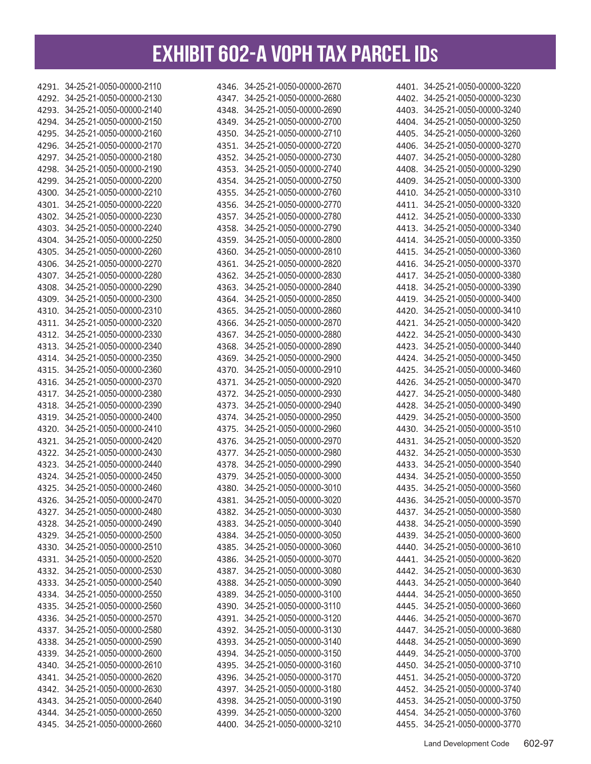| 4291. 34-25-21-0050-00000-2110 | 4346. 34-25-21-0050-00000-2670 | 4401. 34-25-21-0050-00000-3220 |
|--------------------------------|--------------------------------|--------------------------------|
| 4292. 34-25-21-0050-00000-2130 | 4347. 34-25-21-0050-00000-2680 | 4402. 34-25-21-0050-00000-3230 |
| 4293. 34-25-21-0050-00000-2140 | 4348. 34-25-21-0050-00000-2690 | 4403. 34-25-21-0050-00000-3240 |
| 4294. 34-25-21-0050-00000-2150 | 4349. 34-25-21-0050-00000-2700 | 4404. 34-25-21-0050-00000-3250 |
| 4295. 34-25-21-0050-00000-2160 | 4350. 34-25-21-0050-00000-2710 | 4405. 34-25-21-0050-00000-3260 |
| 4296. 34-25-21-0050-00000-2170 | 4351. 34-25-21-0050-00000-2720 | 4406. 34-25-21-0050-00000-3270 |
| 4297. 34-25-21-0050-00000-2180 | 4352. 34-25-21-0050-00000-2730 | 4407. 34-25-21-0050-00000-3280 |
| 4298. 34-25-21-0050-00000-2190 | 4353. 34-25-21-0050-00000-2740 | 4408. 34-25-21-0050-00000-3290 |
| 4299. 34-25-21-0050-00000-2200 | 4354. 34-25-21-0050-00000-2750 | 4409. 34-25-21-0050-00000-3300 |
| 4300. 34-25-21-0050-00000-2210 | 4355. 34-25-21-0050-00000-2760 | 4410. 34-25-21-0050-00000-3310 |
| 4301. 34-25-21-0050-00000-2220 | 4356. 34-25-21-0050-00000-2770 | 4411. 34-25-21-0050-00000-3320 |
| 4302. 34-25-21-0050-00000-2230 | 4357. 34-25-21-0050-00000-2780 | 4412. 34-25-21-0050-00000-3330 |
| 4303. 34-25-21-0050-00000-2240 | 4358. 34-25-21-0050-00000-2790 | 4413. 34-25-21-0050-00000-3340 |
| 4304. 34-25-21-0050-00000-2250 | 4359. 34-25-21-0050-00000-2800 | 4414. 34-25-21-0050-00000-3350 |
| 4305. 34-25-21-0050-00000-2260 | 4360. 34-25-21-0050-00000-2810 | 4415. 34-25-21-0050-00000-3360 |
| 4306. 34-25-21-0050-00000-2270 | 4361. 34-25-21-0050-00000-2820 | 4416. 34-25-21-0050-00000-3370 |
| 4307. 34-25-21-0050-00000-2280 | 4362. 34-25-21-0050-00000-2830 | 4417. 34-25-21-0050-00000-3380 |
| 4308. 34-25-21-0050-00000-2290 | 4363. 34-25-21-0050-00000-2840 | 4418. 34-25-21-0050-00000-3390 |
| 4309. 34-25-21-0050-00000-2300 | 4364. 34-25-21-0050-00000-2850 | 4419. 34-25-21-0050-00000-3400 |
| 4310. 34-25-21-0050-00000-2310 | 4365. 34-25-21-0050-00000-2860 | 4420. 34-25-21-0050-00000-3410 |
| 4311. 34-25-21-0050-00000-2320 | 4366. 34-25-21-0050-00000-2870 | 4421. 34-25-21-0050-00000-3420 |
| 4312. 34-25-21-0050-00000-2330 | 4367. 34-25-21-0050-00000-2880 | 4422. 34-25-21-0050-00000-3430 |
| 4313. 34-25-21-0050-00000-2340 | 4368. 34-25-21-0050-00000-2890 | 4423. 34-25-21-0050-00000-3440 |
| 4314. 34-25-21-0050-00000-2350 | 4369. 34-25-21-0050-00000-2900 | 4424. 34-25-21-0050-00000-3450 |
| 4315. 34-25-21-0050-00000-2360 | 4370. 34-25-21-0050-00000-2910 | 4425. 34-25-21-0050-00000-3460 |
| 4316. 34-25-21-0050-00000-2370 | 4371. 34-25-21-0050-00000-2920 | 4426. 34-25-21-0050-00000-3470 |
| 4317. 34-25-21-0050-00000-2380 | 4372. 34-25-21-0050-00000-2930 | 4427. 34-25-21-0050-00000-3480 |
| 4318. 34-25-21-0050-00000-2390 | 4373. 34-25-21-0050-00000-2940 |                                |
|                                |                                | 4428. 34-25-21-0050-00000-3490 |
| 4319. 34-25-21-0050-00000-2400 | 4374. 34-25-21-0050-00000-2950 | 4429. 34-25-21-0050-00000-3500 |
| 4320. 34-25-21-0050-00000-2410 | 4375. 34-25-21-0050-00000-2960 | 4430. 34-25-21-0050-00000-3510 |
| 4321. 34-25-21-0050-00000-2420 | 4376. 34-25-21-0050-00000-2970 | 4431. 34-25-21-0050-00000-3520 |
| 4322. 34-25-21-0050-00000-2430 | 4377. 34-25-21-0050-00000-2980 | 4432. 34-25-21-0050-00000-3530 |
| 4323. 34-25-21-0050-00000-2440 | 4378. 34-25-21-0050-00000-2990 | 4433. 34-25-21-0050-00000-3540 |
| 4324. 34-25-21-0050-00000-2450 | 4379. 34-25-21-0050-00000-3000 | 4434. 34-25-21-0050-00000-3550 |
| 4325. 34-25-21-0050-00000-2460 | 4380. 34-25-21-0050-00000-3010 | 4435. 34-25-21-0050-00000-3560 |
| 4326. 34-25-21-0050-00000-2470 | 4381. 34-25-21-0050-00000-3020 | 4436. 34-25-21-0050-00000-3570 |
| 4327. 34-25-21-0050-00000-2480 | 4382. 34-25-21-0050-00000-3030 | 4437. 34-25-21-0050-00000-3580 |
| 4328. 34-25-21-0050-00000-2490 | 4383. 34-25-21-0050-00000-3040 | 4438. 34-25-21-0050-00000-3590 |
| 4329. 34-25-21-0050-00000-2500 | 4384. 34-25-21-0050-00000-3050 | 4439. 34-25-21-0050-00000-3600 |
| 4330. 34-25-21-0050-00000-2510 | 4385. 34-25-21-0050-00000-3060 | 4440. 34-25-21-0050-00000-3610 |
| 4331. 34-25-21-0050-00000-2520 | 4386. 34-25-21-0050-00000-3070 | 4441. 34-25-21-0050-00000-3620 |
| 4332. 34-25-21-0050-00000-2530 | 4387. 34-25-21-0050-00000-3080 | 4442. 34-25-21-0050-00000-3630 |
| 4333. 34-25-21-0050-00000-2540 | 4388. 34-25-21-0050-00000-3090 | 4443. 34-25-21-0050-00000-3640 |
| 4334. 34-25-21-0050-00000-2550 | 4389. 34-25-21-0050-00000-3100 | 4444. 34-25-21-0050-00000-3650 |
| 4335. 34-25-21-0050-00000-2560 | 4390. 34-25-21-0050-00000-3110 | 4445. 34-25-21-0050-00000-3660 |
| 4336. 34-25-21-0050-00000-2570 | 4391. 34-25-21-0050-00000-3120 | 4446. 34-25-21-0050-00000-3670 |
| 4337. 34-25-21-0050-00000-2580 | 4392. 34-25-21-0050-00000-3130 | 4447. 34-25-21-0050-00000-3680 |
| 4338. 34-25-21-0050-00000-2590 | 4393. 34-25-21-0050-00000-3140 | 4448. 34-25-21-0050-00000-3690 |
| 4339. 34-25-21-0050-00000-2600 | 4394. 34-25-21-0050-00000-3150 | 4449. 34-25-21-0050-00000-3700 |
| 4340. 34-25-21-0050-00000-2610 | 4395. 34-25-21-0050-00000-3160 | 4450. 34-25-21-0050-00000-3710 |
| 4341. 34-25-21-0050-00000-2620 | 4396. 34-25-21-0050-00000-3170 | 4451. 34-25-21-0050-00000-3720 |
| 4342. 34-25-21-0050-00000-2630 | 4397. 34-25-21-0050-00000-3180 | 4452. 34-25-21-0050-00000-3740 |
| 4343. 34-25-21-0050-00000-2640 | 4398. 34-25-21-0050-00000-3190 | 4453. 34-25-21-0050-00000-3750 |
| 4344. 34-25-21-0050-00000-2650 | 4399. 34-25-21-0050-00000-3200 | 4454. 34-25-21-0050-00000-3760 |
| 4345. 34-25-21-0050-00000-2660 | 4400. 34-25-21-0050-00000-3210 | 4455. 34-25-21-0050-00000-3770 |
|                                |                                |                                |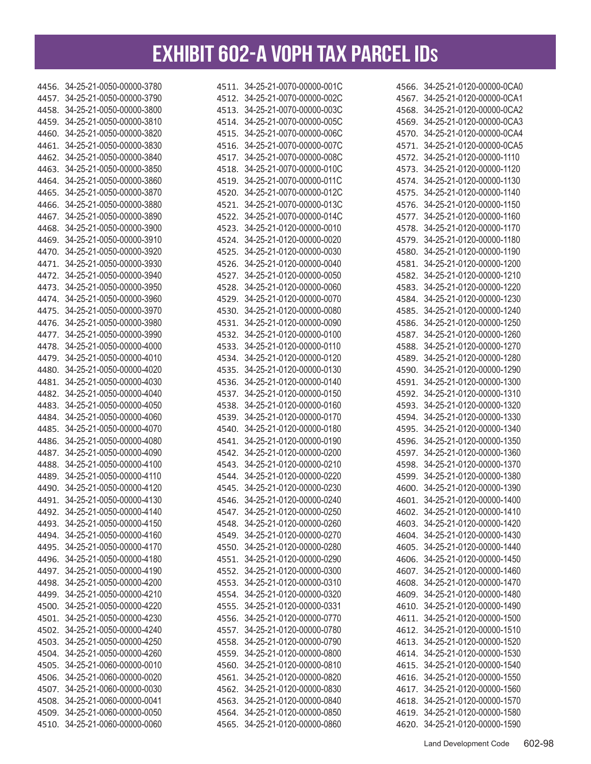| 4456. 34-25-21-0050-00000-3780 | 4511. 34-25-21-0070-00000-001C | 4566. 34-25-21-0120-00000-0CA0 |
|--------------------------------|--------------------------------|--------------------------------|
| 4457. 34-25-21-0050-00000-3790 | 4512. 34-25-21-0070-00000-002C | 4567. 34-25-21-0120-00000-0CA1 |
| 4458. 34-25-21-0050-00000-3800 | 4513. 34-25-21-0070-00000-003C | 4568. 34-25-21-0120-00000-0CA2 |
| 4459. 34-25-21-0050-00000-3810 | 4514. 34-25-21-0070-00000-005C | 4569. 34-25-21-0120-00000-0CA3 |
| 4460. 34-25-21-0050-00000-3820 | 4515. 34-25-21-0070-00000-006C | 4570. 34-25-21-0120-00000-0CA4 |
| 4461. 34-25-21-0050-00000-3830 | 4516. 34-25-21-0070-00000-007C | 4571. 34-25-21-0120-00000-0CA5 |
| 4462. 34-25-21-0050-00000-3840 | 4517. 34-25-21-0070-00000-008C | 4572. 34-25-21-0120-00000-1110 |
| 4463. 34-25-21-0050-00000-3850 | 4518. 34-25-21-0070-00000-010C | 4573. 34-25-21-0120-00000-1120 |
| 4464. 34-25-21-0050-00000-3860 | 4519. 34-25-21-0070-00000-011C | 4574. 34-25-21-0120-00000-1130 |
| 4465. 34-25-21-0050-00000-3870 | 4520. 34-25-21-0070-00000-012C | 4575. 34-25-21-0120-00000-1140 |
| 4466. 34-25-21-0050-00000-3880 | 4521. 34-25-21-0070-00000-013C | 4576. 34-25-21-0120-00000-1150 |
| 4467. 34-25-21-0050-00000-3890 | 4522. 34-25-21-0070-00000-014C | 4577. 34-25-21-0120-00000-1160 |
| 4468. 34-25-21-0050-00000-3900 | 4523. 34-25-21-0120-00000-0010 | 4578. 34-25-21-0120-00000-1170 |
| 4469. 34-25-21-0050-00000-3910 | 4524. 34-25-21-0120-00000-0020 | 4579. 34-25-21-0120-00000-1180 |
| 4470. 34-25-21-0050-00000-3920 | 4525. 34-25-21-0120-00000-0030 | 4580. 34-25-21-0120-00000-1190 |
| 4471. 34-25-21-0050-00000-3930 | 4526. 34-25-21-0120-00000-0040 | 4581. 34-25-21-0120-00000-1200 |
| 4472. 34-25-21-0050-00000-3940 | 4527. 34-25-21-0120-00000-0050 | 4582. 34-25-21-0120-00000-1210 |
| 4473. 34-25-21-0050-00000-3950 | 4528. 34-25-21-0120-00000-0060 | 4583. 34-25-21-0120-00000-1220 |
| 4474. 34-25-21-0050-00000-3960 | 4529. 34-25-21-0120-00000-0070 | 4584. 34-25-21-0120-00000-1230 |
| 4475. 34-25-21-0050-00000-3970 | 4530. 34-25-21-0120-00000-0080 | 4585. 34-25-21-0120-00000-1240 |
| 4476. 34-25-21-0050-00000-3980 | 4531. 34-25-21-0120-00000-0090 | 4586. 34-25-21-0120-00000-1250 |
| 4477. 34-25-21-0050-00000-3990 | 4532. 34-25-21-0120-00000-0100 | 4587. 34-25-21-0120-00000-1260 |
| 4478. 34-25-21-0050-00000-4000 | 4533. 34-25-21-0120-00000-0110 | 4588. 34-25-21-0120-00000-1270 |
| 4479. 34-25-21-0050-00000-4010 | 4534. 34-25-21-0120-00000-0120 | 4589. 34-25-21-0120-00000-1280 |
| 4480. 34-25-21-0050-00000-4020 | 4535. 34-25-21-0120-00000-0130 | 4590. 34-25-21-0120-00000-1290 |
| 4481. 34-25-21-0050-00000-4030 | 4536. 34-25-21-0120-00000-0140 | 4591. 34-25-21-0120-00000-1300 |
| 4482. 34-25-21-0050-00000-4040 | 4537. 34-25-21-0120-00000-0150 | 4592. 34-25-21-0120-00000-1310 |
| 4483. 34-25-21-0050-00000-4050 | 4538. 34-25-21-0120-00000-0160 | 4593. 34-25-21-0120-00000-1320 |
| 4484. 34-25-21-0050-00000-4060 | 4539. 34-25-21-0120-00000-0170 | 4594. 34-25-21-0120-00000-1330 |
| 4485. 34-25-21-0050-00000-4070 | 4540. 34-25-21-0120-00000-0180 | 4595. 34-25-21-0120-00000-1340 |
| 4486. 34-25-21-0050-00000-4080 | 4541. 34-25-21-0120-00000-0190 | 4596. 34-25-21-0120-00000-1350 |
| 4487. 34-25-21-0050-00000-4090 | 4542. 34-25-21-0120-00000-0200 | 4597. 34-25-21-0120-00000-1360 |
| 4488. 34-25-21-0050-00000-4100 | 4543. 34-25-21-0120-00000-0210 | 4598. 34-25-21-0120-00000-1370 |
| 4489. 34-25-21-0050-00000-4110 | 4544. 34-25-21-0120-00000-0220 | 4599. 34-25-21-0120-00000-1380 |
| 4490. 34-25-21-0050-00000-4120 |                                |                                |
|                                | 4545. 34-25-21-0120-00000-0230 | 4600. 34-25-21-0120-00000-1390 |
| 4491. 34-25-21-0050-00000-4130 | 4546. 34-25-21-0120-00000-0240 | 4601. 34-25-21-0120-00000-1400 |
| 4492. 34-25-21-0050-00000-4140 | 4547. 34-25-21-0120-00000-0250 | 4602. 34-25-21-0120-00000-1410 |
| 4493. 34-25-21-0050-00000-4150 | 4548. 34-25-21-0120-00000-0260 | 4603. 34-25-21-0120-00000-1420 |
| 4494. 34-25-21-0050-00000-4160 | 4549. 34-25-21-0120-00000-0270 | 4604. 34-25-21-0120-00000-1430 |
| 4495. 34-25-21-0050-00000-4170 | 4550. 34-25-21-0120-00000-0280 | 4605. 34-25-21-0120-00000-1440 |
| 4496. 34-25-21-0050-00000-4180 | 4551. 34-25-21-0120-00000-0290 | 4606. 34-25-21-0120-00000-1450 |
| 4497. 34-25-21-0050-00000-4190 | 4552. 34-25-21-0120-00000-0300 | 4607. 34-25-21-0120-00000-1460 |
| 4498. 34-25-21-0050-00000-4200 | 4553. 34-25-21-0120-00000-0310 | 4608. 34-25-21-0120-00000-1470 |
| 4499. 34-25-21-0050-00000-4210 | 4554. 34-25-21-0120-00000-0320 | 4609. 34-25-21-0120-00000-1480 |
| 4500. 34-25-21-0050-00000-4220 | 4555. 34-25-21-0120-00000-0331 | 4610. 34-25-21-0120-00000-1490 |
| 4501. 34-25-21-0050-00000-4230 | 4556. 34-25-21-0120-00000-0770 | 4611. 34-25-21-0120-00000-1500 |
| 4502. 34-25-21-0050-00000-4240 | 4557. 34-25-21-0120-00000-0780 | 4612. 34-25-21-0120-00000-1510 |
| 4503. 34-25-21-0050-00000-4250 | 4558. 34-25-21-0120-00000-0790 | 4613. 34-25-21-0120-00000-1520 |
| 4504. 34-25-21-0050-00000-4260 | 4559. 34-25-21-0120-00000-0800 | 4614. 34-25-21-0120-00000-1530 |
| 4505. 34-25-21-0060-00000-0010 | 4560. 34-25-21-0120-00000-0810 | 4615. 34-25-21-0120-00000-1540 |
| 4506. 34-25-21-0060-00000-0020 | 4561. 34-25-21-0120-00000-0820 | 4616. 34-25-21-0120-00000-1550 |
| 4507. 34-25-21-0060-00000-0030 | 4562. 34-25-21-0120-00000-0830 | 4617. 34-25-21-0120-00000-1560 |
| 4508. 34-25-21-0060-00000-0041 | 4563. 34-25-21-0120-00000-0840 | 4618. 34-25-21-0120-00000-1570 |
| 4509. 34-25-21-0060-00000-0050 | 4564. 34-25-21-0120-00000-0850 | 4619. 34-25-21-0120-00000-1580 |
| 4510. 34-25-21-0060-00000-0060 | 4565. 34-25-21-0120-00000-0860 | 4620. 34-25-21-0120-00000-1590 |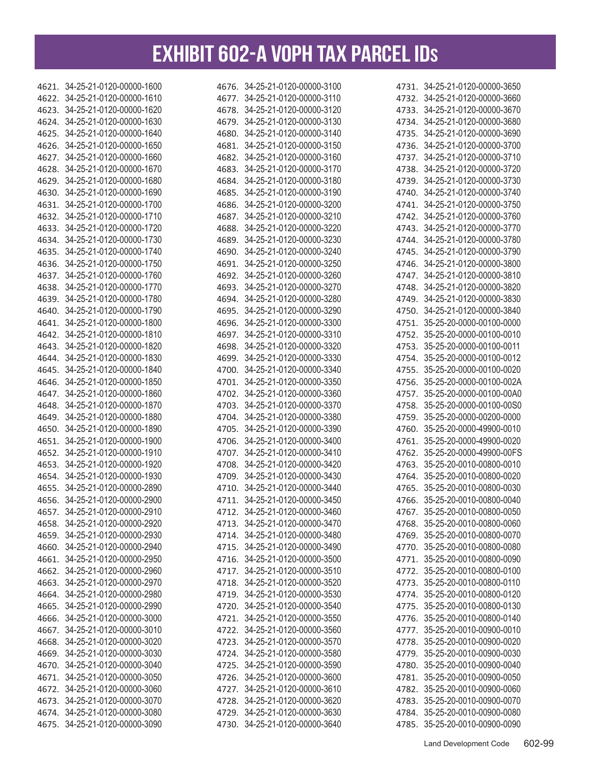| 4621. 34-25-21-0120-00000-1600 | 4676. 34-25-21-0120-00000-3100 | 4731. 34-25-21-0120-00000-3650 |
|--------------------------------|--------------------------------|--------------------------------|
| 4622. 34-25-21-0120-00000-1610 | 4677. 34-25-21-0120-00000-3110 | 4732. 34-25-21-0120-00000-3660 |
| 4623. 34-25-21-0120-00000-1620 | 4678. 34-25-21-0120-00000-3120 | 4733. 34-25-21-0120-00000-3670 |
| 4624. 34-25-21-0120-00000-1630 | 4679. 34-25-21-0120-00000-3130 | 4734. 34-25-21-0120-00000-3680 |
| 4625. 34-25-21-0120-00000-1640 | 4680. 34-25-21-0120-00000-3140 | 4735. 34-25-21-0120-00000-3690 |
| 4626. 34-25-21-0120-00000-1650 | 4681. 34-25-21-0120-00000-3150 | 4736. 34-25-21-0120-00000-3700 |
| 4627. 34-25-21-0120-00000-1660 | 4682. 34-25-21-0120-00000-3160 | 4737. 34-25-21-0120-00000-3710 |
| 4628. 34-25-21-0120-00000-1670 | 4683. 34-25-21-0120-00000-3170 | 4738. 34-25-21-0120-00000-3720 |
| 4629. 34-25-21-0120-00000-1680 | 4684. 34-25-21-0120-00000-3180 | 4739. 34-25-21-0120-00000-3730 |
| 4630. 34-25-21-0120-00000-1690 | 4685. 34-25-21-0120-00000-3190 | 4740. 34-25-21-0120-00000-3740 |
| 4631. 34-25-21-0120-00000-1700 | 4686. 34-25-21-0120-00000-3200 | 4741. 34-25-21-0120-00000-3750 |
| 4632. 34-25-21-0120-00000-1710 | 4687. 34-25-21-0120-00000-3210 | 4742. 34-25-21-0120-00000-3760 |
| 4633. 34-25-21-0120-00000-1720 | 4688. 34-25-21-0120-00000-3220 | 4743. 34-25-21-0120-00000-3770 |
| 4634. 34-25-21-0120-00000-1730 | 4689. 34-25-21-0120-00000-3230 | 4744. 34-25-21-0120-00000-3780 |
| 4635. 34-25-21-0120-00000-1740 | 4690. 34-25-21-0120-00000-3240 | 4745. 34-25-21-0120-00000-3790 |
| 4636. 34-25-21-0120-00000-1750 | 4691. 34-25-21-0120-00000-3250 | 4746. 34-25-21-0120-00000-3800 |
| 4637. 34-25-21-0120-00000-1760 | 4692. 34-25-21-0120-00000-3260 | 4747. 34-25-21-0120-00000-3810 |
| 4638. 34-25-21-0120-00000-1770 | 4693. 34-25-21-0120-00000-3270 | 4748. 34-25-21-0120-00000-3820 |
| 4639. 34-25-21-0120-00000-1780 | 4694. 34-25-21-0120-00000-3280 | 4749. 34-25-21-0120-00000-3830 |
| 4640. 34-25-21-0120-00000-1790 | 4695. 34-25-21-0120-00000-3290 | 4750. 34-25-21-0120-00000-3840 |
| 4641. 34-25-21-0120-00000-1800 | 4696. 34-25-21-0120-00000-3300 | 4751. 35-25-20-0000-00100-0000 |
| 4642. 34-25-21-0120-00000-1810 | 4697. 34-25-21-0120-00000-3310 | 4752. 35-25-20-0000-00100-0010 |
| 4643. 34-25-21-0120-00000-1820 | 4698. 34-25-21-0120-00000-3320 | 4753. 35-25-20-0000-00100-0011 |
| 4644. 34-25-21-0120-00000-1830 | 4699. 34-25-21-0120-00000-3330 | 4754. 35-25-20-0000-00100-0012 |
| 4645. 34-25-21-0120-00000-1840 | 4700. 34-25-21-0120-00000-3340 | 4755. 35-25-20-0000-00100-0020 |
| 4646. 34-25-21-0120-00000-1850 | 4701. 34-25-21-0120-00000-3350 | 4756. 35-25-20-0000-00100-002A |
| 4647. 34-25-21-0120-00000-1860 | 4702. 34-25-21-0120-00000-3360 | 4757. 35-25-20-0000-00100-00A0 |
| 4648. 34-25-21-0120-00000-1870 | 4703. 34-25-21-0120-00000-3370 | 4758. 35-25-20-0000-00100-00S0 |
| 4649. 34-25-21-0120-00000-1880 | 4704. 34-25-21-0120-00000-3380 | 4759. 35-25-20-0000-00200-0000 |
| 4650. 34-25-21-0120-00000-1890 | 4705. 34-25-21-0120-00000-3390 | 4760. 35-25-20-0000-49900-0010 |
|                                |                                |                                |
| 4651. 34-25-21-0120-00000-1900 | 4706. 34-25-21-0120-00000-3400 | 4761. 35-25-20-0000-49900-0020 |
| 4652. 34-25-21-0120-00000-1910 | 4707. 34-25-21-0120-00000-3410 | 4762. 35-25-20-0000-49900-00FS |
| 4653. 34-25-21-0120-00000-1920 | 4708. 34-25-21-0120-00000-3420 | 4763. 35-25-20-0010-00800-0010 |
| 4654. 34-25-21-0120-00000-1930 | 4709. 34-25-21-0120-00000-3430 | 4764. 35-25-20-0010-00800-0020 |
| 4655. 34-25-21-0120-00000-2890 | 4710. 34-25-21-0120-00000-3440 | 4765. 35-25-20-0010-00800-0030 |
| 4656. 34-25-21-0120-00000-2900 | 4711. 34-25-21-0120-00000-3450 | 4766. 35-25-20-0010-00800-0040 |
| 4657. 34-25-21-0120-00000-2910 | 4712. 34-25-21-0120-00000-3460 | 4767. 35-25-20-0010-00800-0050 |
| 4658. 34-25-21-0120-00000-2920 | 4713. 34-25-21-0120-00000-3470 | 4768. 35-25-20-0010-00800-0060 |
| 4659. 34-25-21-0120-00000-2930 | 4714. 34-25-21-0120-00000-3480 | 4769. 35-25-20-0010-00800-0070 |
| 4660. 34-25-21-0120-00000-2940 | 4715. 34-25-21-0120-00000-3490 | 4770. 35-25-20-0010-00800-0080 |
| 4661. 34-25-21-0120-00000-2950 | 4716. 34-25-21-0120-00000-3500 | 4771. 35-25-20-0010-00800-0090 |
| 4662. 34-25-21-0120-00000-2960 | 4717. 34-25-21-0120-00000-3510 | 4772. 35-25-20-0010-00800-0100 |
| 4663. 34-25-21-0120-00000-2970 | 4718. 34-25-21-0120-00000-3520 | 4773. 35-25-20-0010-00800-0110 |
| 4664. 34-25-21-0120-00000-2980 | 4719. 34-25-21-0120-00000-3530 | 4774. 35-25-20-0010-00800-0120 |
| 4665. 34-25-21-0120-00000-2990 | 4720. 34-25-21-0120-00000-3540 | 4775. 35-25-20-0010-00800-0130 |
| 4666. 34-25-21-0120-00000-3000 | 4721. 34-25-21-0120-00000-3550 | 4776. 35-25-20-0010-00800-0140 |
| 4667. 34-25-21-0120-00000-3010 | 4722. 34-25-21-0120-00000-3560 | 4777. 35-25-20-0010-00900-0010 |
| 4668. 34-25-21-0120-00000-3020 | 4723. 34-25-21-0120-00000-3570 | 4778. 35-25-20-0010-00900-0020 |
| 4669. 34-25-21-0120-00000-3030 | 4724. 34-25-21-0120-00000-3580 | 4779. 35-25-20-0010-00900-0030 |
| 4670. 34-25-21-0120-00000-3040 | 4725. 34-25-21-0120-00000-3590 | 4780. 35-25-20-0010-00900-0040 |
| 4671. 34-25-21-0120-00000-3050 | 4726. 34-25-21-0120-00000-3600 | 4781. 35-25-20-0010-00900-0050 |
| 4672. 34-25-21-0120-00000-3060 | 4727. 34-25-21-0120-00000-3610 | 4782. 35-25-20-0010-00900-0060 |
| 4673. 34-25-21-0120-00000-3070 | 4728. 34-25-21-0120-00000-3620 | 4783. 35-25-20-0010-00900-0070 |
| 4674. 34-25-21-0120-00000-3080 | 4729. 34-25-21-0120-00000-3630 | 4784. 35-25-20-0010-00900-0080 |
| 4675. 34-25-21-0120-00000-3090 | 4730. 34-25-21-0120-00000-3640 | 4785. 35-25-20-0010-00900-0090 |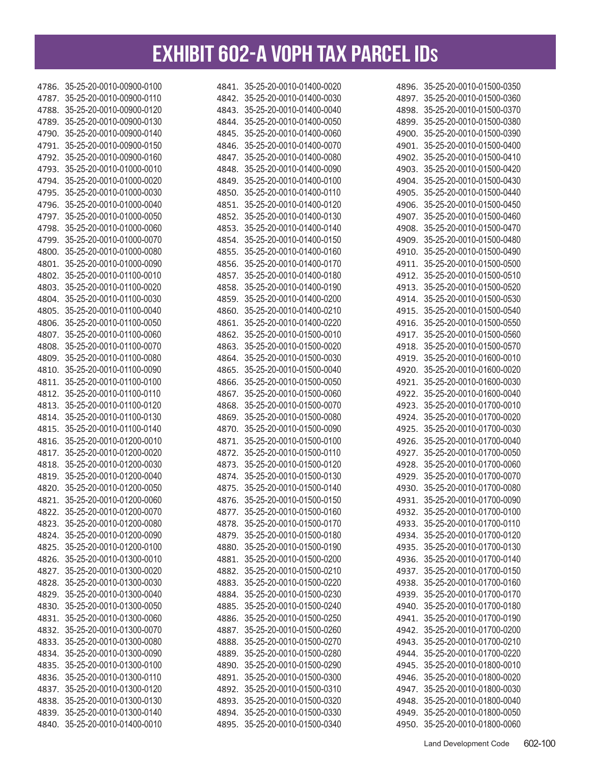| 4786. 35-25-20-0010-00900-0100                                   | 4841. 35-25-20-0010-01400-0020 | 4896. 35-25-20-0010-01500-0350                                   |
|------------------------------------------------------------------|--------------------------------|------------------------------------------------------------------|
| 4787. 35-25-20-0010-00900-0110                                   | 4842. 35-25-20-0010-01400-0030 | 4897. 35-25-20-0010-01500-0360                                   |
| 4788. 35-25-20-0010-00900-0120                                   | 4843. 35-25-20-0010-01400-0040 | 4898. 35-25-20-0010-01500-0370                                   |
| 4789. 35-25-20-0010-00900-0130                                   | 4844. 35-25-20-0010-01400-0050 | 4899. 35-25-20-0010-01500-0380                                   |
| 4790. 35-25-20-0010-00900-0140                                   | 4845. 35-25-20-0010-01400-0060 | 4900. 35-25-20-0010-01500-0390                                   |
| 4791. 35-25-20-0010-00900-0150                                   | 4846. 35-25-20-0010-01400-0070 | 4901. 35-25-20-0010-01500-0400                                   |
| 4792. 35-25-20-0010-00900-0160                                   | 4847. 35-25-20-0010-01400-0080 | 4902. 35-25-20-0010-01500-0410                                   |
| 4793. 35-25-20-0010-01000-0010                                   | 4848. 35-25-20-0010-01400-0090 | 4903. 35-25-20-0010-01500-0420                                   |
| 4794. 35-25-20-0010-01000-0020                                   | 4849. 35-25-20-0010-01400-0100 | 4904. 35-25-20-0010-01500-0430                                   |
| 4795. 35-25-20-0010-01000-0030                                   | 4850. 35-25-20-0010-01400-0110 | 4905. 35-25-20-0010-01500-0440                                   |
| 4796. 35-25-20-0010-01000-0040                                   | 4851. 35-25-20-0010-01400-0120 | 4906. 35-25-20-0010-01500-0450                                   |
| 4797. 35-25-20-0010-01000-0050                                   | 4852. 35-25-20-0010-01400-0130 | 4907. 35-25-20-0010-01500-0460                                   |
| 4798. 35-25-20-0010-01000-0060                                   | 4853. 35-25-20-0010-01400-0140 | 4908. 35-25-20-0010-01500-0470                                   |
| 4799. 35-25-20-0010-01000-0070                                   | 4854. 35-25-20-0010-01400-0150 | 4909. 35-25-20-0010-01500-0480                                   |
| 4800. 35-25-20-0010-01000-0080                                   | 4855. 35-25-20-0010-01400-0160 | 4910. 35-25-20-0010-01500-0490                                   |
| 4801. 35-25-20-0010-01000-0090                                   | 4856. 35-25-20-0010-01400-0170 | 4911. 35-25-20-0010-01500-0500                                   |
| 4802. 35-25-20-0010-01100-0010                                   | 4857. 35-25-20-0010-01400-0180 | 4912. 35-25-20-0010-01500-0510                                   |
| 4803. 35-25-20-0010-01100-0020                                   | 4858. 35-25-20-0010-01400-0190 | 4913. 35-25-20-0010-01500-0520                                   |
| 4804. 35-25-20-0010-01100-0030                                   | 4859. 35-25-20-0010-01400-0200 | 4914. 35-25-20-0010-01500-0530                                   |
| 4805. 35-25-20-0010-01100-0040                                   | 4860. 35-25-20-0010-01400-0210 | 4915. 35-25-20-0010-01500-0540                                   |
| 4806. 35-25-20-0010-01100-0050                                   | 4861. 35-25-20-0010-01400-0220 | 4916. 35-25-20-0010-01500-0550                                   |
| 4807. 35-25-20-0010-01100-0060                                   | 4862. 35-25-20-0010-01500-0010 | 4917. 35-25-20-0010-01500-0560                                   |
| 4808. 35-25-20-0010-01100-0070                                   | 4863. 35-25-20-0010-01500-0020 | 4918. 35-25-20-0010-01500-0570                                   |
| 4809. 35-25-20-0010-01100-0080                                   | 4864. 35-25-20-0010-01500-0030 | 4919. 35-25-20-0010-01600-0010                                   |
| 4810. 35-25-20-0010-01100-0090                                   | 4865. 35-25-20-0010-01500-0040 | 4920. 35-25-20-0010-01600-0020                                   |
| 4811. 35-25-20-0010-01100-0100                                   | 4866. 35-25-20-0010-01500-0050 | 4921. 35-25-20-0010-01600-0030                                   |
| 4812. 35-25-20-0010-01100-0110                                   | 4867. 35-25-20-0010-01500-0060 | 4922. 35-25-20-0010-01600-0040                                   |
| 4813. 35-25-20-0010-01100-0120                                   | 4868. 35-25-20-0010-01500-0070 | 4923. 35-25-20-0010-01700-0010                                   |
| 4814. 35-25-20-0010-01100-0130                                   | 4869. 35-25-20-0010-01500-0080 | 4924. 35-25-20-0010-01700-0020                                   |
| 4815. 35-25-20-0010-01100-0140                                   | 4870. 35-25-20-0010-01500-0090 | 4925. 35-25-20-0010-01700-0030                                   |
| 4816. 35-25-20-0010-01200-0010                                   | 4871. 35-25-20-0010-01500-0100 | 4926. 35-25-20-0010-01700-0040                                   |
| 4817. 35-25-20-0010-01200-0020                                   | 4872. 35-25-20-0010-01500-0110 | 4927. 35-25-20-0010-01700-0050                                   |
| 4818. 35-25-20-0010-01200-0030                                   | 4873. 35-25-20-0010-01500-0120 | 4928. 35-25-20-0010-01700-0060                                   |
| 4819. 35-25-20-0010-01200-0040                                   | 4874. 35-25-20-0010-01500-0130 |                                                                  |
|                                                                  |                                | 4929. 35-25-20-0010-01700-0070                                   |
| 4820. 35-25-20-0010-01200-0050<br>4821. 35-25-20-0010-01200-0060 | 4875. 35-25-20-0010-01500-0140 | 4930. 35-25-20-0010-01700-0080<br>4931. 35-25-20-0010-01700-0090 |
|                                                                  | 4876. 35-25-20-0010-01500-0150 |                                                                  |
| 4822. 35-25-20-0010-01200-0070                                   | 4877. 35-25-20-0010-01500-0160 | 4932. 35-25-20-0010-01700-0100                                   |
| 4823. 35-25-20-0010-01200-0080                                   | 4878. 35-25-20-0010-01500-0170 | 4933. 35-25-20-0010-01700-0110                                   |
| 4824. 35-25-20-0010-01200-0090                                   | 4879. 35-25-20-0010-01500-0180 | 4934. 35-25-20-0010-01700-0120                                   |
| 4825. 35-25-20-0010-01200-0100                                   | 4880. 35-25-20-0010-01500-0190 | 4935. 35-25-20-0010-01700-0130                                   |
| 4826. 35-25-20-0010-01300-0010                                   | 4881. 35-25-20-0010-01500-0200 | 4936. 35-25-20-0010-01700-0140                                   |
| 4827. 35-25-20-0010-01300-0020                                   | 4882. 35-25-20-0010-01500-0210 | 4937. 35-25-20-0010-01700-0150                                   |
| 4828. 35-25-20-0010-01300-0030                                   | 4883. 35-25-20-0010-01500-0220 | 4938. 35-25-20-0010-01700-0160                                   |
| 4829. 35-25-20-0010-01300-0040                                   | 4884. 35-25-20-0010-01500-0230 | 4939. 35-25-20-0010-01700-0170                                   |
| 4830. 35-25-20-0010-01300-0050                                   | 4885. 35-25-20-0010-01500-0240 | 4940. 35-25-20-0010-01700-0180                                   |
| 4831. 35-25-20-0010-01300-0060                                   | 4886. 35-25-20-0010-01500-0250 | 4941. 35-25-20-0010-01700-0190                                   |
| 4832. 35-25-20-0010-01300-0070                                   | 4887. 35-25-20-0010-01500-0260 | 4942. 35-25-20-0010-01700-0200                                   |
| 4833. 35-25-20-0010-01300-0080                                   | 4888. 35-25-20-0010-01500-0270 | 4943. 35-25-20-0010-01700-0210                                   |
| 4834. 35-25-20-0010-01300-0090                                   | 4889. 35-25-20-0010-01500-0280 | 4944. 35-25-20-0010-01700-0220                                   |
| 4835. 35-25-20-0010-01300-0100                                   | 4890. 35-25-20-0010-01500-0290 | 4945. 35-25-20-0010-01800-0010                                   |
| 4836. 35-25-20-0010-01300-0110                                   | 4891. 35-25-20-0010-01500-0300 | 4946. 35-25-20-0010-01800-0020                                   |
| 4837. 35-25-20-0010-01300-0120                                   | 4892. 35-25-20-0010-01500-0310 | 4947. 35-25-20-0010-01800-0030                                   |
| 4838. 35-25-20-0010-01300-0130                                   | 4893. 35-25-20-0010-01500-0320 | 4948. 35-25-20-0010-01800-0040                                   |
| 4839. 35-25-20-0010-01300-0140                                   | 4894. 35-25-20-0010-01500-0330 | 4949. 35-25-20-0010-01800-0050                                   |
| 4840. 35-25-20-0010-01400-0010                                   | 4895. 35-25-20-0010-01500-0340 | 4950. 35-25-20-0010-01800-0060                                   |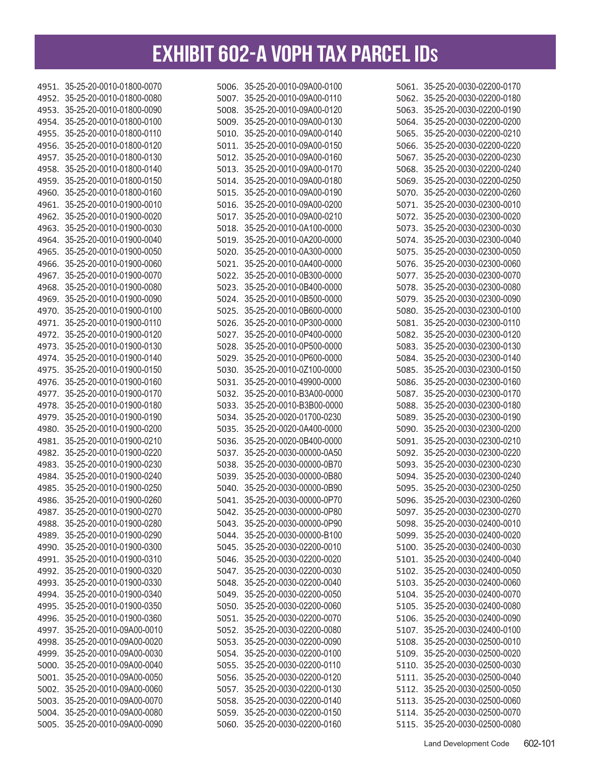| 4951. 35-25-20-0010-01800-0070 | 5006. 35-25-20-0010-09A00-0100                                   | 5061. 35-25-20-0030-02200-0170                                   |
|--------------------------------|------------------------------------------------------------------|------------------------------------------------------------------|
| 4952. 35-25-20-0010-01800-0080 | 5007. 35-25-20-0010-09A00-0110                                   | 5062. 35-25-20-0030-02200-0180                                   |
| 4953. 35-25-20-0010-01800-0090 | 5008. 35-25-20-0010-09A00-0120                                   | 5063. 35-25-20-0030-02200-0190                                   |
| 4954. 35-25-20-0010-01800-0100 | 5009. 35-25-20-0010-09A00-0130                                   | 5064. 35-25-20-0030-02200-0200                                   |
| 4955. 35-25-20-0010-01800-0110 | 5010. 35-25-20-0010-09A00-0140                                   | 5065. 35-25-20-0030-02200-0210                                   |
| 4956. 35-25-20-0010-01800-0120 | 5011. 35-25-20-0010-09A00-0150                                   | 5066. 35-25-20-0030-02200-0220                                   |
| 4957. 35-25-20-0010-01800-0130 | 5012. 35-25-20-0010-09A00-0160                                   | 5067. 35-25-20-0030-02200-0230                                   |
| 4958. 35-25-20-0010-01800-0140 | 5013. 35-25-20-0010-09A00-0170                                   | 5068. 35-25-20-0030-02200-0240                                   |
| 4959. 35-25-20-0010-01800-0150 | 5014. 35-25-20-0010-09A00-0180                                   | 5069. 35-25-20-0030-02200-0250                                   |
| 4960. 35-25-20-0010-01800-0160 | 5015. 35-25-20-0010-09A00-0190                                   | 5070. 35-25-20-0030-02200-0260                                   |
| 4961. 35-25-20-0010-01900-0010 | 5016. 35-25-20-0010-09A00-0200                                   | 5071. 35-25-20-0030-02300-0010                                   |
| 4962. 35-25-20-0010-01900-0020 | 5017. 35-25-20-0010-09A00-0210                                   | 5072. 35-25-20-0030-02300-0020                                   |
| 4963. 35-25-20-0010-01900-0030 | 5018. 35-25-20-0010-0A100-0000                                   | 5073. 35-25-20-0030-02300-0030                                   |
| 4964. 35-25-20-0010-01900-0040 | 5019. 35-25-20-0010-0A200-0000                                   | 5074. 35-25-20-0030-02300-0040                                   |
| 4965. 35-25-20-0010-01900-0050 | 5020. 35-25-20-0010-0A300-0000                                   | 5075. 35-25-20-0030-02300-0050                                   |
| 4966. 35-25-20-0010-01900-0060 | 5021. 35-25-20-0010-0A400-0000                                   | 5076. 35-25-20-0030-02300-0060                                   |
| 4967. 35-25-20-0010-01900-0070 | 5022. 35-25-20-0010-0B300-0000                                   | 5077. 35-25-20-0030-02300-0070                                   |
| 4968. 35-25-20-0010-01900-0080 | 5023. 35-25-20-0010-0B400-0000                                   | 5078. 35-25-20-0030-02300-0080                                   |
| 4969. 35-25-20-0010-01900-0090 | 5024. 35-25-20-0010-0B500-0000                                   | 5079. 35-25-20-0030-02300-0090                                   |
| 4970. 35-25-20-0010-01900-0100 | 5025. 35-25-20-0010-0B600-0000                                   | 5080. 35-25-20-0030-02300-0100                                   |
| 4971. 35-25-20-0010-01900-0110 | 5026. 35-25-20-0010-0P300-0000                                   | 5081. 35-25-20-0030-02300-0110                                   |
| 4972. 35-25-20-0010-01900-0120 | 5027. 35-25-20-0010-0P400-0000                                   | 5082. 35-25-20-0030-02300-0120                                   |
| 4973. 35-25-20-0010-01900-0130 | 5028. 35-25-20-0010-0P500-0000                                   | 5083. 35-25-20-0030-02300-0130                                   |
| 4974. 35-25-20-0010-01900-0140 | 5029. 35-25-20-0010-0P600-0000                                   | 5084. 35-25-20-0030-02300-0140                                   |
| 4975. 35-25-20-0010-01900-0150 | 5030. 35-25-20-0010-0Z100-0000                                   | 5085. 35-25-20-0030-02300-0150                                   |
| 4976. 35-25-20-0010-01900-0160 | 5031. 35-25-20-0010-49900-0000                                   | 5086. 35-25-20-0030-02300-0160                                   |
| 4977. 35-25-20-0010-01900-0170 | 5032. 35-25-20-0010-B3A00-0000                                   | 5087. 35-25-20-0030-02300-0170                                   |
| 4978. 35-25-20-0010-01900-0180 | 5033. 35-25-20-0010-B3B00-0000                                   | 5088. 35-25-20-0030-02300-0180                                   |
| 4979. 35-25-20-0010-01900-0190 | 5034. 35-25-20-0020-01700-0230                                   | 5089. 35-25-20-0030-02300-0190                                   |
| 4980. 35-25-20-0010-01900-0200 | 5035. 35-25-20-0020-0A400-0000                                   | 5090. 35-25-20-0030-02300-0200                                   |
| 4981. 35-25-20-0010-01900-0210 | 5036. 35-25-20-0020-0B400-0000                                   | 5091. 35-25-20-0030-02300-0210                                   |
|                                |                                                                  |                                                                  |
| 4982. 35-25-20-0010-01900-0220 | 5037. 35-25-20-0030-00000-0A50                                   | 5092. 35-25-20-0030-02300-0220<br>5093. 35-25-20-0030-02300-0230 |
| 4983. 35-25-20-0010-01900-0230 | 5038. 35-25-20-0030-00000-0B70<br>5039. 35-25-20-0030-00000-0B80 | 5094. 35-25-20-0030-02300-0240                                   |
| 4984. 35-25-20-0010-01900-0240 |                                                                  |                                                                  |
| 4985. 35-25-20-0010-01900-0250 | 5040. 35-25-20-0030-00000-0B90                                   | 5095. 35-25-20-0030-02300-0250                                   |
| 4986. 35-25-20-0010-01900-0260 | 5041. 35-25-20-0030-00000-0P70                                   | 5096. 35-25-20-0030-02300-0260                                   |
| 4987. 35-25-20-0010-01900-0270 | 5042. 35-25-20-0030-00000-0P80                                   | 5097. 35-25-20-0030-02300-0270                                   |
| 4988. 35-25-20-0010-01900-0280 | 5043. 35-25-20-0030-00000-0P90                                   | 5098. 35-25-20-0030-02400-0010                                   |
| 4989. 35-25-20-0010-01900-0290 | 5044. 35-25-20-0030-00000-B100                                   | 5099. 35-25-20-0030-02400-0020                                   |
| 4990. 35-25-20-0010-01900-0300 | 5045. 35-25-20-0030-02200-0010                                   | 5100. 35-25-20-0030-02400-0030                                   |
| 4991. 35-25-20-0010-01900-0310 | 5046. 35-25-20-0030-02200-0020                                   | 5101. 35-25-20-0030-02400-0040                                   |
| 4992. 35-25-20-0010-01900-0320 | 5047. 35-25-20-0030-02200-0030                                   | 5102. 35-25-20-0030-02400-0050                                   |
| 4993. 35-25-20-0010-01900-0330 | 5048. 35-25-20-0030-02200-0040                                   | 5103. 35-25-20-0030-02400-0060                                   |
| 4994. 35-25-20-0010-01900-0340 | 5049. 35-25-20-0030-02200-0050                                   | 5104. 35-25-20-0030-02400-0070                                   |
| 4995. 35-25-20-0010-01900-0350 | 5050. 35-25-20-0030-02200-0060                                   | 5105. 35-25-20-0030-02400-0080                                   |
| 4996. 35-25-20-0010-01900-0360 | 5051. 35-25-20-0030-02200-0070                                   | 5106. 35-25-20-0030-02400-0090                                   |
| 4997. 35-25-20-0010-09A00-0010 | 5052. 35-25-20-0030-02200-0080                                   | 5107. 35-25-20-0030-02400-0100                                   |
| 4998. 35-25-20-0010-09A00-0020 | 5053. 35-25-20-0030-02200-0090                                   | 5108. 35-25-20-0030-02500-0010                                   |
| 4999. 35-25-20-0010-09A00-0030 | 5054. 35-25-20-0030-02200-0100                                   | 5109. 35-25-20-0030-02500-0020                                   |
| 5000. 35-25-20-0010-09A00-0040 | 5055. 35-25-20-0030-02200-0110                                   | 5110. 35-25-20-0030-02500-0030                                   |
| 5001. 35-25-20-0010-09A00-0050 | 5056. 35-25-20-0030-02200-0120                                   | 5111. 35-25-20-0030-02500-0040                                   |
| 5002. 35-25-20-0010-09A00-0060 | 5057. 35-25-20-0030-02200-0130                                   | 5112. 35-25-20-0030-02500-0050                                   |
| 5003. 35-25-20-0010-09A00-0070 | 5058. 35-25-20-0030-02200-0140                                   | 5113. 35-25-20-0030-02500-0060                                   |
| 5004. 35-25-20-0010-09A00-0080 | 5059. 35-25-20-0030-02200-0150                                   | 5114. 35-25-20-0030-02500-0070                                   |
| 5005. 35-25-20-0010-09A00-0090 | 5060. 35-25-20-0030-02200-0160                                   | 5115. 35-25-20-0030-02500-0080                                   |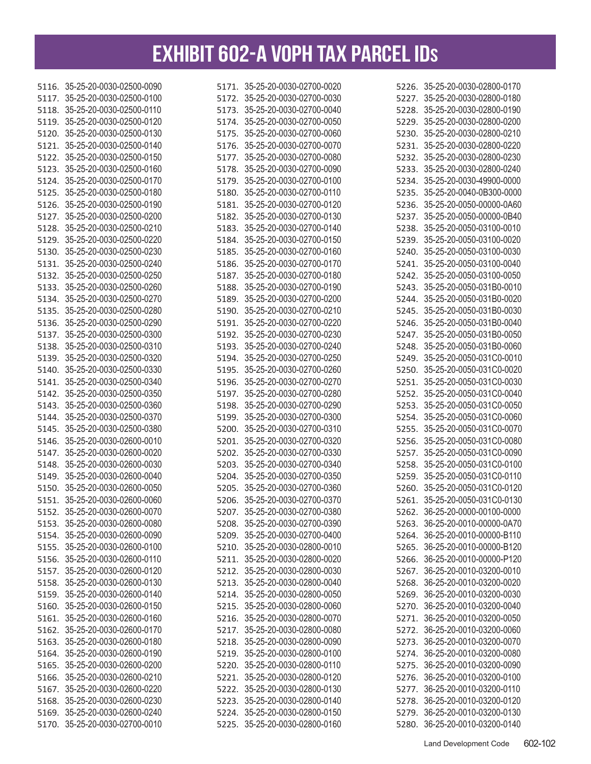| 5116. 35-25-20-0030-02500-0090 | 5171. 35-25-20-0030-02700-0020 | 5226. 35-25-20-0030-02800-0170 |
|--------------------------------|--------------------------------|--------------------------------|
| 5117. 35-25-20-0030-02500-0100 | 5172. 35-25-20-0030-02700-0030 | 5227. 35-25-20-0030-02800-0180 |
| 5118. 35-25-20-0030-02500-0110 | 5173. 35-25-20-0030-02700-0040 | 5228. 35-25-20-0030-02800-0190 |
| 5119. 35-25-20-0030-02500-0120 | 5174. 35-25-20-0030-02700-0050 | 5229. 35-25-20-0030-02800-0200 |
| 5120. 35-25-20-0030-02500-0130 | 5175. 35-25-20-0030-02700-0060 | 5230. 35-25-20-0030-02800-0210 |
| 5121. 35-25-20-0030-02500-0140 | 5176. 35-25-20-0030-02700-0070 | 5231. 35-25-20-0030-02800-0220 |
| 5122. 35-25-20-0030-02500-0150 | 5177. 35-25-20-0030-02700-0080 | 5232. 35-25-20-0030-02800-0230 |
| 5123. 35-25-20-0030-02500-0160 | 5178. 35-25-20-0030-02700-0090 | 5233. 35-25-20-0030-02800-0240 |
| 5124. 35-25-20-0030-02500-0170 | 5179. 35-25-20-0030-02700-0100 | 5234. 35-25-20-0030-49900-0000 |
| 5125. 35-25-20-0030-02500-0180 | 5180. 35-25-20-0030-02700-0110 | 5235. 35-25-20-0040-0B300-0000 |
| 5126. 35-25-20-0030-02500-0190 | 5181. 35-25-20-0030-02700-0120 | 5236. 35-25-20-0050-00000-0A60 |
| 5127. 35-25-20-0030-02500-0200 | 5182. 35-25-20-0030-02700-0130 | 5237. 35-25-20-0050-00000-0B40 |
| 5128. 35-25-20-0030-02500-0210 | 5183. 35-25-20-0030-02700-0140 | 5238. 35-25-20-0050-03100-0010 |
| 5129. 35-25-20-0030-02500-0220 | 5184. 35-25-20-0030-02700-0150 | 5239. 35-25-20-0050-03100-0020 |
| 5130. 35-25-20-0030-02500-0230 | 5185. 35-25-20-0030-02700-0160 | 5240. 35-25-20-0050-03100-0030 |
| 5131. 35-25-20-0030-02500-0240 | 5186. 35-25-20-0030-02700-0170 | 5241. 35-25-20-0050-03100-0040 |
| 5132. 35-25-20-0030-02500-0250 | 5187. 35-25-20-0030-02700-0180 | 5242. 35-25-20-0050-03100-0050 |
| 5133. 35-25-20-0030-02500-0260 | 5188. 35-25-20-0030-02700-0190 | 5243. 35-25-20-0050-031B0-0010 |
| 5134. 35-25-20-0030-02500-0270 | 5189. 35-25-20-0030-02700-0200 | 5244. 35-25-20-0050-031B0-0020 |
| 5135. 35-25-20-0030-02500-0280 | 5190. 35-25-20-0030-02700-0210 | 5245. 35-25-20-0050-031B0-0030 |
| 5136. 35-25-20-0030-02500-0290 | 5191. 35-25-20-0030-02700-0220 | 5246. 35-25-20-0050-031B0-0040 |
| 5137. 35-25-20-0030-02500-0300 | 5192. 35-25-20-0030-02700-0230 | 5247. 35-25-20-0050-031B0-0050 |
| 5138. 35-25-20-0030-02500-0310 | 5193. 35-25-20-0030-02700-0240 | 5248. 35-25-20-0050-031B0-0060 |
| 5139. 35-25-20-0030-02500-0320 | 5194. 35-25-20-0030-02700-0250 | 5249. 35-25-20-0050-031C0-0010 |
| 5140. 35-25-20-0030-02500-0330 | 5195. 35-25-20-0030-02700-0260 | 5250. 35-25-20-0050-031C0-0020 |
| 5141. 35-25-20-0030-02500-0340 | 5196. 35-25-20-0030-02700-0270 | 5251. 35-25-20-0050-031C0-0030 |
| 5142. 35-25-20-0030-02500-0350 | 5197. 35-25-20-0030-02700-0280 | 5252. 35-25-20-0050-031C0-0040 |
| 5143. 35-25-20-0030-02500-0360 | 5198. 35-25-20-0030-02700-0290 | 5253. 35-25-20-0050-031C0-0050 |
| 5144. 35-25-20-0030-02500-0370 | 5199. 35-25-20-0030-02700-0300 | 5254. 35-25-20-0050-031C0-0060 |
| 5145. 35-25-20-0030-02500-0380 | 5200. 35-25-20-0030-02700-0310 | 5255. 35-25-20-0050-031C0-0070 |
| 5146. 35-25-20-0030-02600-0010 | 5201. 35-25-20-0030-02700-0320 | 5256. 35-25-20-0050-031C0-0080 |
| 5147. 35-25-20-0030-02600-0020 | 5202. 35-25-20-0030-02700-0330 | 5257. 35-25-20-0050-031C0-0090 |
| 5148. 35-25-20-0030-02600-0030 | 5203. 35-25-20-0030-02700-0340 | 5258. 35-25-20-0050-031C0-0100 |
| 5149. 35-25-20-0030-02600-0040 | 5204. 35-25-20-0030-02700-0350 | 5259. 35-25-20-0050-031C0-0110 |
|                                |                                |                                |
| 5150. 35-25-20-0030-02600-0050 | 5205. 35-25-20-0030-02700-0360 | 5260. 35-25-20-0050-031C0-0120 |
| 5151. 35-25-20-0030-02600-0060 | 5206. 35-25-20-0030-02700-0370 | 5261. 35-25-20-0050-031C0-0130 |
| 5152. 35-25-20-0030-02600-0070 | 5207. 35-25-20-0030-02700-0380 | 5262. 36-25-20-0000-00100-0000 |
| 5153. 35-25-20-0030-02600-0080 | 5208. 35-25-20-0030-02700-0390 | 5263. 36-25-20-0010-00000-0A70 |
| 5154. 35-25-20-0030-02600-0090 | 5209. 35-25-20-0030-02700-0400 | 5264. 36-25-20-0010-00000-B110 |
| 5155. 35-25-20-0030-02600-0100 | 5210. 35-25-20-0030-02800-0010 | 5265. 36-25-20-0010-00000-B120 |
| 5156. 35-25-20-0030-02600-0110 | 5211. 35-25-20-0030-02800-0020 | 5266. 36-25-20-0010-00000-P120 |
| 5157. 35-25-20-0030-02600-0120 | 5212. 35-25-20-0030-02800-0030 | 5267. 36-25-20-0010-03200-0010 |
| 5158. 35-25-20-0030-02600-0130 | 5213. 35-25-20-0030-02800-0040 | 5268. 36-25-20-0010-03200-0020 |
| 5159. 35-25-20-0030-02600-0140 | 5214. 35-25-20-0030-02800-0050 | 5269. 36-25-20-0010-03200-0030 |
| 5160. 35-25-20-0030-02600-0150 | 5215. 35-25-20-0030-02800-0060 | 5270. 36-25-20-0010-03200-0040 |
| 5161. 35-25-20-0030-02600-0160 | 5216. 35-25-20-0030-02800-0070 | 5271. 36-25-20-0010-03200-0050 |
| 5162. 35-25-20-0030-02600-0170 | 5217. 35-25-20-0030-02800-0080 | 5272. 36-25-20-0010-03200-0060 |
| 5163. 35-25-20-0030-02600-0180 | 5218. 35-25-20-0030-02800-0090 | 5273. 36-25-20-0010-03200-0070 |
| 5164. 35-25-20-0030-02600-0190 | 5219. 35-25-20-0030-02800-0100 | 5274. 36-25-20-0010-03200-0080 |
| 5165. 35-25-20-0030-02600-0200 | 5220. 35-25-20-0030-02800-0110 | 5275. 36-25-20-0010-03200-0090 |
| 5166. 35-25-20-0030-02600-0210 | 5221. 35-25-20-0030-02800-0120 | 5276. 36-25-20-0010-03200-0100 |
| 5167. 35-25-20-0030-02600-0220 | 5222. 35-25-20-0030-02800-0130 | 5277. 36-25-20-0010-03200-0110 |
| 5168. 35-25-20-0030-02600-0230 | 5223. 35-25-20-0030-02800-0140 | 5278. 36-25-20-0010-03200-0120 |
| 5169. 35-25-20-0030-02600-0240 | 5224. 35-25-20-0030-02800-0150 | 5279. 36-25-20-0010-03200-0130 |
| 5170. 35-25-20-0030-02700-0010 | 5225. 35-25-20-0030-02800-0160 | 5280. 36-25-20-0010-03200-0140 |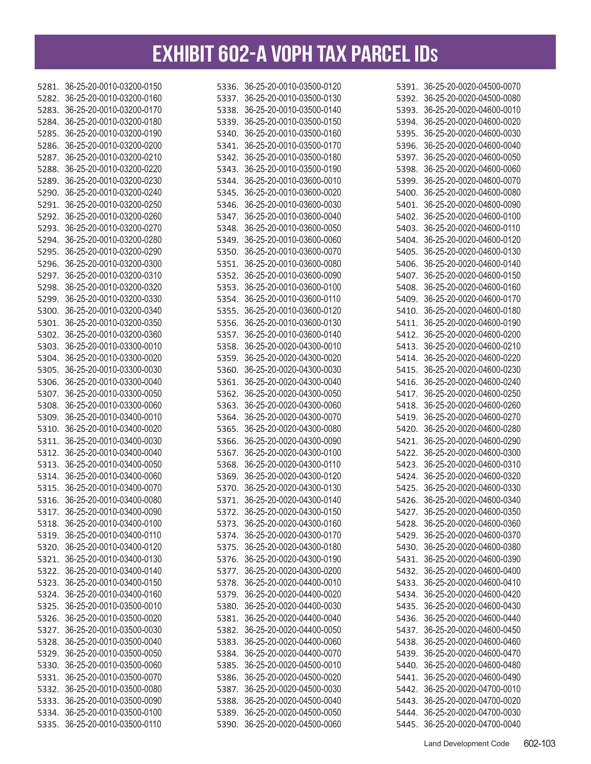| 5281. 36-25-20-0010-03200-0150 | 5336. 36-25-20-0010-03500-0120 | 5391. 36-25-20-0020-04500-0070 |
|--------------------------------|--------------------------------|--------------------------------|
| 5282. 36-25-20-0010-03200-0160 | 5337. 36-25-20-0010-03500-0130 | 5392. 36-25-20-0020-04500-0080 |
| 5283. 36-25-20-0010-03200-0170 | 5338. 36-25-20-0010-03500-0140 | 5393. 36-25-20-0020-04600-0010 |
| 5284. 36-25-20-0010-03200-0180 | 5339. 36-25-20-0010-03500-0150 | 5394. 36-25-20-0020-04600-0020 |
| 5285. 36-25-20-0010-03200-0190 | 5340. 36-25-20-0010-03500-0160 | 5395. 36-25-20-0020-04600-0030 |
| 5286. 36-25-20-0010-03200-0200 | 5341. 36-25-20-0010-03500-0170 | 5396. 36-25-20-0020-04600-0040 |
| 5287. 36-25-20-0010-03200-0210 | 5342. 36-25-20-0010-03500-0180 | 5397. 36-25-20-0020-04600-0050 |
| 5288. 36-25-20-0010-03200-0220 | 5343. 36-25-20-0010-03500-0190 | 5398. 36-25-20-0020-04600-0060 |
| 5289. 36-25-20-0010-03200-0230 | 5344. 36-25-20-0010-03600-0010 | 5399. 36-25-20-0020-04600-0070 |
| 5290. 36-25-20-0010-03200-0240 | 5345. 36-25-20-0010-03600-0020 | 5400. 36-25-20-0020-04600-0080 |
| 5291. 36-25-20-0010-03200-0250 | 5346. 36-25-20-0010-03600-0030 | 5401. 36-25-20-0020-04600-0090 |
| 5292. 36-25-20-0010-03200-0260 | 5347. 36-25-20-0010-03600-0040 | 5402. 36-25-20-0020-04600-0100 |
| 5293. 36-25-20-0010-03200-0270 | 5348. 36-25-20-0010-03600-0050 | 5403. 36-25-20-0020-04600-0110 |
| 5294. 36-25-20-0010-03200-0280 | 5349. 36-25-20-0010-03600-0060 | 5404. 36-25-20-0020-04600-0120 |
| 5295. 36-25-20-0010-03200-0290 | 5350. 36-25-20-0010-03600-0070 | 5405. 36-25-20-0020-04600-0130 |
| 5296. 36-25-20-0010-03200-0300 | 5351. 36-25-20-0010-03600-0080 | 5406. 36-25-20-0020-04600-0140 |
| 5297. 36-25-20-0010-03200-0310 | 5352. 36-25-20-0010-03600-0090 | 5407. 36-25-20-0020-04600-0150 |
| 5298. 36-25-20-0010-03200-0320 | 5353. 36-25-20-0010-03600-0100 | 5408. 36-25-20-0020-04600-0160 |
| 5299. 36-25-20-0010-03200-0330 | 5354. 36-25-20-0010-03600-0110 | 5409. 36-25-20-0020-04600-0170 |
| 5300. 36-25-20-0010-03200-0340 | 5355. 36-25-20-0010-03600-0120 | 5410. 36-25-20-0020-04600-0180 |
| 5301. 36-25-20-0010-03200-0350 | 5356. 36-25-20-0010-03600-0130 | 5411. 36-25-20-0020-04600-0190 |
| 5302. 36-25-20-0010-03200-0360 | 5357. 36-25-20-0010-03600-0140 | 5412. 36-25-20-0020-04600-0200 |
| 5303. 36-25-20-0010-03300-0010 | 5358. 36-25-20-0020-04300-0010 | 5413. 36-25-20-0020-04600-0210 |
| 5304. 36-25-20-0010-03300-0020 | 5359. 36-25-20-0020-04300-0020 | 5414. 36-25-20-0020-04600-0220 |
| 5305. 36-25-20-0010-03300-0030 | 5360. 36-25-20-0020-04300-0030 | 5415. 36-25-20-0020-04600-0230 |
| 5306. 36-25-20-0010-03300-0040 | 5361. 36-25-20-0020-04300-0040 | 5416. 36-25-20-0020-04600-0240 |
| 5307. 36-25-20-0010-03300-0050 | 5362. 36-25-20-0020-04300-0050 | 5417. 36-25-20-0020-04600-0250 |
| 5308. 36-25-20-0010-03300-0060 | 5363. 36-25-20-0020-04300-0060 | 5418. 36-25-20-0020-04600-0260 |
| 5309. 36-25-20-0010-03400-0010 | 5364. 36-25-20-0020-04300-0070 | 5419. 36-25-20-0020-04600-0270 |
| 5310. 36-25-20-0010-03400-0020 | 5365. 36-25-20-0020-04300-0080 | 5420. 36-25-20-0020-04600-0280 |
| 5311. 36-25-20-0010-03400-0030 | 5366. 36-25-20-0020-04300-0090 | 5421. 36-25-20-0020-04600-0290 |
| 5312. 36-25-20-0010-03400-0040 | 5367. 36-25-20-0020-04300-0100 | 5422. 36-25-20-0020-04600-0300 |
| 5313. 36-25-20-0010-03400-0050 | 5368. 36-25-20-0020-04300-0110 | 5423. 36-25-20-0020-04600-0310 |
| 5314. 36-25-20-0010-03400-0060 | 5369. 36-25-20-0020-04300-0120 | 5424. 36-25-20-0020-04600-0320 |
| 5315. 36-25-20-0010-03400-0070 | 5370. 36-25-20-0020-04300-0130 | 5425. 36-25-20-0020-04600-0330 |
| 5316. 36-25-20-0010-03400-0080 | 5371. 36-25-20-0020-04300-0140 | 5426. 36-25-20-0020-04600-0340 |
| 5317. 36-25-20-0010-03400-0090 |                                |                                |
|                                | 5372. 36-25-20-0020-04300-0150 | 5427. 36-25-20-0020-04600-0350 |
| 5318. 36-25-20-0010-03400-0100 | 5373. 36-25-20-0020-04300-0160 | 5428. 36-25-20-0020-04600-0360 |
| 5319. 36-25-20-0010-03400-0110 | 5374. 36-25-20-0020-04300-0170 | 5429. 36-25-20-0020-04600-0370 |
| 5320. 36-25-20-0010-03400-0120 | 5375. 36-25-20-0020-04300-0180 | 5430. 36-25-20-0020-04600-0380 |
| 5321. 36-25-20-0010-03400-0130 | 5376. 36-25-20-0020-04300-0190 | 5431. 36-25-20-0020-04600-0390 |
| 5322. 36-25-20-0010-03400-0140 | 5377. 36-25-20-0020-04300-0200 | 5432. 36-25-20-0020-04600-0400 |
| 5323. 36-25-20-0010-03400-0150 | 5378. 36-25-20-0020-04400-0010 | 5433. 36-25-20-0020-04600-0410 |
| 5324. 36-25-20-0010-03400-0160 | 5379. 36-25-20-0020-04400-0020 | 5434. 36-25-20-0020-04600-0420 |
| 5325. 36-25-20-0010-03500-0010 | 5380. 36-25-20-0020-04400-0030 | 5435. 36-25-20-0020-04600-0430 |
| 5326. 36-25-20-0010-03500-0020 | 5381. 36-25-20-0020-04400-0040 | 5436. 36-25-20-0020-04600-0440 |
| 5327. 36-25-20-0010-03500-0030 | 5382. 36-25-20-0020-04400-0050 | 5437. 36-25-20-0020-04600-0450 |
| 5328. 36-25-20-0010-03500-0040 | 5383. 36-25-20-0020-04400-0060 | 5438. 36-25-20-0020-04600-0460 |
| 5329. 36-25-20-0010-03500-0050 | 5384. 36-25-20-0020-04400-0070 | 5439. 36-25-20-0020-04600-0470 |
| 5330. 36-25-20-0010-03500-0060 | 5385. 36-25-20-0020-04500-0010 | 5440. 36-25-20-0020-04600-0480 |
| 5331. 36-25-20-0010-03500-0070 | 5386. 36-25-20-0020-04500-0020 | 5441. 36-25-20-0020-04600-0490 |
| 5332. 36-25-20-0010-03500-0080 | 5387. 36-25-20-0020-04500-0030 | 5442. 36-25-20-0020-04700-0010 |
| 5333. 36-25-20-0010-03500-0090 | 5388. 36-25-20-0020-04500-0040 | 5443. 36-25-20-0020-04700-0020 |
| 5334. 36-25-20-0010-03500-0100 | 5389. 36-25-20-0020-04500-0050 | 5444. 36-25-20-0020-04700-0030 |
| 5335. 36-25-20-0010-03500-0110 | 5390. 36-25-20-0020-04500-0060 | 5445. 36-25-20-0020-04700-0040 |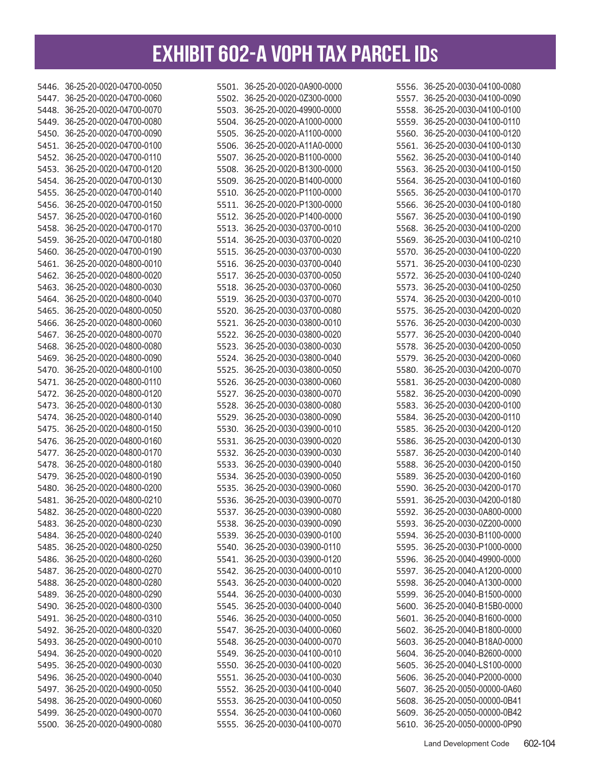| 5446. 36-25-20-0020-04700-0050 | 5501. 36-25-20-0020-0A900-0000 | 5556. 36-25-20-0030-04100-0080 |
|--------------------------------|--------------------------------|--------------------------------|
| 5447. 36-25-20-0020-04700-0060 | 5502. 36-25-20-0020-0Z300-0000 | 5557. 36-25-20-0030-04100-0090 |
| 5448. 36-25-20-0020-04700-0070 | 5503. 36-25-20-0020-49900-0000 | 5558. 36-25-20-0030-04100-0100 |
| 5449. 36-25-20-0020-04700-0080 | 5504. 36-25-20-0020-A1000-0000 | 5559. 36-25-20-0030-04100-0110 |
| 5450. 36-25-20-0020-04700-0090 | 5505. 36-25-20-0020-A1100-0000 | 5560. 36-25-20-0030-04100-0120 |
| 5451. 36-25-20-0020-04700-0100 | 5506. 36-25-20-0020-A11A0-0000 | 5561. 36-25-20-0030-04100-0130 |
| 5452. 36-25-20-0020-04700-0110 | 5507. 36-25-20-0020-B1100-0000 | 5562. 36-25-20-0030-04100-0140 |
| 5453. 36-25-20-0020-04700-0120 | 5508. 36-25-20-0020-B1300-0000 | 5563. 36-25-20-0030-04100-0150 |
| 5454. 36-25-20-0020-04700-0130 | 5509. 36-25-20-0020-B1400-0000 | 5564. 36-25-20-0030-04100-0160 |
| 5455. 36-25-20-0020-04700-0140 | 5510. 36-25-20-0020-P1100-0000 | 5565. 36-25-20-0030-04100-0170 |
| 5456. 36-25-20-0020-04700-0150 | 5511. 36-25-20-0020-P1300-0000 | 5566. 36-25-20-0030-04100-0180 |
| 5457. 36-25-20-0020-04700-0160 | 5512. 36-25-20-0020-P1400-0000 | 5567. 36-25-20-0030-04100-0190 |
| 5458. 36-25-20-0020-04700-0170 | 5513. 36-25-20-0030-03700-0010 | 5568. 36-25-20-0030-04100-0200 |
| 5459. 36-25-20-0020-04700-0180 | 5514. 36-25-20-0030-03700-0020 | 5569. 36-25-20-0030-04100-0210 |
| 5460. 36-25-20-0020-04700-0190 | 5515. 36-25-20-0030-03700-0030 | 5570. 36-25-20-0030-04100-0220 |
| 5461. 36-25-20-0020-04800-0010 | 5516. 36-25-20-0030-03700-0040 | 5571. 36-25-20-0030-04100-0230 |
| 5462. 36-25-20-0020-04800-0020 | 5517. 36-25-20-0030-03700-0050 | 5572. 36-25-20-0030-04100-0240 |
| 5463. 36-25-20-0020-04800-0030 | 5518. 36-25-20-0030-03700-0060 | 5573. 36-25-20-0030-04100-0250 |
| 5464. 36-25-20-0020-04800-0040 | 5519. 36-25-20-0030-03700-0070 | 5574. 36-25-20-0030-04200-0010 |
| 5465. 36-25-20-0020-04800-0050 | 5520. 36-25-20-0030-03700-0080 | 5575. 36-25-20-0030-04200-0020 |
| 5466. 36-25-20-0020-04800-0060 | 5521. 36-25-20-0030-03800-0010 | 5576. 36-25-20-0030-04200-0030 |
| 5467. 36-25-20-0020-04800-0070 | 5522. 36-25-20-0030-03800-0020 | 5577. 36-25-20-0030-04200-0040 |
| 5468. 36-25-20-0020-04800-0080 | 5523. 36-25-20-0030-03800-0030 | 5578. 36-25-20-0030-04200-0050 |
| 5469. 36-25-20-0020-04800-0090 | 5524. 36-25-20-0030-03800-0040 | 5579. 36-25-20-0030-04200-0060 |
| 5470. 36-25-20-0020-04800-0100 | 5525. 36-25-20-0030-03800-0050 | 5580. 36-25-20-0030-04200-0070 |
| 5471. 36-25-20-0020-04800-0110 | 5526. 36-25-20-0030-03800-0060 | 5581. 36-25-20-0030-04200-0080 |
| 5472. 36-25-20-0020-04800-0120 | 5527. 36-25-20-0030-03800-0070 | 5582. 36-25-20-0030-04200-0090 |
| 5473. 36-25-20-0020-04800-0130 | 5528. 36-25-20-0030-03800-0080 | 5583. 36-25-20-0030-04200-0100 |
| 5474. 36-25-20-0020-04800-0140 | 5529. 36-25-20-0030-03800-0090 | 5584. 36-25-20-0030-04200-0110 |
| 5475. 36-25-20-0020-04800-0150 | 5530. 36-25-20-0030-03900-0010 | 5585. 36-25-20-0030-04200-0120 |
| 5476. 36-25-20-0020-04800-0160 | 5531. 36-25-20-0030-03900-0020 | 5586. 36-25-20-0030-04200-0130 |
| 5477. 36-25-20-0020-04800-0170 | 5532. 36-25-20-0030-03900-0030 | 5587. 36-25-20-0030-04200-0140 |
| 5478. 36-25-20-0020-04800-0180 | 5533. 36-25-20-0030-03900-0040 | 5588. 36-25-20-0030-04200-0150 |
| 5479. 36-25-20-0020-04800-0190 |                                |                                |
|                                | 5534. 36-25-20-0030-03900-0050 | 5589. 36-25-20-0030-04200-0160 |
| 5480. 36-25-20-0020-04800-0200 | 5535. 36-25-20-0030-03900-0060 | 5590. 36-25-20-0030-04200-0170 |
| 5481. 36-25-20-0020-04800-0210 | 5536. 36-25-20-0030-03900-0070 | 5591. 36-25-20-0030-04200-0180 |
| 5482. 36-25-20-0020-04800-0220 | 5537. 36-25-20-0030-03900-0080 | 5592. 36-25-20-0030-0A800-0000 |
| 5483. 36-25-20-0020-04800-0230 | 5538. 36-25-20-0030-03900-0090 | 5593. 36-25-20-0030-0Z200-0000 |
| 5484. 36-25-20-0020-04800-0240 | 5539. 36-25-20-0030-03900-0100 | 5594. 36-25-20-0030-B1100-0000 |
| 5485. 36-25-20-0020-04800-0250 | 5540. 36-25-20-0030-03900-0110 | 5595. 36-25-20-0030-P1000-0000 |
| 5486. 36-25-20-0020-04800-0260 | 5541. 36-25-20-0030-03900-0120 | 5596. 36-25-20-0040-49900-0000 |
| 5487. 36-25-20-0020-04800-0270 | 5542. 36-25-20-0030-04000-0010 | 5597. 36-25-20-0040-A1200-0000 |
| 5488. 36-25-20-0020-04800-0280 | 5543. 36-25-20-0030-04000-0020 | 5598. 36-25-20-0040-A1300-0000 |
| 5489. 36-25-20-0020-04800-0290 | 5544. 36-25-20-0030-04000-0030 | 5599. 36-25-20-0040-B1500-0000 |
| 5490. 36-25-20-0020-04800-0300 | 5545. 36-25-20-0030-04000-0040 | 5600. 36-25-20-0040-B15B0-0000 |
| 5491. 36-25-20-0020-04800-0310 | 5546. 36-25-20-0030-04000-0050 | 5601. 36-25-20-0040-B1600-0000 |
| 5492. 36-25-20-0020-04800-0320 | 5547. 36-25-20-0030-04000-0060 | 5602. 36-25-20-0040-B1800-0000 |
| 5493. 36-25-20-0020-04900-0010 | 5548. 36-25-20-0030-04000-0070 | 5603. 36-25-20-0040-B18A0-0000 |
| 5494. 36-25-20-0020-04900-0020 | 5549. 36-25-20-0030-04100-0010 | 5604. 36-25-20-0040-B2600-0000 |
| 5495. 36-25-20-0020-04900-0030 | 5550. 36-25-20-0030-04100-0020 | 5605. 36-25-20-0040-LS100-0000 |
| 5496. 36-25-20-0020-04900-0040 | 5551. 36-25-20-0030-04100-0030 | 5606. 36-25-20-0040-P2000-0000 |
| 5497. 36-25-20-0020-04900-0050 | 5552. 36-25-20-0030-04100-0040 | 5607. 36-25-20-0050-00000-0A60 |
| 5498. 36-25-20-0020-04900-0060 | 5553. 36-25-20-0030-04100-0050 | 5608. 36-25-20-0050-00000-0B41 |
| 5499. 36-25-20-0020-04900-0070 | 5554. 36-25-20-0030-04100-0060 | 5609. 36-25-20-0050-00000-0B42 |
| 5500. 36-25-20-0020-04900-0080 | 5555. 36-25-20-0030-04100-0070 | 5610. 36-25-20-0050-00000-0P90 |